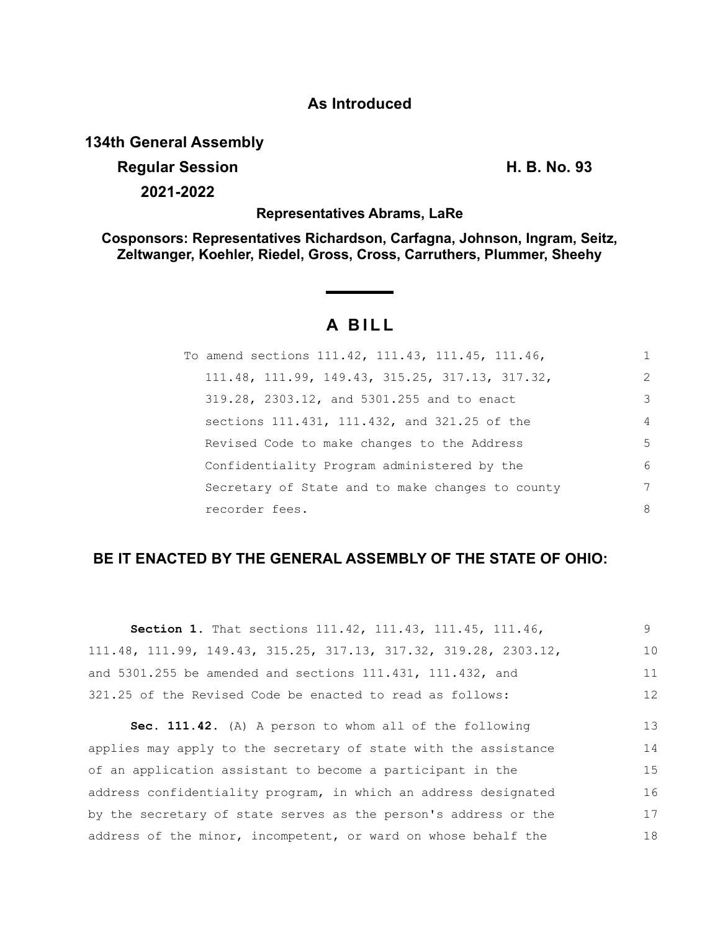## **As Introduced**

## **134th General Assembly**

**Regular Session H. B. No. 93 2021-2022**

**Representatives Abrams, LaRe**

**Cosponsors: Representatives Richardson, Carfagna, Johnson, Ingram, Seitz, Zeltwanger, Koehler, Riedel, Gross, Cross, Carruthers, Plummer, Sheehy**

# **A BILL**

| To amend sections 111.42, 111.43, 111.45, 111.46, | $\mathbf{1}$  |
|---------------------------------------------------|---------------|
| 111.48, 111.99, 149.43, 315.25, 317.13, 317.32,   | $\mathcal{L}$ |
| 319.28, 2303.12, and 5301.255 and to enact        | 3             |
| sections 111.431, 111.432, and 321.25 of the      | 4             |
| Revised Code to make changes to the Address       | 5             |
| Confidentiality Program administered by the       | 6             |
| Secretary of State and to make changes to county  | 7             |
| recorder fees.                                    | 8             |

# **BE IT ENACTED BY THE GENERAL ASSEMBLY OF THE STATE OF OHIO:**

| Section 1. That sections 111.42, 111.43, 111.45, 111.46,                                 | 9  |
|------------------------------------------------------------------------------------------|----|
| $111.48$ , $111.99$ , $149.43$ , $315.25$ , $317.13$ , $317.32$ , $319.28$ , $2303.12$ , | 10 |
| and $5301.255$ be amended and sections $111.431$ , $111.432$ , and                       | 11 |
| 321.25 of the Revised Code be enacted to read as follows:                                | 12 |
| Sec. 111.42. (A) A person to whom all of the following                                   | 13 |
| applies may apply to the secretary of state with the assistance                          | 14 |
| of an application assistant to become a participant in the                               | 15 |
| address confidentiality program, in which an address designated                          | 16 |
| by the secretary of state serves as the person's address or the                          | 17 |
| address of the minor, incompetent, or ward on whose behalf the                           | 18 |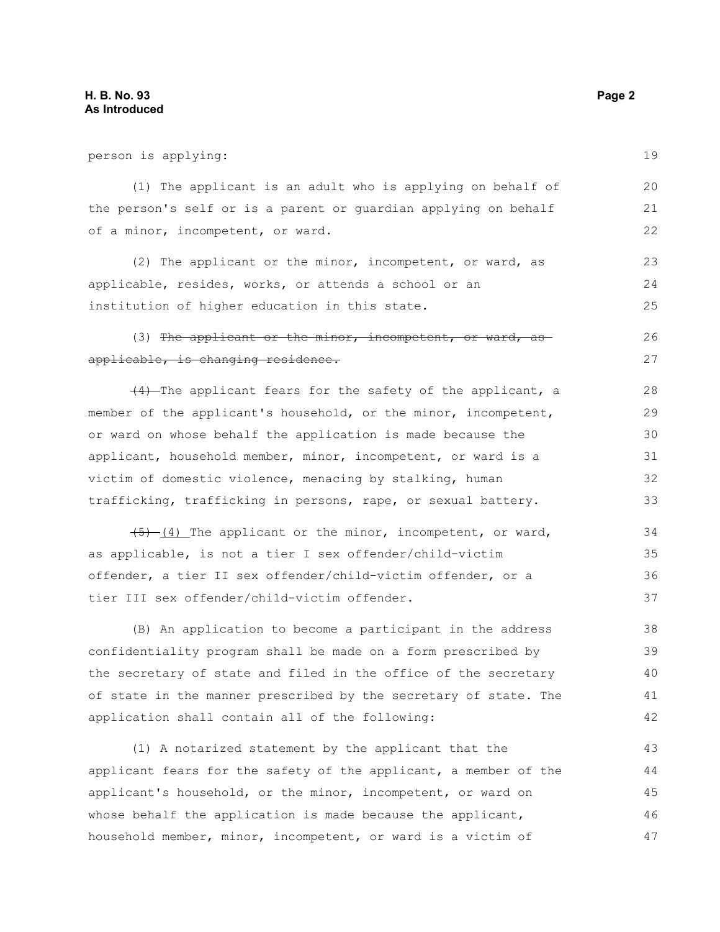| person is applying:                                              | 19 |
|------------------------------------------------------------------|----|
| (1) The applicant is an adult who is applying on behalf of       | 20 |
| the person's self or is a parent or guardian applying on behalf  | 21 |
| of a minor, incompetent, or ward.                                | 22 |
| (2) The applicant or the minor, incompetent, or ward, as         | 23 |
| applicable, resides, works, or attends a school or an            | 24 |
| institution of higher education in this state.                   | 25 |
| (3) The applicant or the minor, incompetent, or ward, as         | 26 |
| applicable, is changing residence.                               | 27 |
| $(4)$ -The applicant fears for the safety of the applicant, a    | 28 |
| member of the applicant's household, or the minor, incompetent,  | 29 |
| or ward on whose behalf the application is made because the      | 30 |
| applicant, household member, minor, incompetent, or ward is a    | 31 |
| victim of domestic violence, menacing by stalking, human         | 32 |
| trafficking, trafficking in persons, rape, or sexual battery.    | 33 |
| $(4)$ The applicant or the minor, incompetent, or ward,          | 34 |
| as applicable, is not a tier I sex offender/child-victim         | 35 |
| offender, a tier II sex offender/child-victim offender, or a     | 36 |
| tier III sex offender/child-victim offender.                     | 37 |
| (B) An application to become a participant in the address        | 38 |
| confidentiality program shall be made on a form prescribed by    | 39 |
| the secretary of state and filed in the office of the secretary  | 40 |
| of state in the manner prescribed by the secretary of state. The | 41 |
| application shall contain all of the following:                  | 42 |
| (1) A notarized statement by the applicant that the              | 43 |
| applicant fears for the safety of the applicant, a member of the | 44 |
| applicant's household, or the minor, incompetent, or ward on     | 45 |
| whose behalf the application is made because the applicant,      | 46 |

household member, minor, incompetent, or ward is a victim of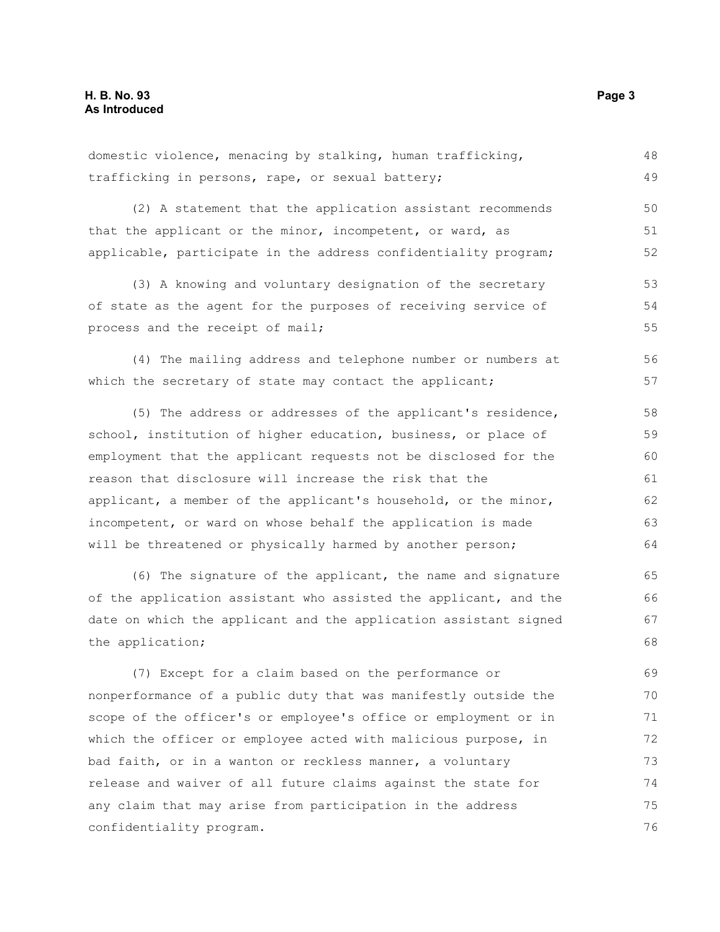domestic violence, menacing by stalking, human trafficking, trafficking in persons, rape, or sexual battery; 48 49

(2) A statement that the application assistant recommends that the applicant or the minor, incompetent, or ward, as applicable, participate in the address confidentiality program; 50 51 52

(3) A knowing and voluntary designation of the secretary of state as the agent for the purposes of receiving service of process and the receipt of mail; 53 54 55

(4) The mailing address and telephone number or numbers at which the secretary of state may contact the applicant;

(5) The address or addresses of the applicant's residence, school, institution of higher education, business, or place of employment that the applicant requests not be disclosed for the reason that disclosure will increase the risk that the applicant, a member of the applicant's household, or the minor, incompetent, or ward on whose behalf the application is made will be threatened or physically harmed by another person; 58 59

(6) The signature of the applicant, the name and signature of the application assistant who assisted the applicant, and the date on which the applicant and the application assistant signed the application;

(7) Except for a claim based on the performance or nonperformance of a public duty that was manifestly outside the scope of the officer's or employee's office or employment or in which the officer or employee acted with malicious purpose, in bad faith, or in a wanton or reckless manner, a voluntary release and waiver of all future claims against the state for any claim that may arise from participation in the address confidentiality program. 69 70 71 72 73 74 75 76

56 57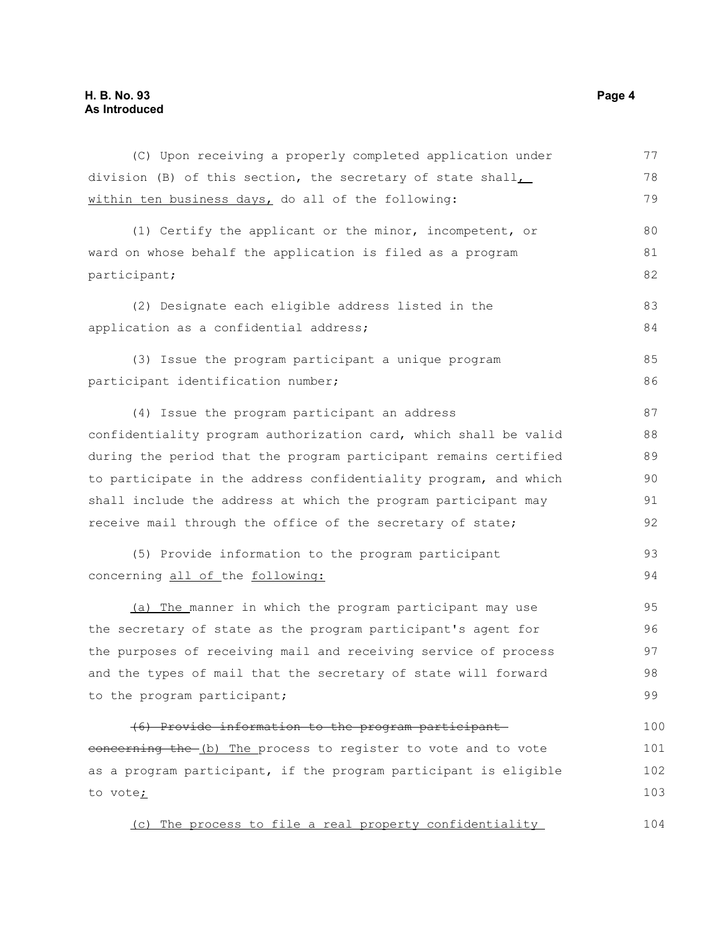| (C) Upon receiving a properly completed application under        | 77  |
|------------------------------------------------------------------|-----|
| division (B) of this section, the secretary of state shall       | 78  |
| within ten business days, do all of the following:               | 79  |
| (1) Certify the applicant or the minor, incompetent, or          | 80  |
| ward on whose behalf the application is filed as a program       | 81  |
| participant;                                                     | 82  |
| (2) Designate each eligible address listed in the                | 83  |
| application as a confidential address;                           | 84  |
| (3) Issue the program participant a unique program               | 85  |
| participant identification number;                               | 86  |
| (4) Issue the program participant an address                     | 87  |
| confidentiality program authorization card, which shall be valid | 88  |
| during the period that the program participant remains certified | 89  |
| to participate in the address confidentiality program, and which | 90  |
| shall include the address at which the program participant may   | 91  |
| receive mail through the office of the secretary of state;       | 92  |
| (5) Provide information to the program participant               | 93  |
| concerning all of the following:                                 | 94  |
| (a) The manner in which the program participant may use          | 95  |
| the secretary of state as the program participant's agent for    | 96  |
| the purposes of receiving mail and receiving service of process  | 97  |
| and the types of mail that the secretary of state will forward   | 98  |
| to the program participant;                                      | 99  |
| (6) Provide information to the program participant               | 100 |
| eoncerning the (b) The process to register to vote and to vote   | 101 |
| as a program participant, if the program participant is eligible | 102 |
| to vote;                                                         | 103 |
| The process to file a real property confidentiality<br>(C)       | 104 |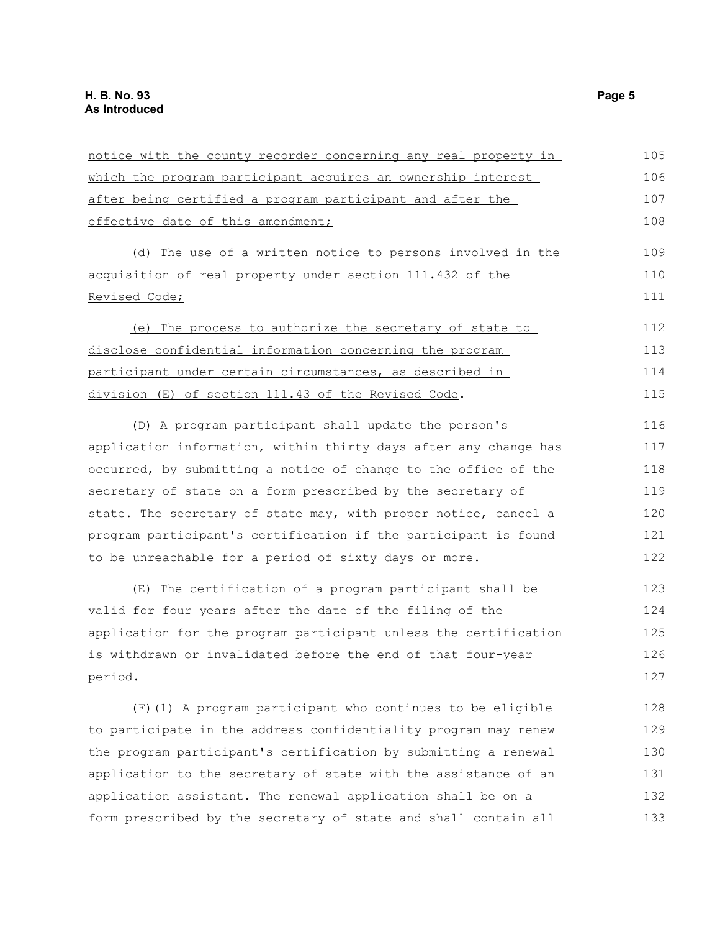| notice with the county recorder concerning any real property in  | 105 |
|------------------------------------------------------------------|-----|
| which the program participant acquires an ownership interest     | 106 |
| after being certified a program participant and after the        | 107 |
| effective date of this amendment;                                | 108 |
| (d) The use of a written notice to persons involved in the       | 109 |
| acquisition of real property under section 111.432 of the        | 110 |
| Revised Code;                                                    | 111 |
| (e) The process to authorize the secretary of state to           | 112 |
| disclose confidential information concerning the program         | 113 |
| participant under certain circumstances, as described in         | 114 |
| division (E) of section 111.43 of the Revised Code.              | 115 |
| (D) A program participant shall update the person's              | 116 |
| application information, within thirty days after any change has | 117 |
| occurred, by submitting a notice of change to the office of the  | 118 |
| secretary of state on a form prescribed by the secretary of      | 119 |
| state. The secretary of state may, with proper notice, cancel a  | 120 |
| program participant's certification if the participant is found  | 121 |
| to be unreachable for a period of sixty days or more.            | 122 |
| (E) The certification of a program participant shall be          | 123 |
| valid for four years after the date of the filing of the         | 124 |
| application for the program participant unless the certification | 125 |
| is withdrawn or invalidated before the end of that four-year     | 126 |
| period.                                                          | 127 |
| (F) (1) A program participant who continues to be eligible       | 128 |
| to participate in the address confidentiality program may renew  | 129 |
| the program participant's certification by submitting a renewal  | 130 |
| application to the secretary of state with the assistance of an  | 131 |
| application assistant. The renewal application shall be on a     | 132 |
| form prescribed by the secretary of state and shall contain all  | 133 |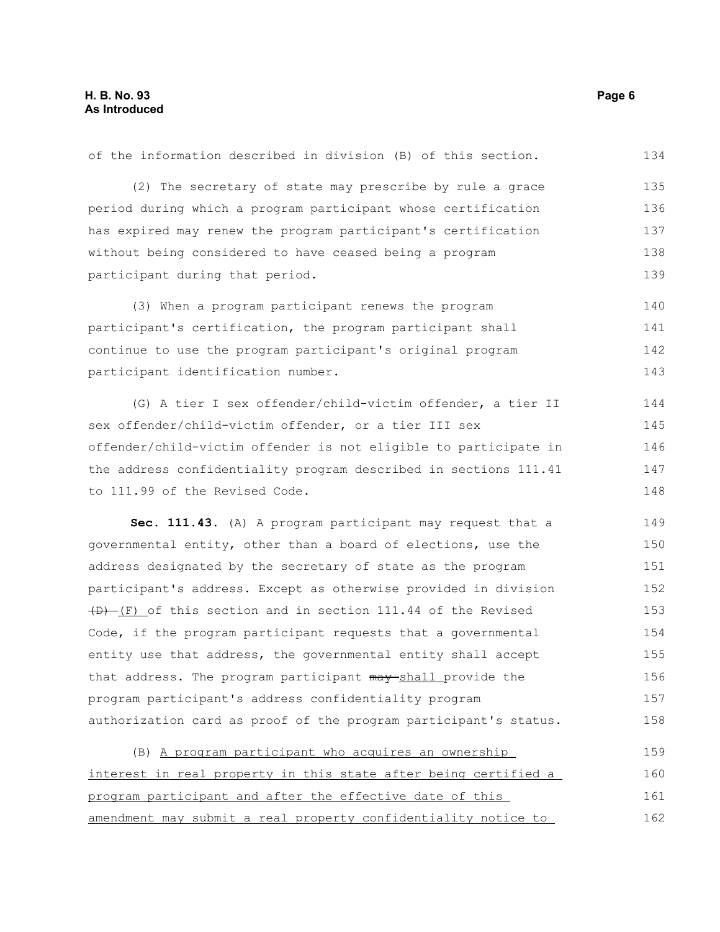| (2) The secretary of state may prescribe by rule a grace         | 135 |
|------------------------------------------------------------------|-----|
| period during which a program participant whose certification    | 136 |
| has expired may renew the program participant's certification    | 137 |
| without being considered to have ceased being a program          | 138 |
| participant during that period.                                  | 139 |
| (3) When a program participant renews the program                | 140 |
| participant's certification, the program participant shall       | 141 |
| continue to use the program participant's original program       | 142 |
| participant identification number.                               | 143 |
| (G) A tier I sex offender/child-victim offender, a tier II       | 144 |
| sex offender/child-victim offender, or a tier III sex            | 145 |
| offender/child-victim offender is not eligible to participate in | 146 |
| the address confidentiality program described in sections 111.41 | 147 |
| to 111.99 of the Revised Code.                                   | 148 |
| Sec. 111.43. (A) A program participant may request that a        | 149 |
| governmental entity, other than a board of elections, use the    | 150 |
| address designated by the secretary of state as the program      | 151 |
| participant's address. Except as otherwise provided in division  | 152 |

of the information described in division (B) of this section.

 $(D)$  (F) of this section and in section 111.44 of the Revised Code, if the program participant requests that a governmental entity use that address, the governmental entity shall accept

that address. The program participant may shall provide the

authorization card as proof of the program participant's status.

program participant's address confidentiality program

(B) A program participant who acquires an ownership interest in real property in this state after being certified a program participant and after the effective date of this amendment may submit a real property confidentiality notice to 159 160 161 162

134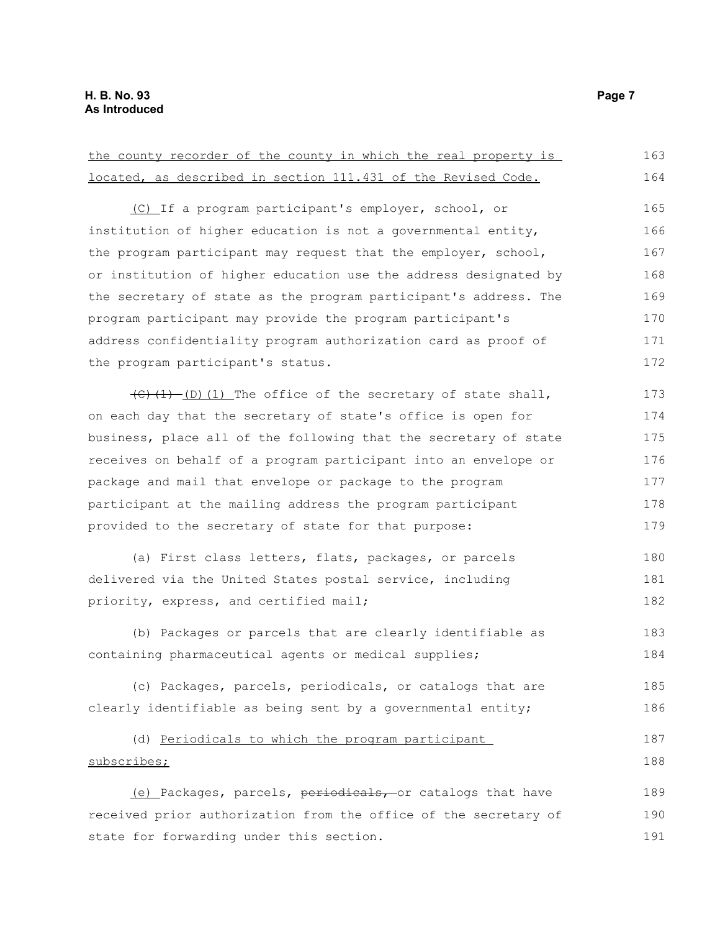| the county recorder of the county in which the real property is                | 163 |
|--------------------------------------------------------------------------------|-----|
| located, as described in section 111.431 of the Revised Code.                  | 164 |
| (C) If a program participant's employer, school, or                            | 165 |
| institution of higher education is not a governmental entity,                  | 166 |
| the program participant may request that the employer, school,                 | 167 |
| or institution of higher education use the address designated by               | 168 |
| the secretary of state as the program participant's address. The               | 169 |
| program participant may provide the program participant's                      | 170 |
| address confidentiality program authorization card as proof of                 | 171 |
| the program participant's status.                                              | 172 |
| $\left(\frac{1}{2}\right)$ (1) (1) The office of the secretary of state shall, | 173 |
| on each day that the secretary of state's office is open for                   | 174 |
| business, place all of the following that the secretary of state               | 175 |
| receives on behalf of a program participant into an envelope or                | 176 |
| package and mail that envelope or package to the program                       | 177 |
| participant at the mailing address the program participant                     | 178 |
| provided to the secretary of state for that purpose:                           | 179 |
| (a) First class letters, flats, packages, or parcels                           | 180 |
| delivered via the United States postal service, including                      | 181 |
| priority, express, and certified mail;                                         | 182 |
| (b) Packages or parcels that are clearly identifiable as                       | 183 |
| containing pharmaceutical agents or medical supplies;                          | 184 |
| (c) Packages, parcels, periodicals, or catalogs that are                       | 185 |
| clearly identifiable as being sent by a governmental entity;                   | 186 |
| (d) Periodicals to which the program participant                               | 187 |
| subscribes;                                                                    | 188 |
| (e) Packages, parcels, periodicals, or catalogs that have                      | 189 |
| received prior authorization from the office of the secretary of               | 190 |
| state for forwarding under this section.                                       | 191 |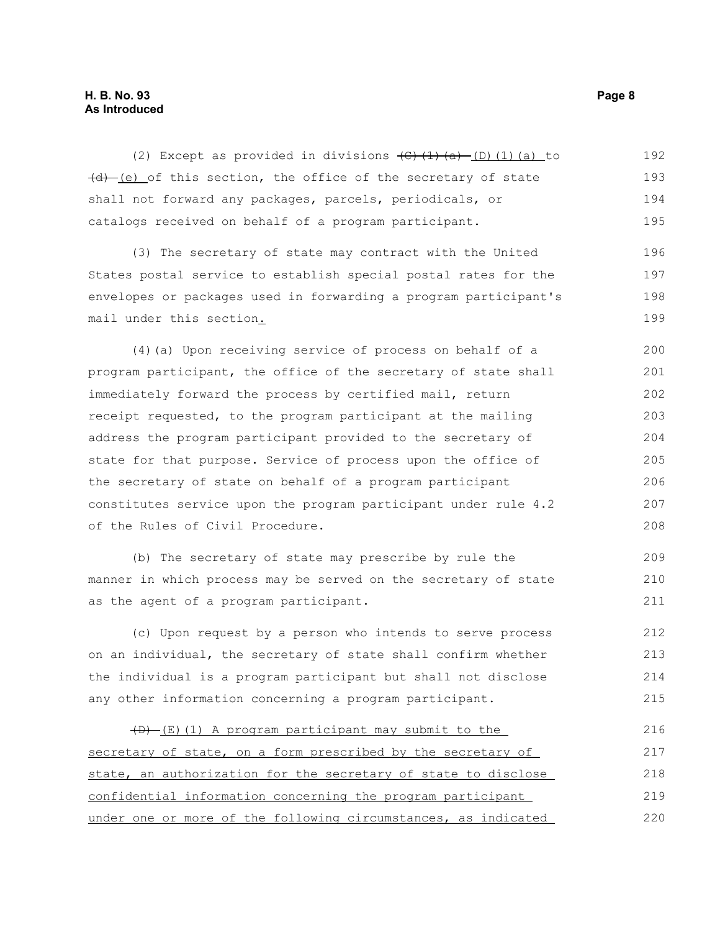### **H. B. No. 93 Page 8 As Introduced**

| (2) Except as provided in divisions $(C)$ $(1)$ $(a)$ $(D)$ $(1)$ $(a)$ to | 192 |
|----------------------------------------------------------------------------|-----|
| (d) (e) of this section, the office of the secretary of state              | 193 |
| shall not forward any packages, parcels, periodicals, or                   | 194 |
| catalogs received on behalf of a program participant.                      | 195 |
| (3) The secretary of state may contract with the United                    | 196 |
| States postal service to establish special postal rates for the            | 197 |
| envelopes or packages used in forwarding a program participant's           | 198 |
| mail under this section.                                                   | 199 |
| (4) (a) Upon receiving service of process on behalf of a                   | 200 |
| program participant, the office of the secretary of state shall            | 201 |
| immediately forward the process by certified mail, return                  | 202 |
| receipt requested, to the program participant at the mailing               | 203 |
| address the program participant provided to the secretary of               | 204 |
| state for that purpose. Service of process upon the office of              | 205 |
| the secretary of state on behalf of a program participant                  | 206 |
| constitutes service upon the program participant under rule 4.2            | 207 |
| of the Rules of Civil Procedure.                                           | 208 |
| (b) The secretary of state may prescribe by rule the                       | 209 |
| manner in which process may be served on the secretary of state            | 210 |
| as the agent of a program participant.                                     | 211 |
| (c) Upon request by a person who intends to serve process                  | 212 |
| on an individual, the secretary of state shall confirm whether             | 213 |
| the individual is a program participant but shall not disclose             | 214 |
| any other information concerning a program participant.                    | 215 |
| (B) (I) A program participant may submit to the                            | 216 |
| secretary of state, on a form prescribed by the secretary of               | 217 |
| state, an authorization for the secretary of state to disclose             | 218 |
| confidential information concerning the program participant                | 219 |
| under one or more of the following circumstances, as indicated             | 220 |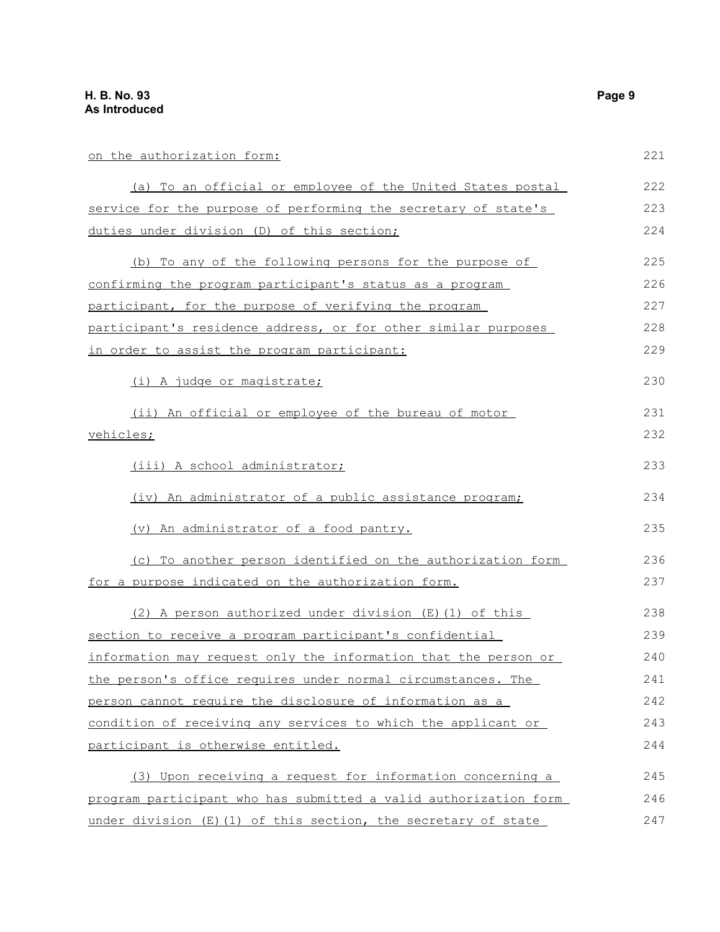| on the authorization form:                                       | 221 |
|------------------------------------------------------------------|-----|
| (a) To an official or employee of the United States postal       | 222 |
| service for the purpose of performing the secretary of state's   | 223 |
| duties under division (D) of this section;                       | 224 |
| (b) To any of the following persons for the purpose of           | 225 |
| confirming the program participant's status as a program         | 226 |
| participant, for the purpose of verifying the program            | 227 |
| participant's residence address, or for other similar purposes   | 228 |
| in order to assist the program participant:                      | 229 |
| (i) A judge or magistrate;                                       | 230 |
| (ii) An official or employee of the bureau of motor              | 231 |
| vehicles;                                                        | 232 |
| (iii) A school administrator;                                    | 233 |
| (iv) An administrator of a public assistance program;            | 234 |
| (v) An administrator of a food pantry.                           | 235 |
| To another person identified on the authorization form<br>(C)    | 236 |
| for a purpose indicated on the authorization form.               | 237 |
| (2) A person authorized under division $(E)$ (1) of this         | 238 |
| section to receive a program participant's confidential          | 239 |
| information may request only the information that the person or  | 240 |
| the person's office requires under normal circumstances. The     | 241 |
| person cannot require the disclosure of information as a         | 242 |
| condition of receiving any services to which the applicant or    | 243 |
| participant is otherwise entitled.                               | 244 |
| (3) Upon receiving a request for information concerning a        | 245 |
| program participant who has submitted a valid authorization form | 246 |
| under division (E) (1) of this section, the secretary of state   | 247 |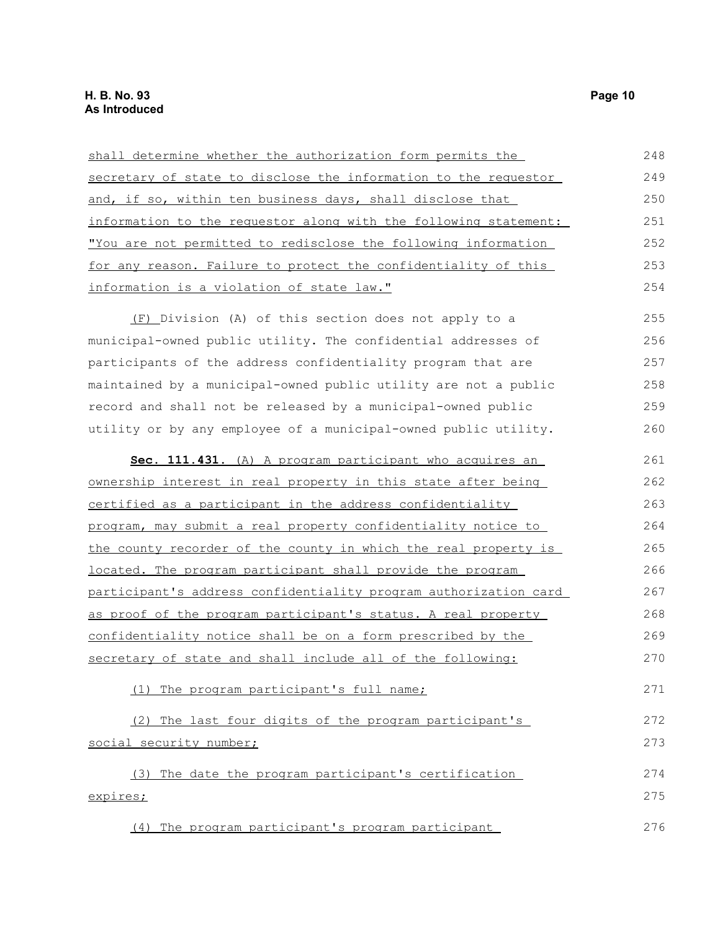| shall determine whether the authorization form permits the       | 248 |
|------------------------------------------------------------------|-----|
| secretary of state to disclose the information to the requestor  | 249 |
| and, if so, within ten business days, shall disclose that        | 250 |
| information to the requestor along with the following statement: | 251 |
| "You are not permitted to redisclose the following information   | 252 |
| for any reason. Failure to protect the confidentiality of this   | 253 |
| information is a violation of state law."                        | 254 |
| (F) Division (A) of this section does not apply to a             | 255 |
| municipal-owned public utility. The confidential addresses of    | 256 |
| participants of the address confidentiality program that are     | 257 |
| maintained by a municipal-owned public utility are not a public  | 258 |
| record and shall not be released by a municipal-owned public     | 259 |
| utility or by any employee of a municipal-owned public utility.  | 260 |
| Sec. 111.431. (A) A program participant who acquires an          | 261 |
| ownership interest in real property in this state after being    | 262 |
| certified as a participant in the address confidentiality        | 263 |
| program, may submit a real property confidentiality notice to    | 264 |
| the county recorder of the county in which the real property is  | 265 |
| located. The program participant shall provide the program       | 266 |
| participant's address confidentiality program authorization card | 267 |
| as proof of the program participant's status. A real property    | 268 |
| confidentiality notice shall be on a form prescribed by the      | 269 |
| secretary of state and shall include all of the following:       | 270 |
| (1) The program participant's full name;                         | 271 |
| (2) The last four digits of the program participant's            | 272 |
| social security number;                                          | 273 |
| The date the program participant's certification<br>(3)          | 274 |
| expires;                                                         | 275 |

(4) The program participant's program participant 276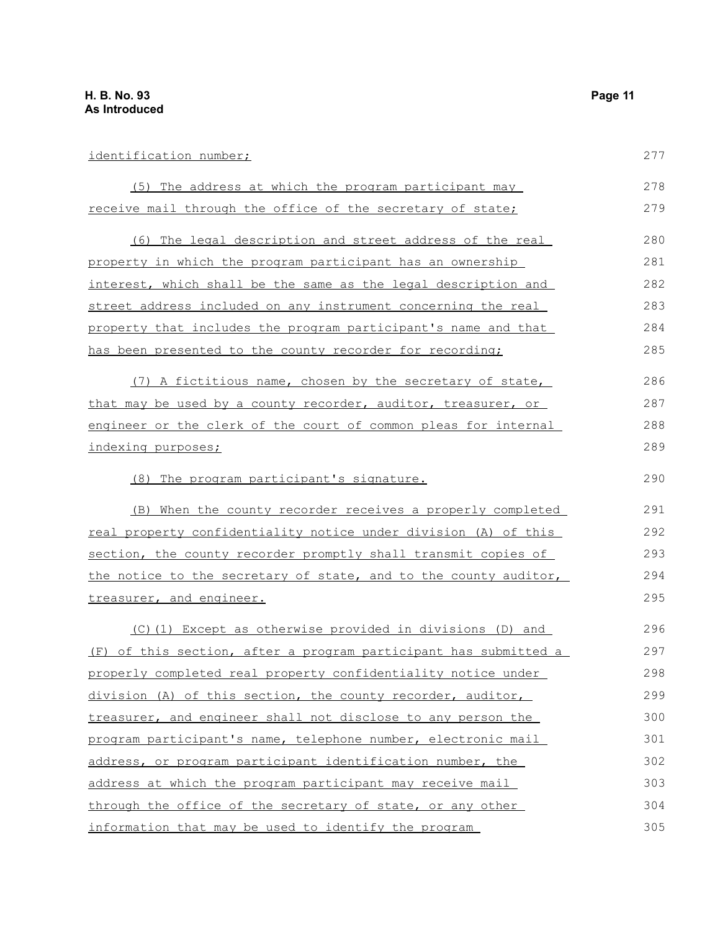| identification number;                                           | 277 |
|------------------------------------------------------------------|-----|
| (5) The address at which the program participant may             | 278 |
| receive mail through the office of the secretary of state;       | 279 |
| (6) The legal description and street address of the real         | 280 |
| property in which the program participant has an ownership       | 281 |
| interest, which shall be the same as the legal description and   | 282 |
| street address included on any instrument concerning the real    | 283 |
| property that includes the program participant's name and that   | 284 |
| has been presented to the county recorder for recording;         | 285 |
| (7) A fictitious name, chosen by the secretary of state,         | 286 |
| that may be used by a county recorder, auditor, treasurer, or    | 287 |
| engineer or the clerk of the court of common pleas for internal  | 288 |
| indexing purposes;                                               | 289 |
| (8) The program participant's signature.                         | 290 |
| (B) When the county recorder receives a properly completed       | 291 |
| real property confidentiality notice under division (A) of this  | 292 |
| section, the county recorder promptly shall transmit copies of   | 293 |
| the notice to the secretary of state, and to the county auditor, | 294 |
| treasurer, and engineer.                                         | 295 |
| (C)(1) Except as otherwise provided in divisions (D) and         | 296 |
| (F) of this section, after a program participant has submitted a | 297 |
| properly completed real property confidentiality notice under    | 298 |
| division (A) of this section, the county recorder, auditor,      | 299 |
| treasurer, and engineer shall not disclose to any person the     | 300 |
| program participant's name, telephone number, electronic mail    | 301 |
| address, or program participant identification number, the       | 302 |
| address at which the program participant may receive mail        | 303 |
| through the office of the secretary of state, or any other       | 304 |
| information that may be used to identify the program             | 305 |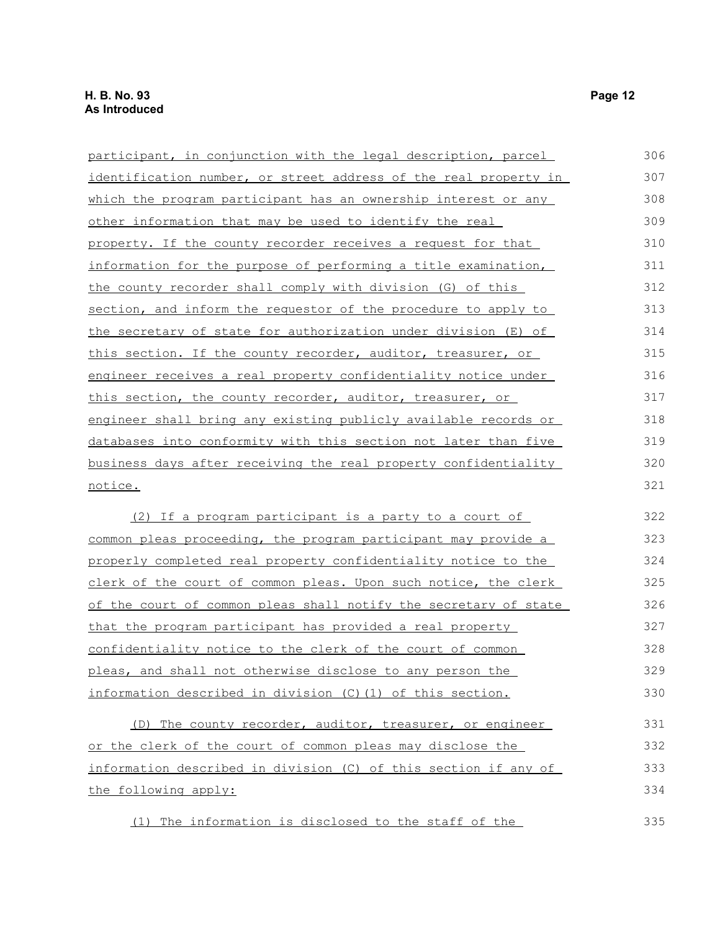| 306 |
|-----|
| 307 |
| 308 |
| 309 |
| 310 |
| 311 |
| 312 |
| 313 |
| 314 |
| 315 |
| 316 |
| 317 |
| 318 |
| 319 |
| 320 |
| 321 |
| 322 |
| 323 |
| 324 |
| 325 |
| 326 |
| 327 |
| 328 |
| 329 |
| 330 |
| 331 |
| 332 |
| 333 |
| 334 |
|     |

(1) The information is disclosed to the staff of the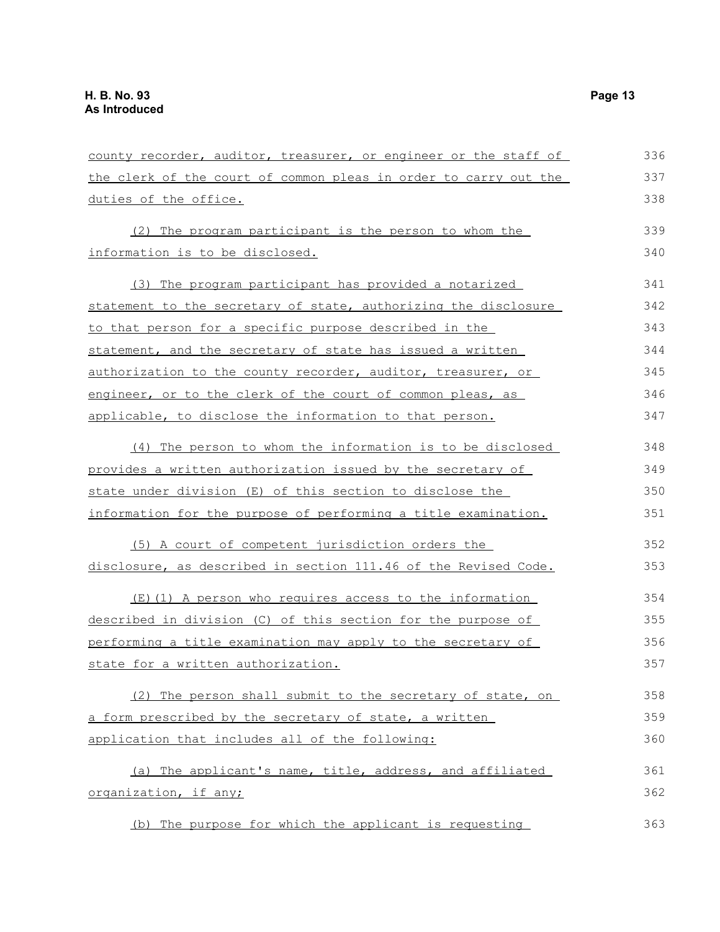| county recorder, auditor, treasurer, or engineer or the staff of | 336 |
|------------------------------------------------------------------|-----|
| the clerk of the court of common pleas in order to carry out the | 337 |
| duties of the office.                                            | 338 |
| (2) The program participant is the person to whom the            | 339 |
| information is to be disclosed.                                  | 340 |
| (3) The program participant has provided a notarized             | 341 |
| statement to the secretary of state, authorizing the disclosure  | 342 |
| to that person for a specific purpose described in the           | 343 |
| statement, and the secretary of state has issued a written       | 344 |
| authorization to the county recorder, auditor, treasurer, or     | 345 |
| engineer, or to the clerk of the court of common pleas, as       | 346 |
| applicable, to disclose the information to that person.          | 347 |
| (4) The person to whom the information is to be disclosed        | 348 |
| provides a written authorization issued by the secretary of      | 349 |
| state under division (E) of this section to disclose the         | 350 |
| information for the purpose of performing a title examination.   | 351 |
| (5) A court of competent jurisdiction orders the                 | 352 |
| disclosure, as described in section 111.46 of the Revised Code.  | 353 |
| (E) (1) A person who requires access to the information          | 354 |
| described in division (C) of this section for the purpose of     | 355 |
| performing a title examination may apply to the secretary of     | 356 |
| state for a written authorization.                               | 357 |
| (2) The person shall submit to the secretary of state, on        | 358 |
| a form prescribed by the secretary of state, a written           | 359 |
| application that includes all of the following:                  | 360 |
| (a) The applicant's name, title, address, and affiliated         | 361 |
| organization, if any;                                            | 362 |
| (b) The purpose for which the applicant is requesting            | 363 |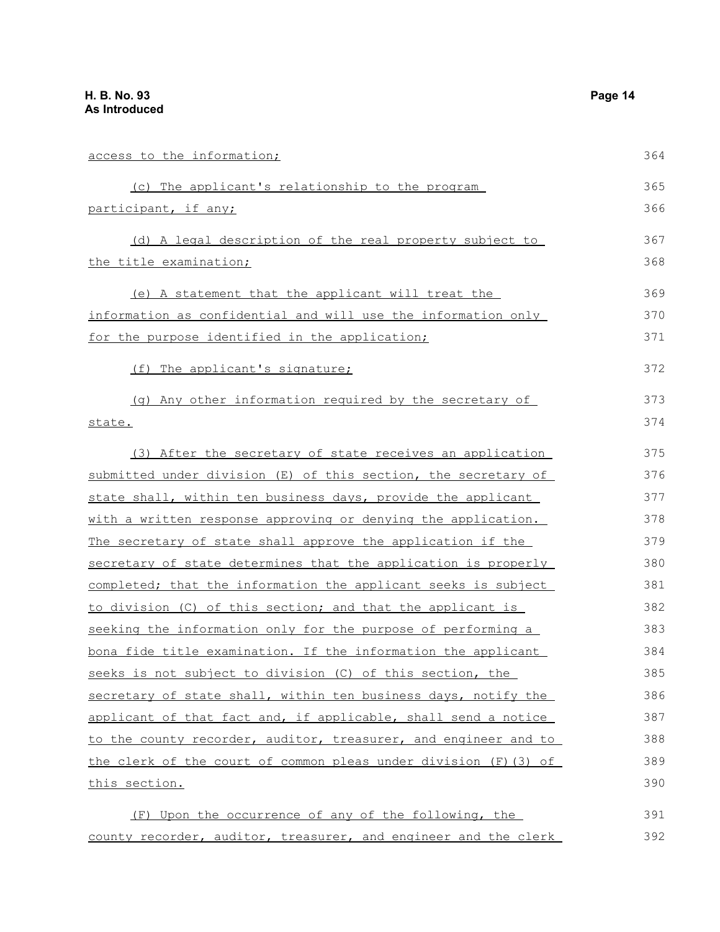| access to the information;                                       | 364 |
|------------------------------------------------------------------|-----|
| (c) The applicant's relationship to the program                  | 365 |
| participant, if any;                                             | 366 |
| (d) A legal description of the real property subject to          | 367 |
| the title examination;                                           | 368 |
| (e) A statement that the applicant will treat the                | 369 |
| information as confidential and will use the information only    | 370 |
| for the purpose identified in the application;                   | 371 |
| (f) The applicant's signature;                                   | 372 |
| (q) Any other information required by the secretary of           | 373 |
| state.                                                           | 374 |
| (3) After the secretary of state receives an application         | 375 |
| submitted under division (E) of this section, the secretary of   | 376 |
| state shall, within ten business days, provide the applicant     | 377 |
| with a written response approving or denying the application.    | 378 |
| The secretary of state shall approve the application if the      | 379 |
| secretary of state determines that the application is properly   | 380 |
| completed; that the information the applicant seeks is subject   | 381 |
| to division (C) of this section; and that the applicant is       | 382 |
| seeking the information only for the purpose of performing a     | 383 |
| bona fide title examination. If the information the applicant    | 384 |
| seeks is not subject to division (C) of this section, the        | 385 |
| secretary of state shall, within ten business days, notify the   | 386 |
| applicant of that fact and, if applicable, shall send a notice   | 387 |
| to the county recorder, auditor, treasurer, and engineer and to  | 388 |
| the clerk of the court of common pleas under division (F) (3) of | 389 |
| this section.                                                    | 390 |
| (F) Upon the occurrence of any of the following, the             | 391 |

county recorder, auditor, treasurer, and engineer and the clerk 392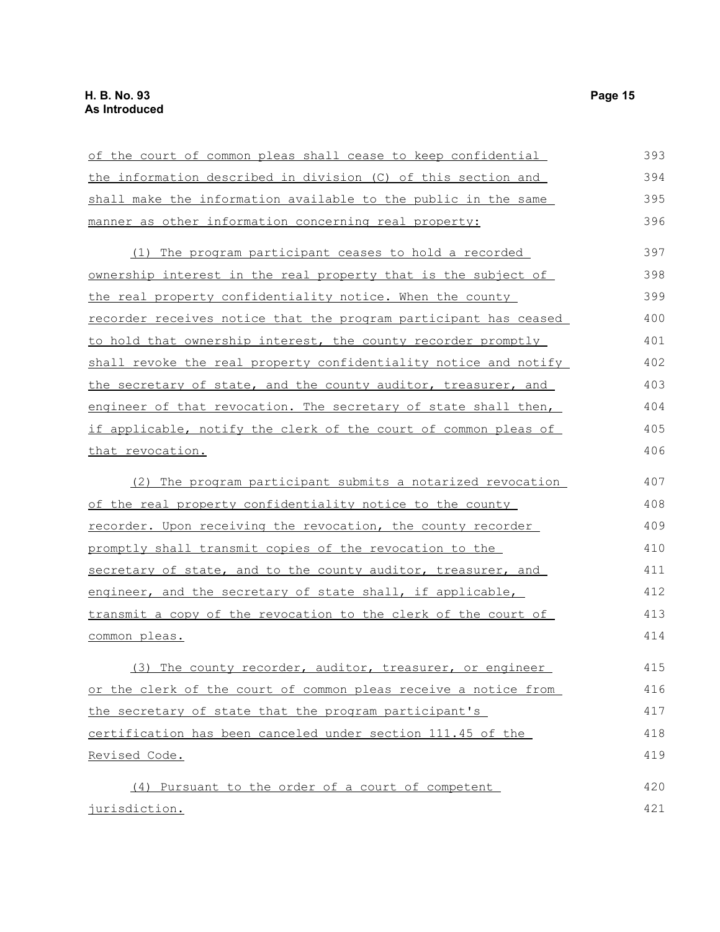| of the court of common pleas shall cease to keep confidential           | 393 |
|-------------------------------------------------------------------------|-----|
| the information described in division (C) of this section and           | 394 |
| shall make the information available to the public in the same          | 395 |
| manner as other information concerning real property:                   | 396 |
| (1) The program participant ceases to hold a recorded                   | 397 |
| ownership interest in the real property that is the subject of          | 398 |
| the real property confidentiality notice. When the county               | 399 |
| <u>recorder receives notice that the program participant has ceased</u> | 400 |
| to hold that ownership interest, the county recorder promptly           | 401 |
| shall revoke the real property confidentiality notice and notify        | 402 |
| the secretary of state, and the county auditor, treasurer, and          | 403 |
| engineer of that revocation. The secretary of state shall then,         | 404 |
| if applicable, notify the clerk of the court of common pleas of         | 405 |
| that revocation.                                                        | 406 |
| (2) The program participant submits a notarized revocation              | 407 |
| of the real property confidentiality notice to the county               | 408 |
| <u>recorder. Upon receiving the revocation, the county recorder</u>     | 409 |
| promptly shall transmit copies of the revocation to the                 | 410 |
| secretary of state, and to the county auditor, treasurer, and           | 411 |
| engineer, and the secretary of state shall, if applicable,              | 412 |
| <u>transmit a copy of the revocation to the clerk of the court of</u>   | 413 |
| common pleas.                                                           | 414 |
| The county recorder, auditor, treasurer, or engineer<br>(3)             | 415 |
| or the clerk of the court of common pleas receive a notice from         | 416 |
| the secretary of state that the program participant's                   | 417 |
| certification has been canceled under section 111.45 of the             | 418 |
| Revised Code.                                                           | 419 |
| (4) Pursuant to the order of a court of competent                       | 420 |
| jurisdiction.                                                           | 421 |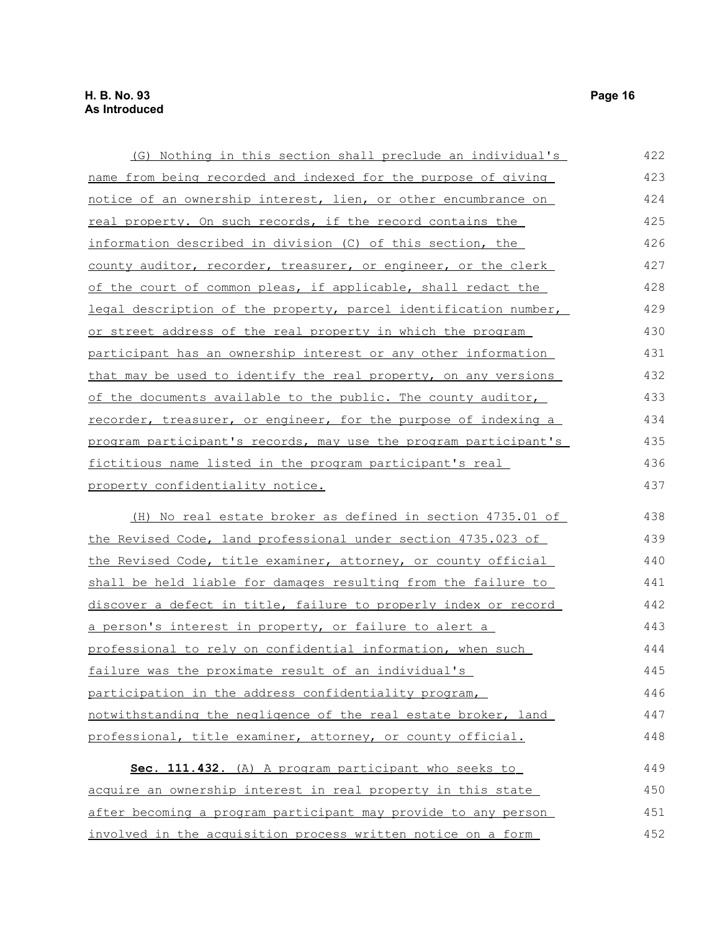| (G) Nothing in this section shall preclude an individual's           | 422 |
|----------------------------------------------------------------------|-----|
| name from being recorded and indexed for the purpose of giving       | 423 |
| notice of an ownership interest, lien, or other encumbrance on       | 424 |
| <u>real property. On such records, if the record contains the</u>    | 425 |
| information described in division (C) of this section, the           | 426 |
| county auditor, recorder, treasurer, or engineer, or the clerk       | 427 |
| <u>of the court of common pleas, if applicable, shall redact the</u> | 428 |
| legal description of the property, parcel identification number,     | 429 |
| or street address of the real property in which the program          | 430 |
| participant has an ownership interest or any other information       | 431 |
| that may be used to identify the real property, on any versions      | 432 |
| of the documents available to the public. The county auditor,        | 433 |
| recorder, treasurer, or engineer, for the purpose of indexing a      | 434 |
| program participant's records, may use the program participant's     | 435 |
| <u>fictitious name listed in the program participant's real</u>      | 436 |
| <u>property confidentiality notice.</u>                              | 437 |
| <u>(H) No real estate broker as defined in section 4735.01 of</u>    | 438 |
| the Revised Code, land professional under section 4735.023 of        | 439 |
| the Revised Code, title examiner, attorney, or county official       | 440 |
| shall be held liable for damages resulting from the failure to       | 441 |
| discover a defect in title, failure to properly index or record      | 442 |
| a person's interest in property, or failure to alert a               | 443 |
| professional to rely on confidential information, when such          | 444 |
| failure was the proximate result of an individual's                  | 445 |
| participation in the address confidentiality program,                | 446 |
| notwithstanding the negligence of the real estate broker, land       | 447 |
| professional, title examiner, attorney, or county official.          | 448 |
|                                                                      |     |
| Sec. 111.432. (A) A program participant who seeks to                 | 449 |
| acquire an ownership interest in real property in this state         | 450 |
| after becoming a program participant may provide to any person       | 451 |

involved in the acquisition process written notice on a form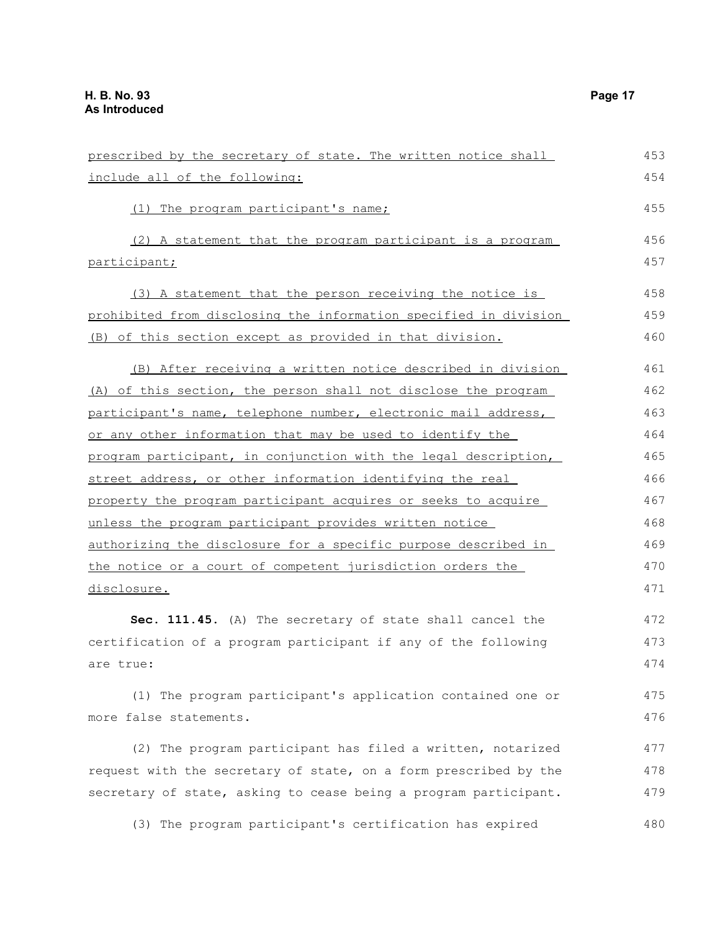| prescribed by the secretary of state. The written notice shall   | 453 |
|------------------------------------------------------------------|-----|
| include all of the following:                                    | 454 |
| (1) The program participant's name;                              | 455 |
| (2) A statement that the program participant is a program        | 456 |
| participant;                                                     | 457 |
| (3) A statement that the person receiving the notice is          | 458 |
| prohibited from disclosing the information specified in division | 459 |
| (B) of this section except as provided in that division.         | 460 |
| (B) After receiving a written notice described in division       | 461 |
| (A) of this section, the person shall not disclose the program   | 462 |
| participant's name, telephone number, electronic mail address,   | 463 |
| or any other information that may be used to identify the        | 464 |
| program participant, in conjunction with the legal description,  | 465 |
| street address, or other information identifying the real        | 466 |
| property the program participant acquires or seeks to acquire    | 467 |
| unless the program participant provides written notice           | 468 |
| authorizing the disclosure for a specific purpose described in   | 469 |
| the notice or a court of competent jurisdiction orders the       | 470 |
| disclosure.                                                      | 471 |
| Sec. 111.45. (A) The secretary of state shall cancel the         | 472 |
| certification of a program participant if any of the following   | 473 |
| are true:                                                        | 474 |
| (1) The program participant's application contained one or       | 475 |
| more false statements.                                           | 476 |
| (2) The program participant has filed a written, notarized       | 477 |
| request with the secretary of state, on a form prescribed by the | 478 |
| secretary of state, asking to cease being a program participant. | 479 |
| (3) The program participant's certification has expired          | 480 |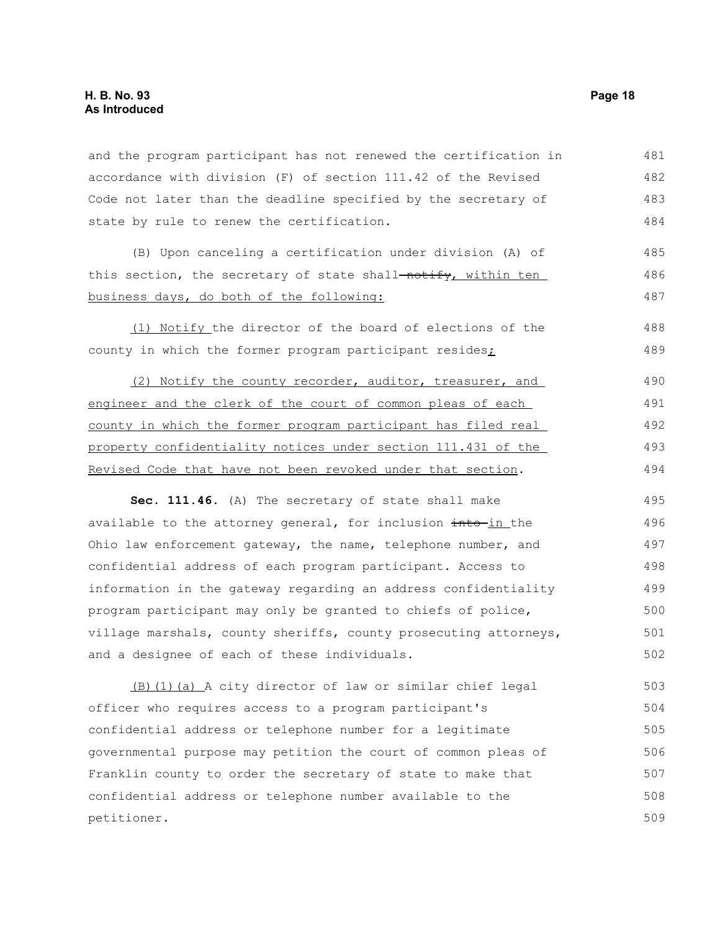and the program participant has not renewed the certification in accordance with division (F) of section 111.42 of the Revised Code not later than the deadline specified by the secretary of state by rule to renew the certification. 481 482 483 484

(B) Upon canceling a certification under division (A) of this section, the secretary of state shall-notify, within ten business days, do both of the following: 485 486 487

(1) Notify the director of the board of elections of the county in which the former program participant resides; 488 489

(2) Notify the county recorder, auditor, treasurer, and engineer and the clerk of the court of common pleas of each county in which the former program participant has filed real property confidentiality notices under section 111.431 of the Revised Code that have not been revoked under that section. 490 491 492 493 494

**Sec. 111.46.** (A) The secretary of state shall make available to the attorney general, for inclusion into in the Ohio law enforcement gateway, the name, telephone number, and confidential address of each program participant. Access to information in the gateway regarding an address confidentiality program participant may only be granted to chiefs of police, village marshals, county sheriffs, county prosecuting attorneys, and a designee of each of these individuals. 495 496 497 498 499 500 501 502

(B)(1)(a) A city director of law or similar chief legal officer who requires access to a program participant's confidential address or telephone number for a legitimate governmental purpose may petition the court of common pleas of Franklin county to order the secretary of state to make that confidential address or telephone number available to the petitioner. 503 504 505 506 507 508 509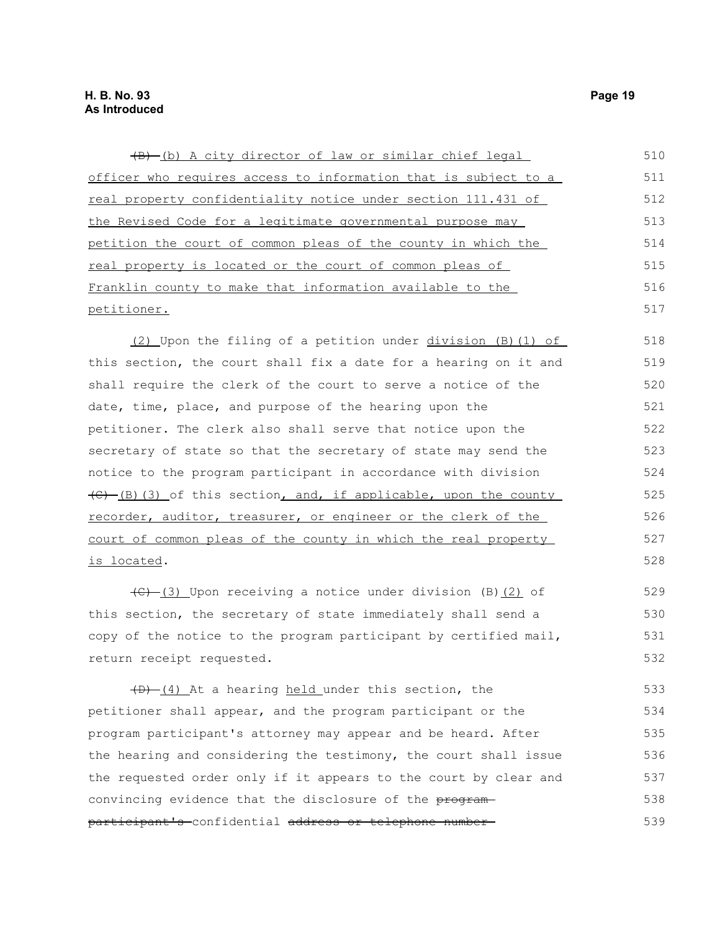| $\overline{AB}$ (b) A city director of law or similar chief legal | 510 |
|-------------------------------------------------------------------|-----|
| officer who requires access to information that is subject to a   | 511 |
| real property confidentiality notice under section 111.431 of     | 512 |
| the Revised Code for a legitimate governmental purpose may        | 513 |
| petition the court of common pleas of the county in which the     | 514 |
| real property is located or the court of common pleas of          | 515 |
| Franklin county to make that information available to the         | 516 |
| petitioner.                                                       | 517 |

(2) Upon the filing of a petition under division (B)(1) of this section, the court shall fix a date for a hearing on it and shall require the clerk of the court to serve a notice of the date, time, place, and purpose of the hearing upon the petitioner. The clerk also shall serve that notice upon the secretary of state so that the secretary of state may send the notice to the program participant in accordance with division  $\left(\frac{1}{\sqrt{C}}\right)$ (3) of this section, and, if applicable, upon the county recorder, auditor, treasurer, or engineer or the clerk of the court of common pleas of the county in which the real property is located. 518 519 520 521 522 523 524 525 526 527 528

 $\left(\frac{C}{C}\right)$  (3) Upon receiving a notice under division (B)(2) of this section, the secretary of state immediately shall send a copy of the notice to the program participant by certified mail, return receipt requested.

 $(D)$  (4) At a hearing held under this section, the petitioner shall appear, and the program participant or the program participant's attorney may appear and be heard. After the hearing and considering the testimony, the court shall issue the requested order only if it appears to the court by clear and convincing evidence that the disclosure of the programparticipant's confidential address or telephone number 533 534 535 536 537 538 539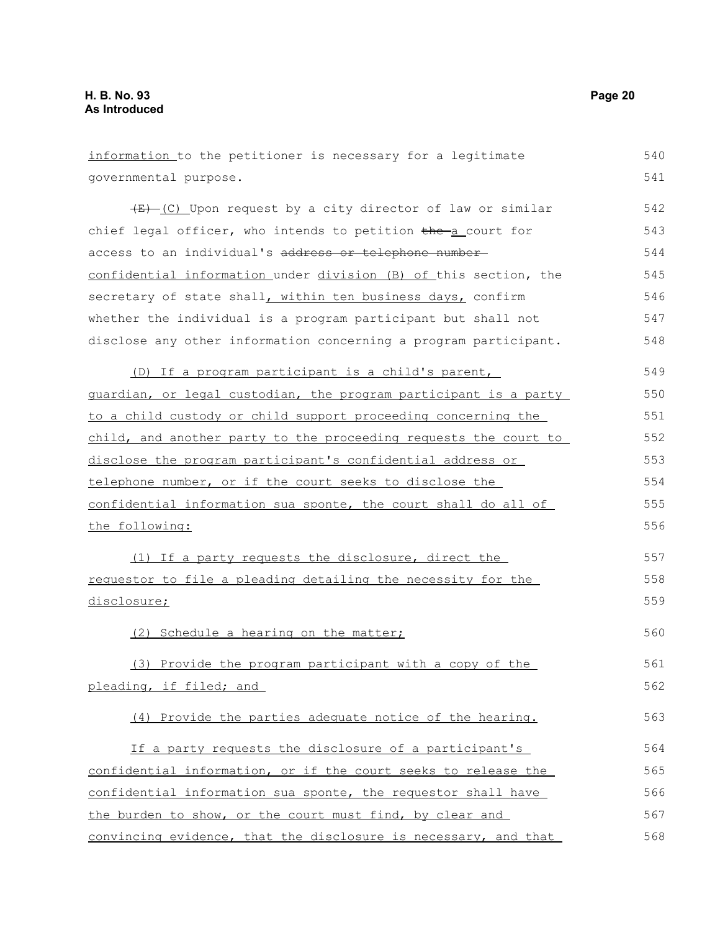information to the petitioner is necessary for a legitimate governmental purpose. (E) (C) Upon request by a city director of law or similar chief legal officer, who intends to petition the a court for access to an individual's address or telephone numberconfidential information under division (B) of this section, the secretary of state shall, within ten business days, confirm whether the individual is a program participant but shall not disclose any other information concerning a program participant. (D) If a program participant is a child's parent, guardian, or legal custodian, the program participant is a party to a child custody or child support proceeding concerning the child, and another party to the proceeding requests the court to disclose the program participant's confidential address or telephone number, or if the court seeks to disclose the confidential information sua sponte, the court shall do all of the following: (1) If a party requests the disclosure, direct the requestor to file a pleading detailing the necessity for the disclosure; (2) Schedule a hearing on the matter; (3) Provide the program participant with a copy of the pleading, if filed; and (4) Provide the parties adequate notice of the hearing. If a party requests the disclosure of a participant's confidential information, or if the court seeks to release the confidential information sua sponte, the requestor shall have the burden to show, or the court must find, by clear and 540 541 542 543 544 545 546 547 548 549 550 551 552 553 554 555 556 557 558 559 560 561 562 563 564 565 566 567

convincing evidence, that the disclosure is necessary, and that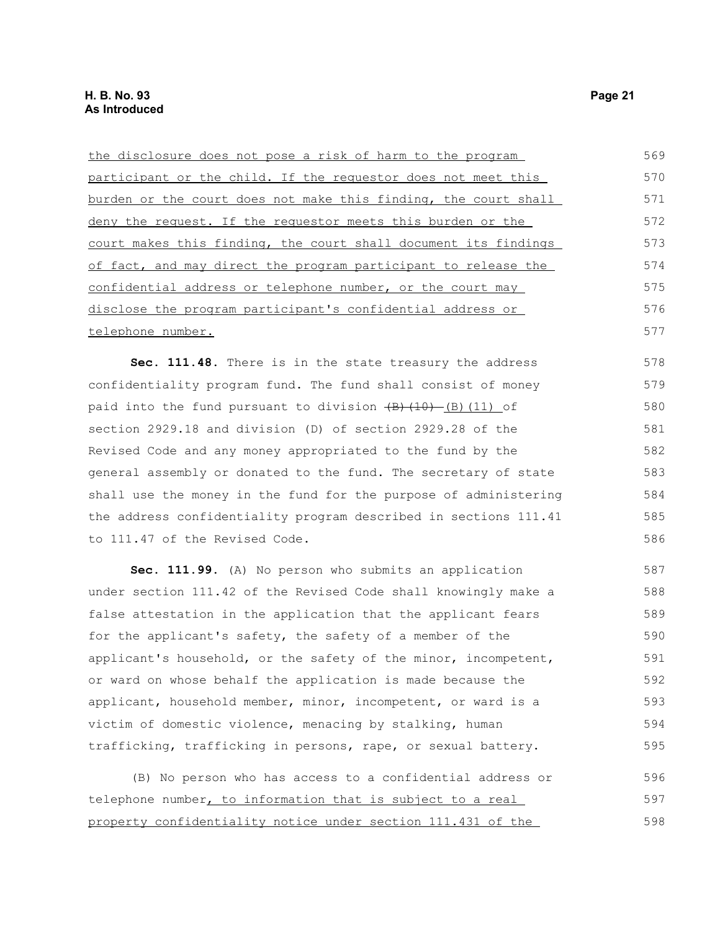| the disclosure does not pose a risk of harm to the program      | 569 |
|-----------------------------------------------------------------|-----|
| participant or the child. If the requestor does not meet this   | 570 |
| burden or the court does not make this finding, the court shall | 571 |
| deny the request. If the requestor meets this burden or the     | 572 |
| court makes this finding, the court shall document its findings | 573 |
| of fact, and may direct the program participant to release the  | 574 |
| confidential address or telephone number, or the court may      | 575 |
| disclose the program participant's confidential address or      | 576 |
| telephone number.                                               | 577 |
|                                                                 |     |

Sec. 111.48. There is in the state treasury the address confidentiality program fund. The fund shall consist of money paid into the fund pursuant to division  $(B)$   $(10)$   $(B)$   $(11)$  of section 2929.18 and division (D) of section 2929.28 of the Revised Code and any money appropriated to the fund by the general assembly or donated to the fund. The secretary of state shall use the money in the fund for the purpose of administering the address confidentiality program described in sections 111.41 to 111.47 of the Revised Code. 578 579 580 581 582 583 584 585 586

**Sec. 111.99.** (A) No person who submits an application under section 111.42 of the Revised Code shall knowingly make a false attestation in the application that the applicant fears for the applicant's safety, the safety of a member of the applicant's household, or the safety of the minor, incompetent, or ward on whose behalf the application is made because the applicant, household member, minor, incompetent, or ward is a victim of domestic violence, menacing by stalking, human trafficking, trafficking in persons, rape, or sexual battery. 587 588 589 590 591 592 593 594 595

| (B) No person who has access to a confidential address or    | 596 |
|--------------------------------------------------------------|-----|
| telephone number, to information that is subject to a real   | 597 |
| property confidentiality notice under section 111.431 of the | 598 |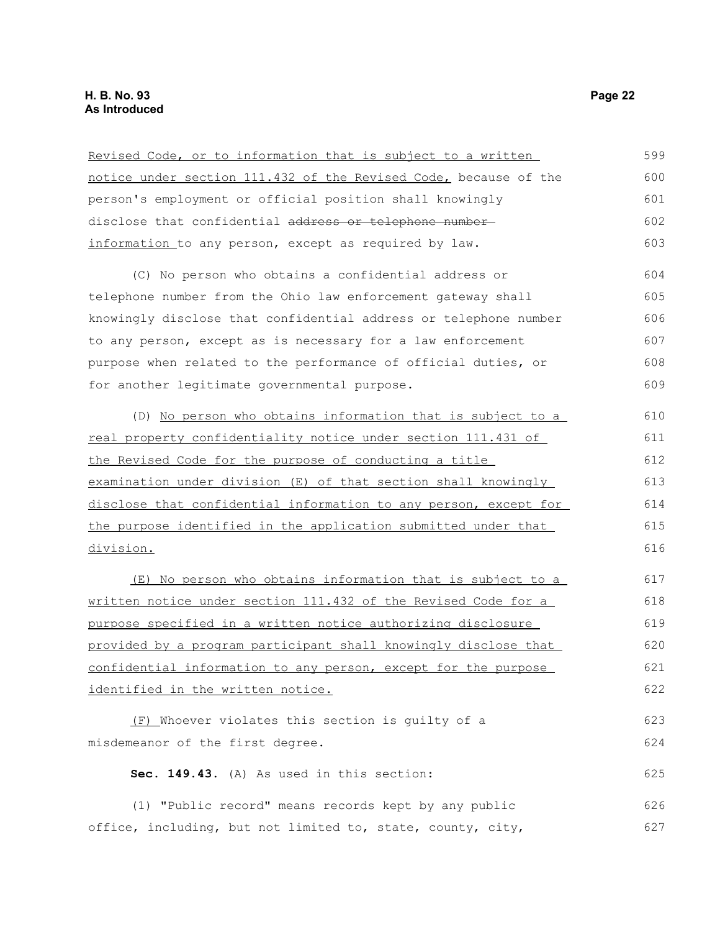| Revised Code, or to information that is subject to a written     | 599 |
|------------------------------------------------------------------|-----|
| notice under section 111.432 of the Revised Code, because of the | 600 |
| person's employment or official position shall knowingly         | 601 |
| disclose that confidential address or telephone number-          | 602 |
| information to any person, except as required by law.            | 603 |
| (C) No person who obtains a confidential address or              | 604 |
| telephone number from the Ohio law enforcement gateway shall     | 605 |
| knowingly disclose that confidential address or telephone number | 606 |
| to any person, except as is necessary for a law enforcement      | 607 |
| purpose when related to the performance of official duties, or   | 608 |
| for another legitimate governmental purpose.                     | 609 |
| (D) No person who obtains information that is subject to a       | 610 |
| real property confidentiality notice under section 111.431 of    | 611 |
| the Revised Code for the purpose of conducting a title           | 612 |
| examination under division (E) of that section shall knowingly   | 613 |
| disclose that confidential information to any person, except for | 614 |
| the purpose identified in the application submitted under that   | 615 |
| division.                                                        | 616 |
| (E) No person who obtains information that is subject to a       | 617 |
| written notice under section 111.432 of the Revised Code for a   | 618 |
| purpose specified in a written notice authorizing disclosure     | 619 |
| provided by a program participant shall knowingly disclose that  | 620 |
| confidential information to any person, except for the purpose   | 621 |
| identified in the written notice.                                | 622 |
| (F) Whoever violates this section is quilty of a                 | 623 |
| misdemeanor of the first degree.                                 | 624 |
| Sec. 149.43. (A) As used in this section:                        | 625 |
| (1) "Public record" means records kept by any public             | 626 |
| office, including, but not limited to, state, county, city,      | 627 |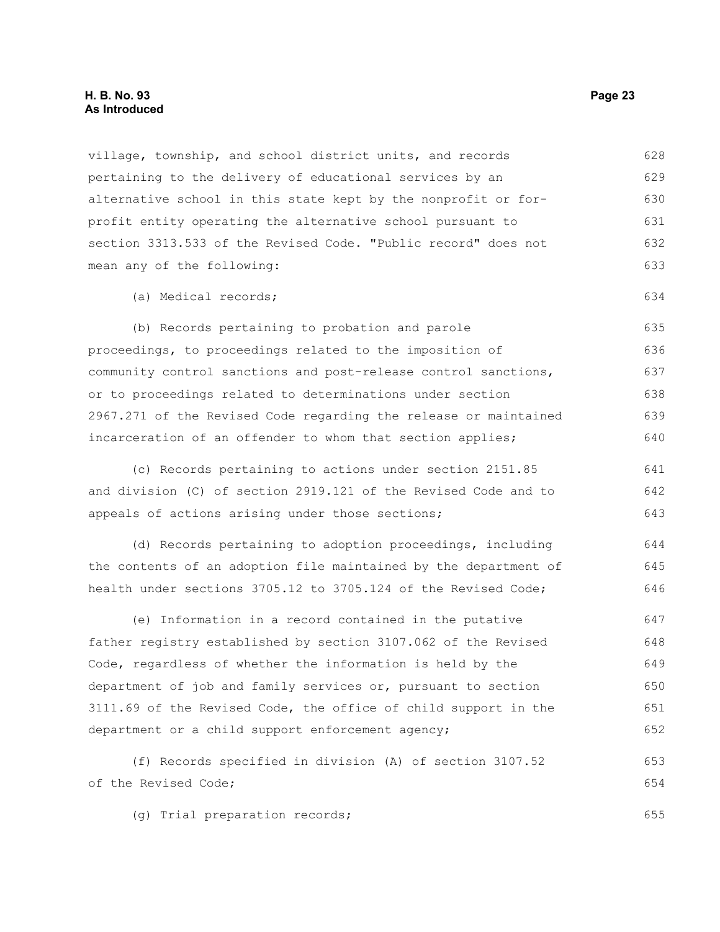#### **H. B. No. 93 Page 23 As Introduced**

village, township, and school district units, and records pertaining to the delivery of educational services by an alternative school in this state kept by the nonprofit or forprofit entity operating the alternative school pursuant to section 3313.533 of the Revised Code. "Public record" does not mean any of the following: 628 629 630 631 632 633

(a) Medical records;

(b) Records pertaining to probation and parole proceedings, to proceedings related to the imposition of community control sanctions and post-release control sanctions, or to proceedings related to determinations under section 2967.271 of the Revised Code regarding the release or maintained incarceration of an offender to whom that section applies; 635 636 637 638 639 640

(c) Records pertaining to actions under section 2151.85 and division (C) of section 2919.121 of the Revised Code and to appeals of actions arising under those sections; 641 642 643

(d) Records pertaining to adoption proceedings, including the contents of an adoption file maintained by the department of health under sections 3705.12 to 3705.124 of the Revised Code; 644 645 646

(e) Information in a record contained in the putative father registry established by section 3107.062 of the Revised Code, regardless of whether the information is held by the department of job and family services or, pursuant to section 3111.69 of the Revised Code, the office of child support in the department or a child support enforcement agency; 647 648 649 650 651 652

(f) Records specified in division (A) of section 3107.52 of the Revised Code; 653 654

(g) Trial preparation records;

634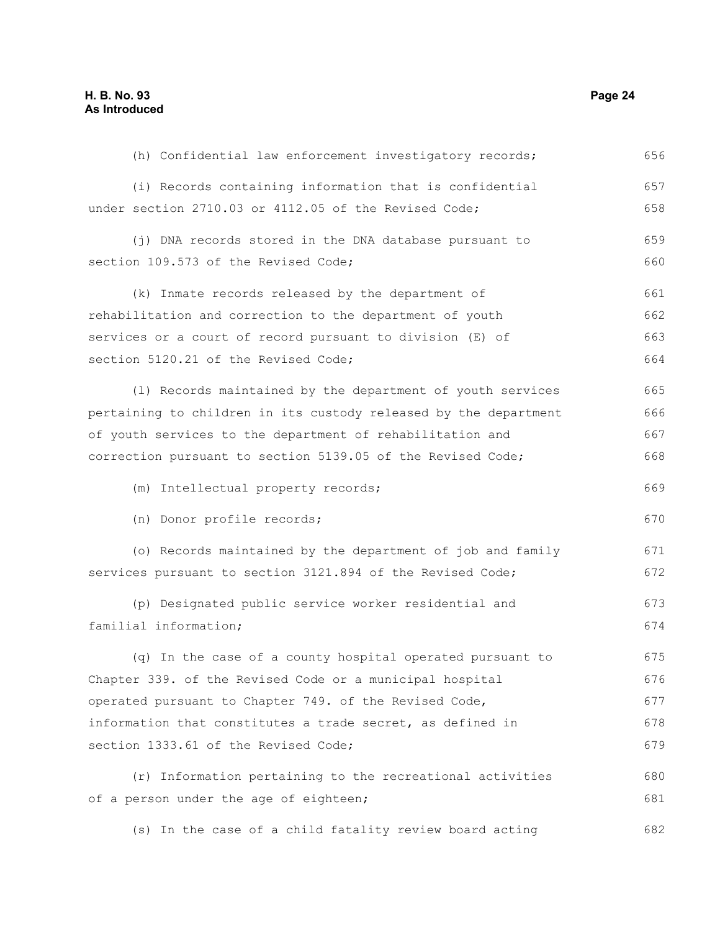| (h) Confidential law enforcement investigatory records;          | 656 |
|------------------------------------------------------------------|-----|
| (i) Records containing information that is confidential          | 657 |
| under section 2710.03 or 4112.05 of the Revised Code;            | 658 |
| (j) DNA records stored in the DNA database pursuant to           | 659 |
| section 109.573 of the Revised Code;                             | 660 |
| (k) Inmate records released by the department of                 | 661 |
| rehabilitation and correction to the department of youth         | 662 |
| services or a court of record pursuant to division (E) of        | 663 |
| section 5120.21 of the Revised Code;                             | 664 |
| (1) Records maintained by the department of youth services       | 665 |
| pertaining to children in its custody released by the department | 666 |
| of youth services to the department of rehabilitation and        | 667 |
| correction pursuant to section 5139.05 of the Revised Code;      | 668 |
| (m) Intellectual property records;                               | 669 |
| (n) Donor profile records;                                       | 670 |
| (o) Records maintained by the department of job and family       | 671 |
| services pursuant to section 3121.894 of the Revised Code;       | 672 |
| (p) Designated public service worker residential and             | 673 |
| familial information;                                            | 674 |
| (q) In the case of a county hospital operated pursuant to        | 675 |
| Chapter 339. of the Revised Code or a municipal hospital         | 676 |
| operated pursuant to Chapter 749. of the Revised Code,           | 677 |
| information that constitutes a trade secret, as defined in       | 678 |
| section 1333.61 of the Revised Code;                             | 679 |
| (r) Information pertaining to the recreational activities        | 680 |
| of a person under the age of eighteen;                           | 681 |
| (s) In the case of a child fatality review board acting          | 682 |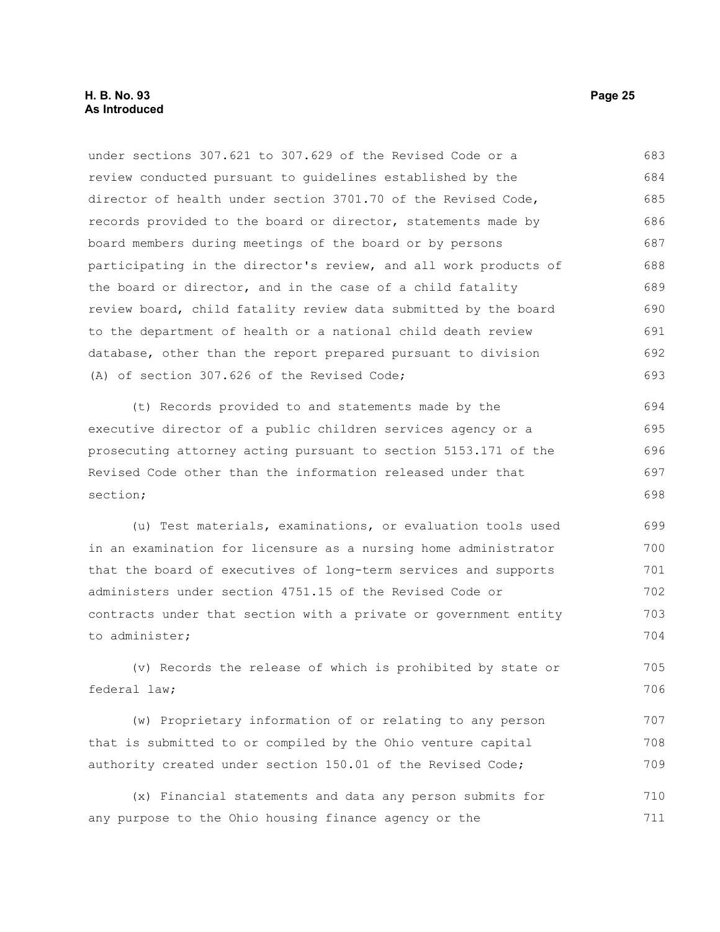under sections 307.621 to 307.629 of the Revised Code or a review conducted pursuant to guidelines established by the director of health under section 3701.70 of the Revised Code, records provided to the board or director, statements made by board members during meetings of the board or by persons participating in the director's review, and all work products of the board or director, and in the case of a child fatality review board, child fatality review data submitted by the board to the department of health or a national child death review database, other than the report prepared pursuant to division (A) of section 307.626 of the Revised Code; 683 684 685 686 687 688 689 690 691 692 693

(t) Records provided to and statements made by the executive director of a public children services agency or a prosecuting attorney acting pursuant to section 5153.171 of the Revised Code other than the information released under that section; 694 695 696 697 698

(u) Test materials, examinations, or evaluation tools used in an examination for licensure as a nursing home administrator that the board of executives of long-term services and supports administers under section 4751.15 of the Revised Code or contracts under that section with a private or government entity to administer; 699 700 701 702 703 704

(v) Records the release of which is prohibited by state or federal law; 705 706

(w) Proprietary information of or relating to any person that is submitted to or compiled by the Ohio venture capital authority created under section 150.01 of the Revised Code; 707 708 709

(x) Financial statements and data any person submits for any purpose to the Ohio housing finance agency or the 710 711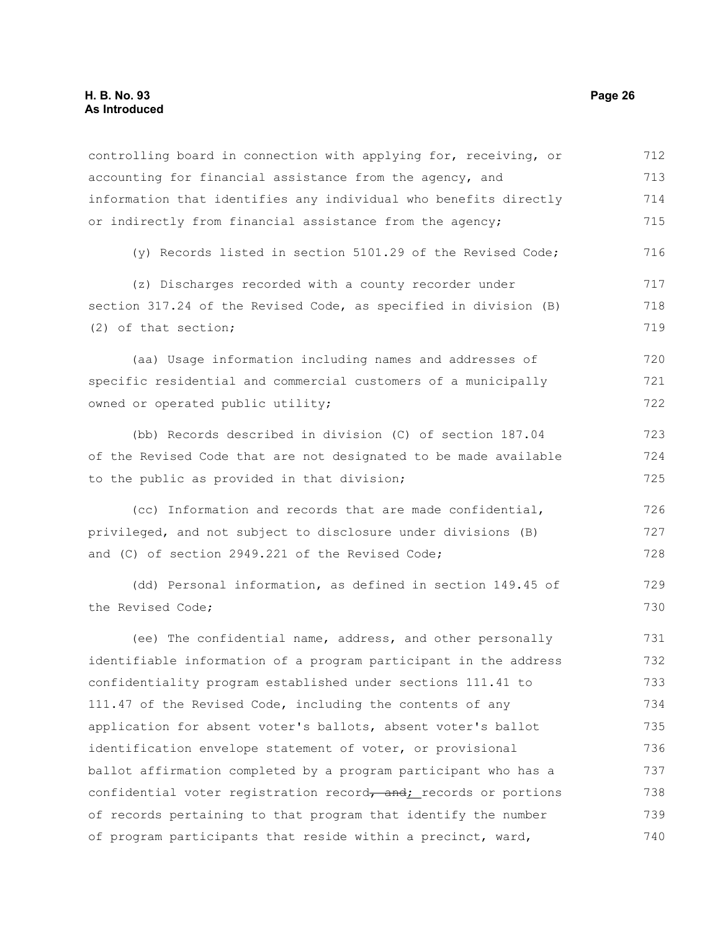#### **H. B. No. 93 Page 26 As Introduced**

controlling board in connection with applying for, receiving, or accounting for financial assistance from the agency, and information that identifies any individual who benefits directly or indirectly from financial assistance from the agency; (y) Records listed in section 5101.29 of the Revised Code; (z) Discharges recorded with a county recorder under section 317.24 of the Revised Code, as specified in division (B) (2) of that section; (aa) Usage information including names and addresses of specific residential and commercial customers of a municipally owned or operated public utility; (bb) Records described in division (C) of section 187.04 of the Revised Code that are not designated to be made available to the public as provided in that division; (cc) Information and records that are made confidential, privileged, and not subject to disclosure under divisions (B) and (C) of section 2949.221 of the Revised Code; (dd) Personal information, as defined in section 149.45 of the Revised Code; (ee) The confidential name, address, and other personally identifiable information of a program participant in the address confidentiality program established under sections 111.41 to 111.47 of the Revised Code, including the contents of any application for absent voter's ballots, absent voter's ballot identification envelope statement of voter, or provisional ballot affirmation completed by a program participant who has a confidential voter registration record<sub>7</sub> and; records or portions of records pertaining to that program that identify the number of program participants that reside within a precinct, ward, 712 713 714 715 716 717 718 719 720 721 722 723 724 725 726 727 728 729 730 731 732 733 734 735 736 737 738 739 740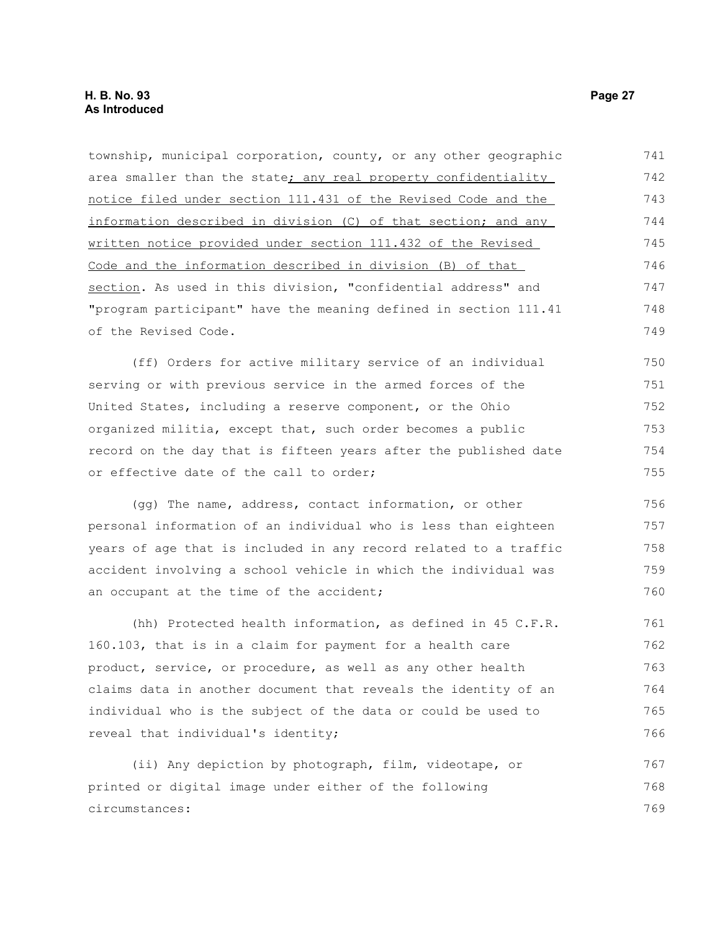township, municipal corporation, county, or any other geographic area smaller than the state; any real property confidentiality notice filed under section 111.431 of the Revised Code and the information described in division (C) of that section; and any written notice provided under section 111.432 of the Revised Code and the information described in division (B) of that section. As used in this division, "confidential address" and "program participant" have the meaning defined in section 111.41 of the Revised Code. (ff) Orders for active military service of an individual serving or with previous service in the armed forces of the United States, including a reserve component, or the Ohio organized militia, except that, such order becomes a public record on the day that is fifteen years after the published date or effective date of the call to order; (gg) The name, address, contact information, or other personal information of an individual who is less than eighteen years of age that is included in any record related to a traffic accident involving a school vehicle in which the individual was an occupant at the time of the accident; (hh) Protected health information, as defined in 45 C.F.R. 160.103, that is in a claim for payment for a health care product, service, or procedure, as well as any other health claims data in another document that reveals the identity of an individual who is the subject of the data or could be used to reveal that individual's identity; (ii) Any depiction by photograph, film, videotape, or printed or digital image under either of the following circumstances: 741 742 743 744 745 746 747 748 749 750 751 752 753 754 755 756 757 758 759 760 761 762 763 764 765 766 767 768 769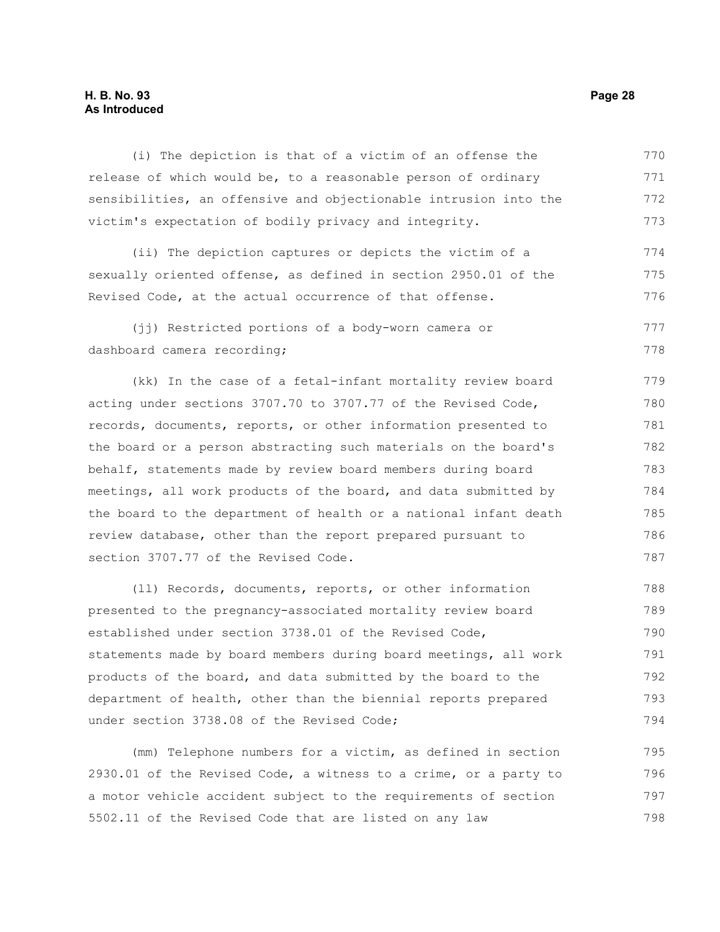#### **H. B. No. 93 Page 28 As Introduced**

(i) The depiction is that of a victim of an offense the release of which would be, to a reasonable person of ordinary sensibilities, an offensive and objectionable intrusion into the victim's expectation of bodily privacy and integrity. 770 771 772 773

(ii) The depiction captures or depicts the victim of a sexually oriented offense, as defined in section 2950.01 of the Revised Code, at the actual occurrence of that offense. 774 775 776

(jj) Restricted portions of a body-worn camera or dashboard camera recording; 777 778

(kk) In the case of a fetal-infant mortality review board acting under sections 3707.70 to 3707.77 of the Revised Code, records, documents, reports, or other information presented to the board or a person abstracting such materials on the board's behalf, statements made by review board members during board meetings, all work products of the board, and data submitted by the board to the department of health or a national infant death review database, other than the report prepared pursuant to section 3707.77 of the Revised Code.

(ll) Records, documents, reports, or other information presented to the pregnancy-associated mortality review board established under section 3738.01 of the Revised Code, statements made by board members during board meetings, all work products of the board, and data submitted by the board to the department of health, other than the biennial reports prepared under section 3738.08 of the Revised Code; 788 789 790 791 792 793 794

(mm) Telephone numbers for a victim, as defined in section 2930.01 of the Revised Code, a witness to a crime, or a party to a motor vehicle accident subject to the requirements of section 5502.11 of the Revised Code that are listed on any law 795 796 797 798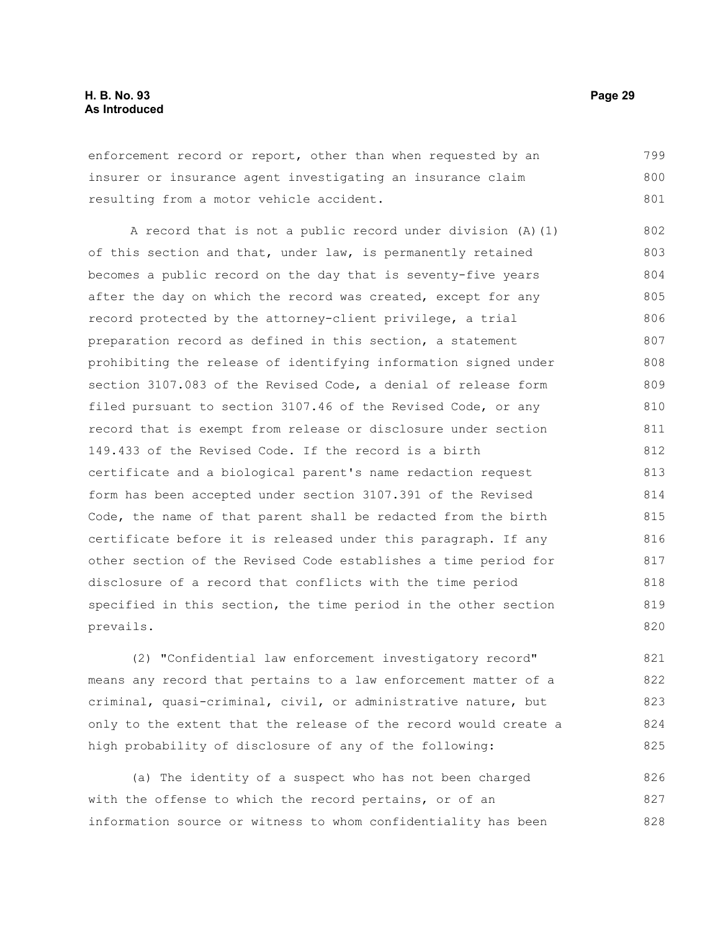enforcement record or report, other than when requested by an insurer or insurance agent investigating an insurance claim resulting from a motor vehicle accident. 799 800 801

A record that is not a public record under division (A)(1) of this section and that, under law, is permanently retained becomes a public record on the day that is seventy-five years after the day on which the record was created, except for any record protected by the attorney-client privilege, a trial preparation record as defined in this section, a statement prohibiting the release of identifying information signed under section 3107.083 of the Revised Code, a denial of release form filed pursuant to section 3107.46 of the Revised Code, or any record that is exempt from release or disclosure under section 149.433 of the Revised Code. If the record is a birth certificate and a biological parent's name redaction request form has been accepted under section 3107.391 of the Revised Code, the name of that parent shall be redacted from the birth certificate before it is released under this paragraph. If any other section of the Revised Code establishes a time period for disclosure of a record that conflicts with the time period specified in this section, the time period in the other section prevails. 802 803 804 805 806 807 808 809 810 811 812 813 814 815 816 817 818 819 820

(2) "Confidential law enforcement investigatory record" means any record that pertains to a law enforcement matter of a criminal, quasi-criminal, civil, or administrative nature, but only to the extent that the release of the record would create a high probability of disclosure of any of the following: 821 822 823 824 825

(a) The identity of a suspect who has not been charged with the offense to which the record pertains, or of an information source or witness to whom confidentiality has been 826 827 828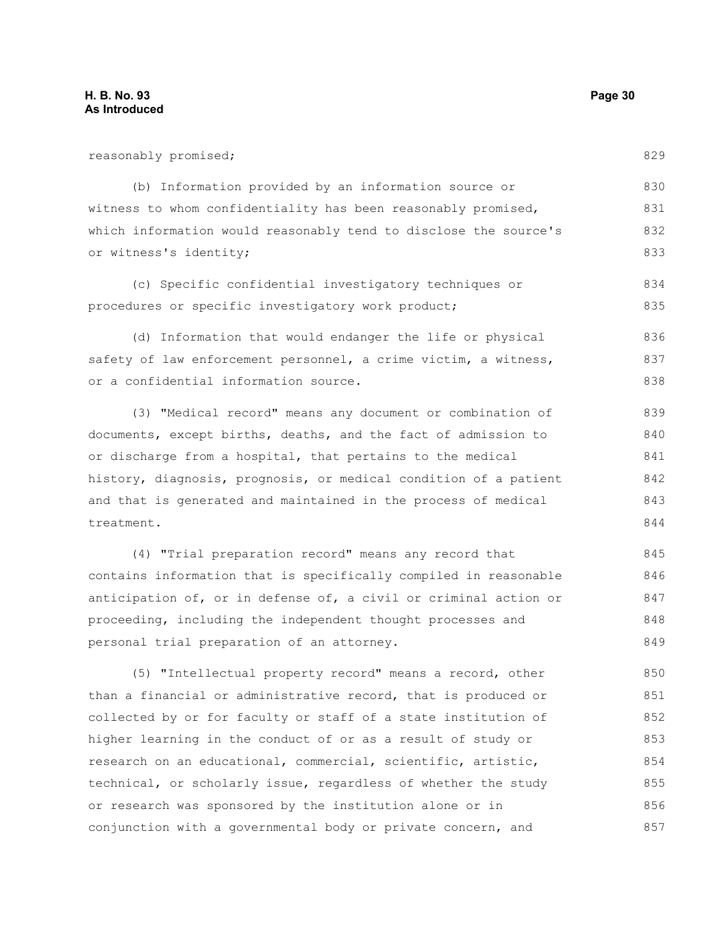reasonably promised;

| (b) Information provided by an information source or             |
|------------------------------------------------------------------|
| witness to whom confidentiality has been reasonably promised,    |
| which information would reasonably tend to disclose the source's |
| or witness's identity;                                           |
| (c) Specific confidential investigatory techniques or            |
| procedures or specific investigatory work product;               |
|                                                                  |

(d) Information that would endanger the life or physical safety of law enforcement personnel, a crime victim, a witness, or a confidential information source. 836 837 838

(3) "Medical record" means any document or combination of documents, except births, deaths, and the fact of admission to or discharge from a hospital, that pertains to the medical history, diagnosis, prognosis, or medical condition of a patient and that is generated and maintained in the process of medical treatment.

(4) "Trial preparation record" means any record that contains information that is specifically compiled in reasonable anticipation of, or in defense of, a civil or criminal action or proceeding, including the independent thought processes and personal trial preparation of an attorney. 845 846 847 848 849

(5) "Intellectual property record" means a record, other than a financial or administrative record, that is produced or collected by or for faculty or staff of a state institution of higher learning in the conduct of or as a result of study or research on an educational, commercial, scientific, artistic, technical, or scholarly issue, regardless of whether the study or research was sponsored by the institution alone or in conjunction with a governmental body or private concern, and 850 851 852 853 854 855 856 857

834 835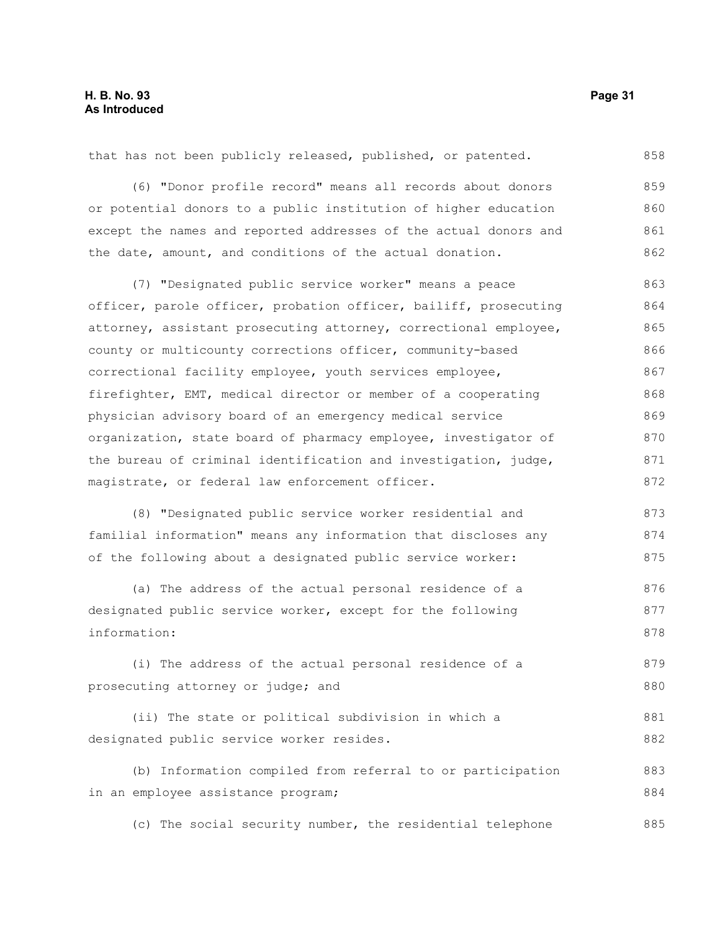that has not been publicly released, published, or patented. 858

(6) "Donor profile record" means all records about donors or potential donors to a public institution of higher education except the names and reported addresses of the actual donors and the date, amount, and conditions of the actual donation. 859 860 861 862

(7) "Designated public service worker" means a peace officer, parole officer, probation officer, bailiff, prosecuting attorney, assistant prosecuting attorney, correctional employee, county or multicounty corrections officer, community-based correctional facility employee, youth services employee, firefighter, EMT, medical director or member of a cooperating physician advisory board of an emergency medical service organization, state board of pharmacy employee, investigator of the bureau of criminal identification and investigation, judge, magistrate, or federal law enforcement officer. 863 864 865 866 867 868 869 870 871 872

(8) "Designated public service worker residential and familial information" means any information that discloses any of the following about a designated public service worker: 873 874 875

(a) The address of the actual personal residence of a designated public service worker, except for the following information: 876 877 878

(i) The address of the actual personal residence of a prosecuting attorney or judge; and 879 880

(ii) The state or political subdivision in which a designated public service worker resides. 881 882

(b) Information compiled from referral to or participation in an employee assistance program; 883 884

(c) The social security number, the residential telephone 885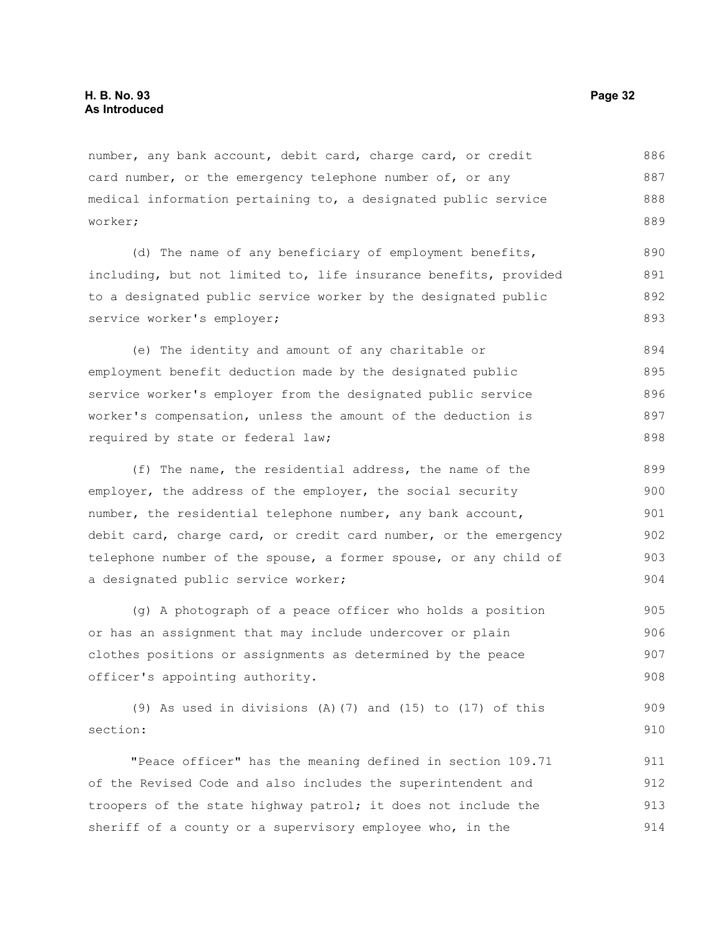number, any bank account, debit card, charge card, or credit card number, or the emergency telephone number of, or any medical information pertaining to, a designated public service worker; 886 887 888 889

(d) The name of any beneficiary of employment benefits, including, but not limited to, life insurance benefits, provided to a designated public service worker by the designated public service worker's employer; 890 891 892 893

(e) The identity and amount of any charitable or employment benefit deduction made by the designated public service worker's employer from the designated public service worker's compensation, unless the amount of the deduction is required by state or federal law; 894 895 896 897 898

(f) The name, the residential address, the name of the employer, the address of the employer, the social security number, the residential telephone number, any bank account, debit card, charge card, or credit card number, or the emergency telephone number of the spouse, a former spouse, or any child of a designated public service worker; 899 900 901 902 903 904

(g) A photograph of a peace officer who holds a position or has an assignment that may include undercover or plain clothes positions or assignments as determined by the peace officer's appointing authority. 905 906 907 908

(9) As used in divisions (A)(7) and (15) to (17) of this section: 909 910

"Peace officer" has the meaning defined in section 109.71 of the Revised Code and also includes the superintendent and troopers of the state highway patrol; it does not include the sheriff of a county or a supervisory employee who, in the 911 912 913 914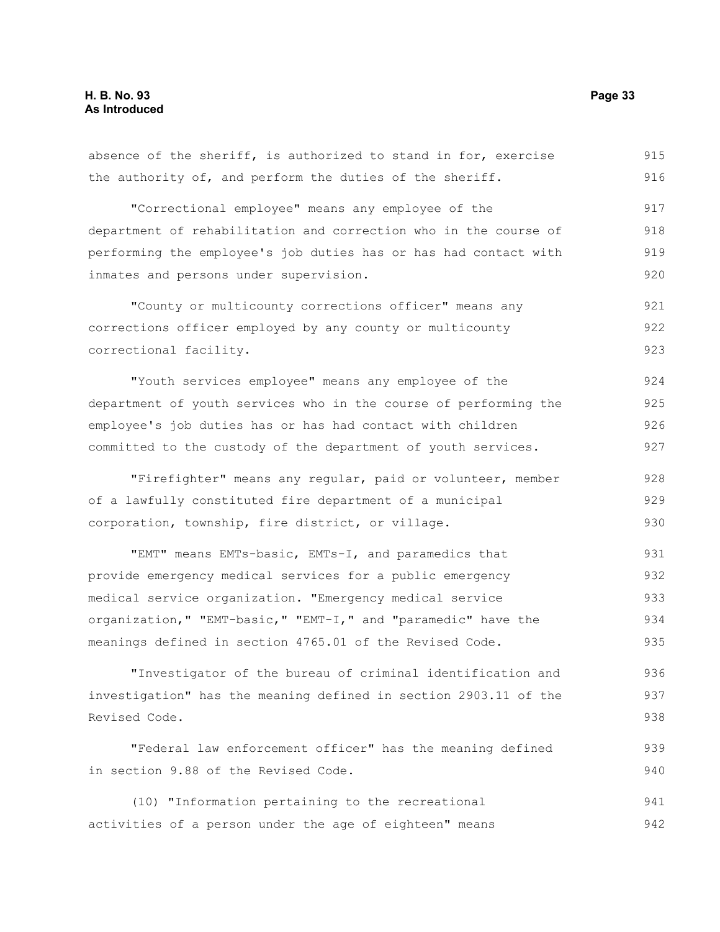"Correctional employee" means any employee of the department of rehabilitation and correction who in the course of performing the employee's job duties has or has had contact with inmates and persons under supervision. "County or multicounty corrections officer" means any corrections officer employed by any county or multicounty correctional facility. "Youth services employee" means any employee of the department of youth services who in the course of performing the employee's job duties has or has had contact with children committed to the custody of the department of youth services. "Firefighter" means any regular, paid or volunteer, member of a lawfully constituted fire department of a municipal corporation, township, fire district, or village. "EMT" means EMTs-basic, EMTs-I, and paramedics that provide emergency medical services for a public emergency medical service organization. "Emergency medical service organization," "EMT-basic," "EMT-I," and "paramedic" have the meanings defined in section 4765.01 of the Revised Code. "Investigator of the bureau of criminal identification and investigation" has the meaning defined in section 2903.11 of the Revised Code. "Federal law enforcement officer" has the meaning defined in section 9.88 of the Revised Code. (10) "Information pertaining to the recreational activities of a person under the age of eighteen" means 917 918 919 920 921 922 923 924 925 926 927 928 929 930 931 932 933 934 935 936 937 938 939 940 941 942

absence of the sheriff, is authorized to stand in for, exercise

the authority of, and perform the duties of the sheriff.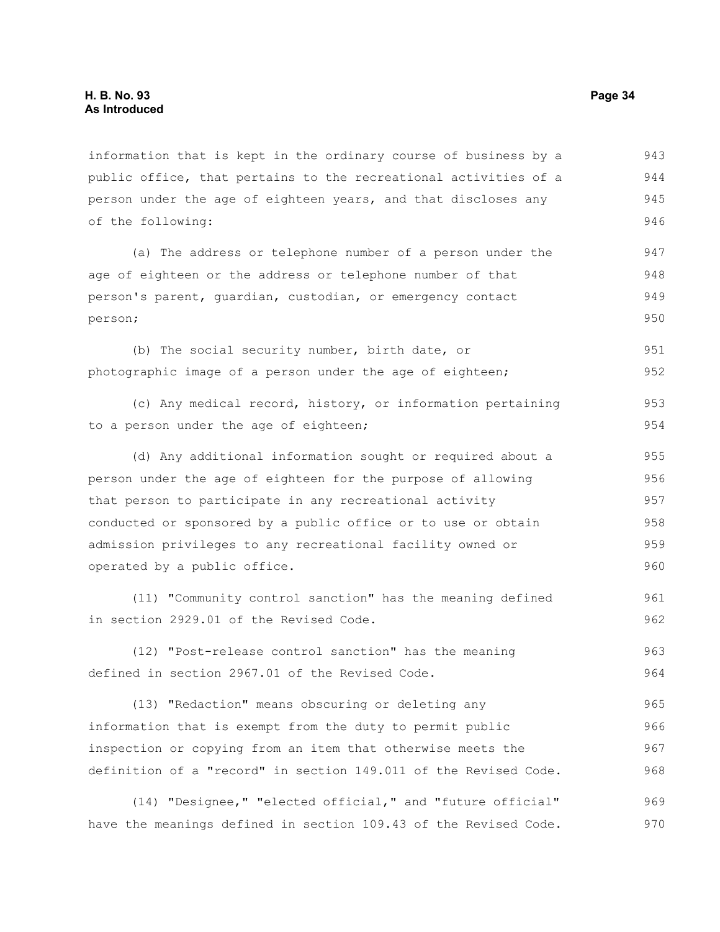information that is kept in the ordinary course of business by a public office, that pertains to the recreational activities of a person under the age of eighteen years, and that discloses any of the following: 943 944 945 946

(a) The address or telephone number of a person under the age of eighteen or the address or telephone number of that person's parent, guardian, custodian, or emergency contact person; 947 948 949 950

(b) The social security number, birth date, or photographic image of a person under the age of eighteen; 951 952

(c) Any medical record, history, or information pertaining to a person under the age of eighteen; 953 954

(d) Any additional information sought or required about a person under the age of eighteen for the purpose of allowing that person to participate in any recreational activity conducted or sponsored by a public office or to use or obtain admission privileges to any recreational facility owned or operated by a public office. 955 956 957 958 959 960

(11) "Community control sanction" has the meaning defined in section 2929.01 of the Revised Code.

(12) "Post-release control sanction" has the meaning defined in section 2967.01 of the Revised Code. 963 964

(13) "Redaction" means obscuring or deleting any information that is exempt from the duty to permit public inspection or copying from an item that otherwise meets the definition of a "record" in section 149.011 of the Revised Code. 965 966 967 968

(14) "Designee," "elected official," and "future official" have the meanings defined in section 109.43 of the Revised Code. 969 970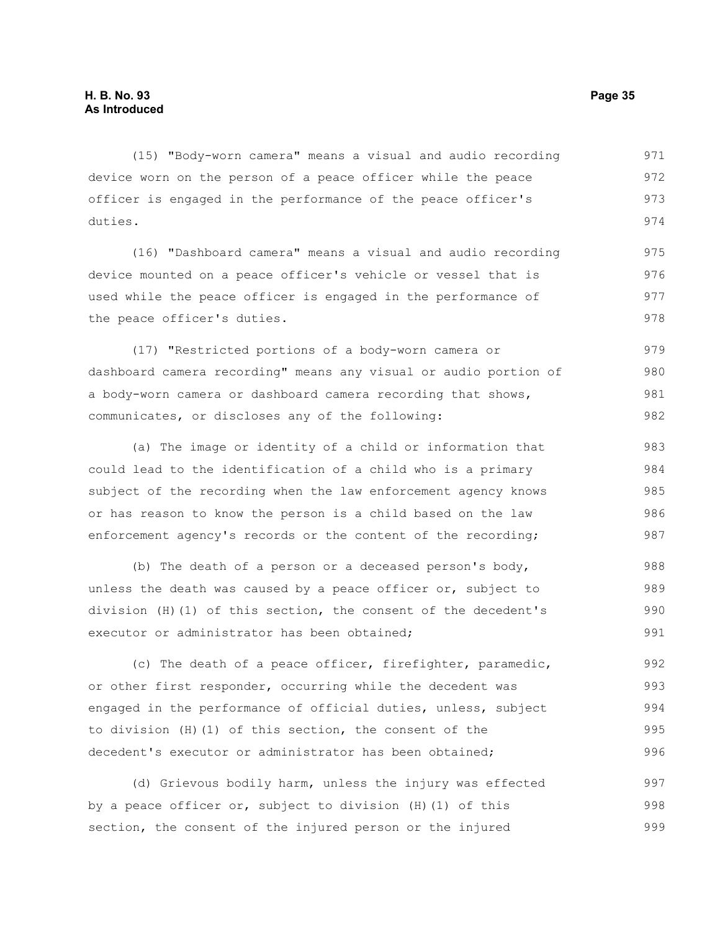(15) "Body-worn camera" means a visual and audio recording device worn on the person of a peace officer while the peace officer is engaged in the performance of the peace officer's duties. 971 972 973 974

(16) "Dashboard camera" means a visual and audio recording device mounted on a peace officer's vehicle or vessel that is used while the peace officer is engaged in the performance of the peace officer's duties. 975 976 977 978

(17) "Restricted portions of a body-worn camera or dashboard camera recording" means any visual or audio portion of a body-worn camera or dashboard camera recording that shows, communicates, or discloses any of the following: 979 980 981 982

(a) The image or identity of a child or information that could lead to the identification of a child who is a primary subject of the recording when the law enforcement agency knows or has reason to know the person is a child based on the law enforcement agency's records or the content of the recording; 983 984 985 986 987

(b) The death of a person or a deceased person's body, unless the death was caused by a peace officer or, subject to division (H)(1) of this section, the consent of the decedent's executor or administrator has been obtained; 988 989 990 991

(c) The death of a peace officer, firefighter, paramedic, or other first responder, occurring while the decedent was engaged in the performance of official duties, unless, subject to division (H)(1) of this section, the consent of the decedent's executor or administrator has been obtained; 992 993 994 995 996

(d) Grievous bodily harm, unless the injury was effected by a peace officer or, subject to division (H)(1) of this section, the consent of the injured person or the injured 997 998 999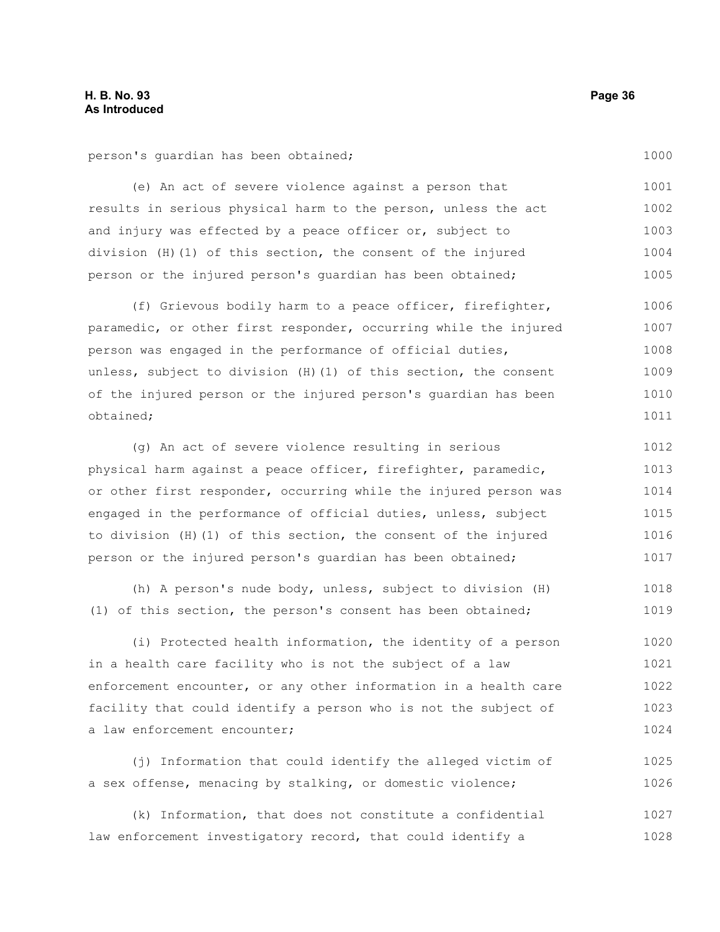person's guardian has been obtained;

(e) An act of severe violence against a person that results in serious physical harm to the person, unless the act and injury was effected by a peace officer or, subject to division (H)(1) of this section, the consent of the injured person or the injured person's guardian has been obtained; 1001 1002 1003 1004 1005

(f) Grievous bodily harm to a peace officer, firefighter, paramedic, or other first responder, occurring while the injured person was engaged in the performance of official duties, unless, subject to division (H)(1) of this section, the consent of the injured person or the injured person's guardian has been obtained; 1006 1007 1008 1009 1010 1011

(g) An act of severe violence resulting in serious physical harm against a peace officer, firefighter, paramedic, or other first responder, occurring while the injured person was engaged in the performance of official duties, unless, subject to division (H)(1) of this section, the consent of the injured person or the injured person's guardian has been obtained; 1012 1013 1014 1015 1016 1017

(h) A person's nude body, unless, subject to division (H) (1) of this section, the person's consent has been obtained; 1018 1019

(i) Protected health information, the identity of a person in a health care facility who is not the subject of a law enforcement encounter, or any other information in a health care facility that could identify a person who is not the subject of a law enforcement encounter; 1020 1021 1022 1023 1024

(j) Information that could identify the alleged victim of a sex offense, menacing by stalking, or domestic violence; 1025 1026

(k) Information, that does not constitute a confidential law enforcement investigatory record, that could identify a 1027 1028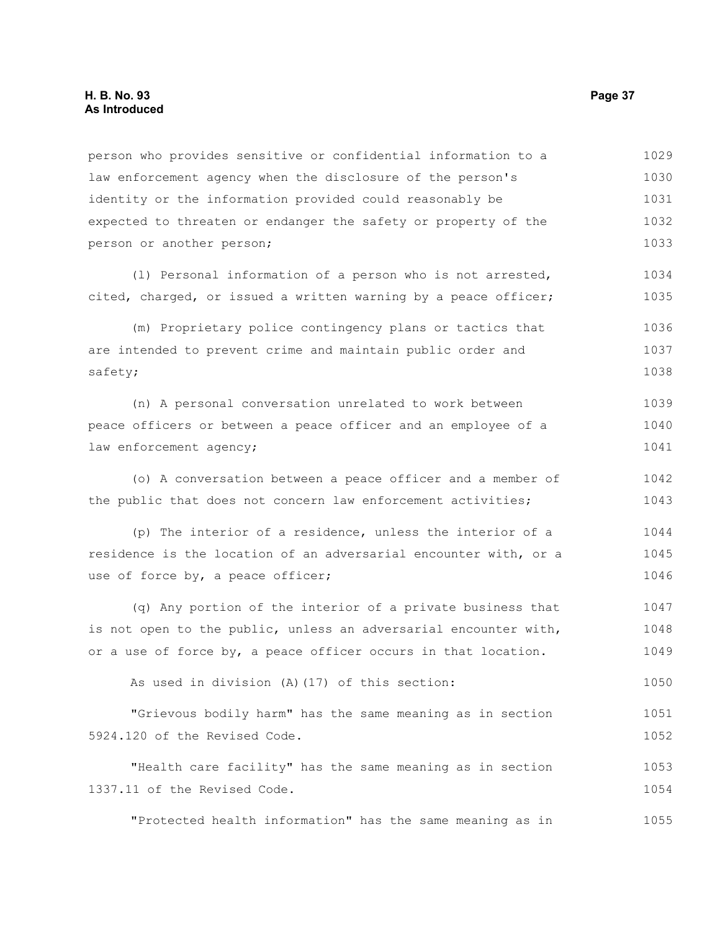person who provides sensitive or confidential information to a law enforcement agency when the disclosure of the person's identity or the information provided could reasonably be expected to threaten or endanger the safety or property of the person or another person; 1029 1030 1031 1032 1033

(l) Personal information of a person who is not arrested, cited, charged, or issued a written warning by a peace officer; 1034 1035

(m) Proprietary police contingency plans or tactics that are intended to prevent crime and maintain public order and safety; 1036 1037 1038

(n) A personal conversation unrelated to work between peace officers or between a peace officer and an employee of a law enforcement agency; 1039 1040 1041

(o) A conversation between a peace officer and a member of the public that does not concern law enforcement activities; 1042 1043

(p) The interior of a residence, unless the interior of a residence is the location of an adversarial encounter with, or a use of force by, a peace officer; 1044 1045 1046

(q) Any portion of the interior of a private business that is not open to the public, unless an adversarial encounter with, or a use of force by, a peace officer occurs in that location. 1047 1048 1049

As used in division (A)(17) of this section: 1050

"Grievous bodily harm" has the same meaning as in section 5924.120 of the Revised Code. 1051 1052

"Health care facility" has the same meaning as in section 1337.11 of the Revised Code. 1053 1054

"Protected health information" has the same meaning as in 1055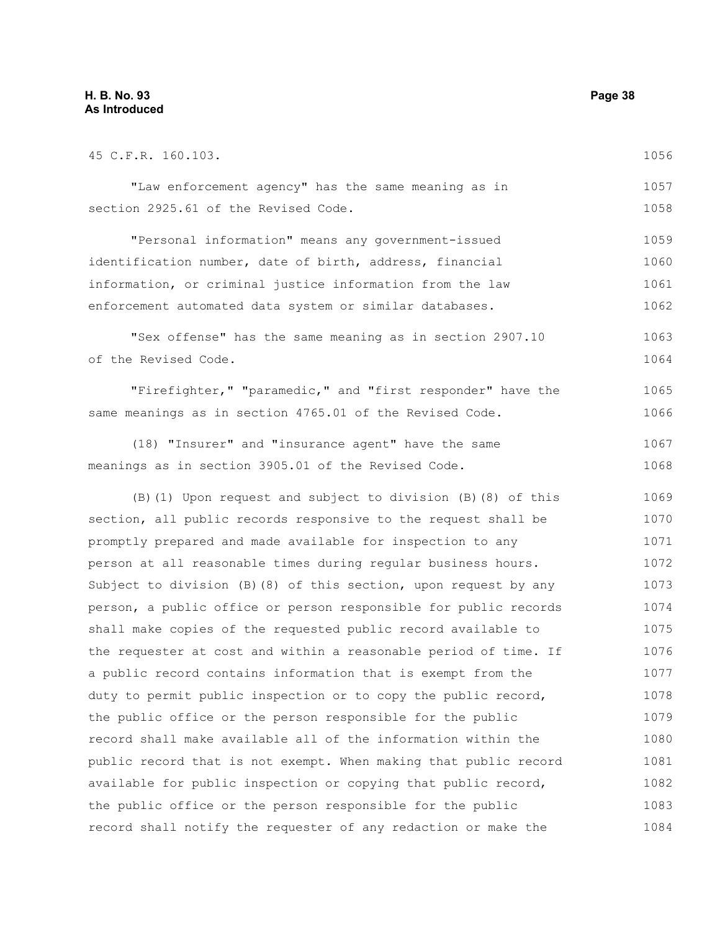45 C.F.R. 160.103. "Law enforcement agency" has the same meaning as in section 2925.61 of the Revised Code. "Personal information" means any government-issued identification number, date of birth, address, financial information, or criminal justice information from the law enforcement automated data system or similar databases. "Sex offense" has the same meaning as in section 2907.10 of the Revised Code. "Firefighter," "paramedic," and "first responder" have the same meanings as in section 4765.01 of the Revised Code. (18) "Insurer" and "insurance agent" have the same meanings as in section 3905.01 of the Revised Code. (B)(1) Upon request and subject to division (B)(8) of this section, all public records responsive to the request shall be promptly prepared and made available for inspection to any person at all reasonable times during regular business hours. Subject to division (B)(8) of this section, upon request by any person, a public office or person responsible for public records shall make copies of the requested public record available to the requester at cost and within a reasonable period of time. If a public record contains information that is exempt from the duty to permit public inspection or to copy the public record, the public office or the person responsible for the public record shall make available all of the information within the public record that is not exempt. When making that public record available for public inspection or copying that public record, 1056 1057 1058 1059 1060 1061 1062 1063 1064 1065 1066 1067 1068 1069 1070 1071 1072 1073 1074 1075 1076 1077 1078 1079 1080 1081 1082

the public office or the person responsible for the public record shall notify the requester of any redaction or make the 1083 1084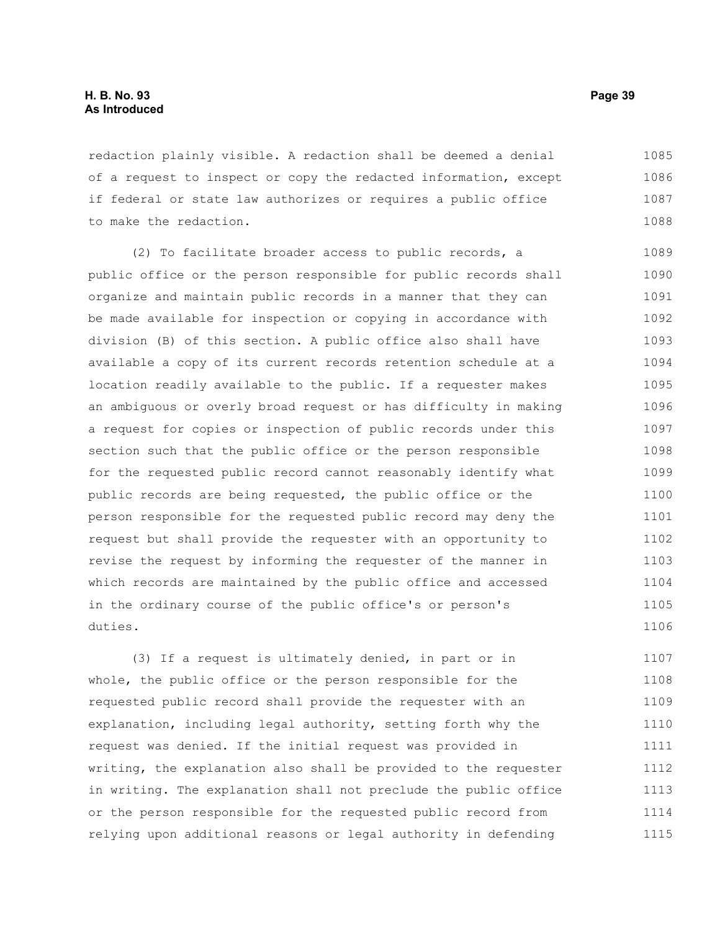redaction plainly visible. A redaction shall be deemed a denial of a request to inspect or copy the redacted information, except if federal or state law authorizes or requires a public office to make the redaction. 1085 1086 1087 1088

(2) To facilitate broader access to public records, a public office or the person responsible for public records shall organize and maintain public records in a manner that they can be made available for inspection or copying in accordance with division (B) of this section. A public office also shall have available a copy of its current records retention schedule at a location readily available to the public. If a requester makes an ambiguous or overly broad request or has difficulty in making a request for copies or inspection of public records under this section such that the public office or the person responsible for the requested public record cannot reasonably identify what public records are being requested, the public office or the person responsible for the requested public record may deny the request but shall provide the requester with an opportunity to revise the request by informing the requester of the manner in which records are maintained by the public office and accessed in the ordinary course of the public office's or person's duties. 1089 1090 1091 1092 1093 1094 1095 1096 1097 1098 1099 1100 1101 1102 1103 1104 1105 1106

(3) If a request is ultimately denied, in part or in whole, the public office or the person responsible for the requested public record shall provide the requester with an explanation, including legal authority, setting forth why the request was denied. If the initial request was provided in writing, the explanation also shall be provided to the requester in writing. The explanation shall not preclude the public office or the person responsible for the requested public record from relying upon additional reasons or legal authority in defending 1107 1108 1109 1110 1111 1112 1113 1114 1115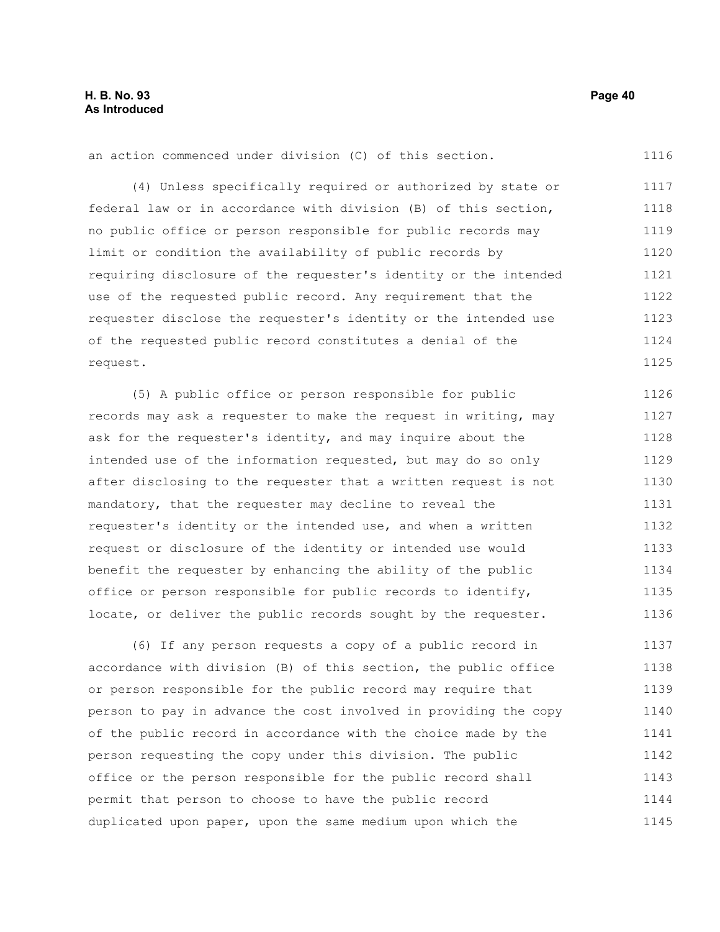1116

an action commenced under division (C) of this section.

(4) Unless specifically required or authorized by state or federal law or in accordance with division (B) of this section, no public office or person responsible for public records may limit or condition the availability of public records by requiring disclosure of the requester's identity or the intended use of the requested public record. Any requirement that the requester disclose the requester's identity or the intended use of the requested public record constitutes a denial of the request. 1117 1118 1119 1120 1121 1122 1123 1124 1125

(5) A public office or person responsible for public records may ask a requester to make the request in writing, may ask for the requester's identity, and may inquire about the intended use of the information requested, but may do so only after disclosing to the requester that a written request is not mandatory, that the requester may decline to reveal the requester's identity or the intended use, and when a written request or disclosure of the identity or intended use would benefit the requester by enhancing the ability of the public office or person responsible for public records to identify, locate, or deliver the public records sought by the requester. 1126 1127 1128 1129 1130 1131 1132 1133 1134 1135 1136

(6) If any person requests a copy of a public record in accordance with division (B) of this section, the public office or person responsible for the public record may require that person to pay in advance the cost involved in providing the copy of the public record in accordance with the choice made by the person requesting the copy under this division. The public office or the person responsible for the public record shall permit that person to choose to have the public record duplicated upon paper, upon the same medium upon which the 1137 1138 1139 1140 1141 1142 1143 1144 1145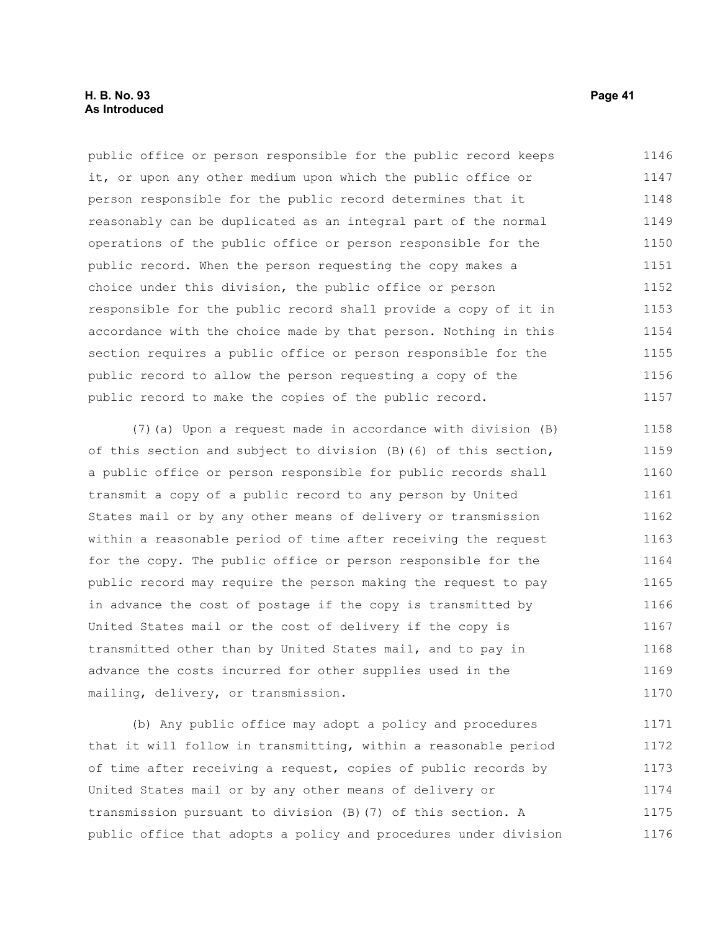public office or person responsible for the public record keeps it, or upon any other medium upon which the public office or person responsible for the public record determines that it reasonably can be duplicated as an integral part of the normal operations of the public office or person responsible for the public record. When the person requesting the copy makes a choice under this division, the public office or person responsible for the public record shall provide a copy of it in accordance with the choice made by that person. Nothing in this section requires a public office or person responsible for the public record to allow the person requesting a copy of the public record to make the copies of the public record. 1146 1147 1148 1149 1150 1151 1152 1153 1154 1155 1156 1157

(7)(a) Upon a request made in accordance with division (B) of this section and subject to division (B)(6) of this section, a public office or person responsible for public records shall transmit a copy of a public record to any person by United States mail or by any other means of delivery or transmission within a reasonable period of time after receiving the request for the copy. The public office or person responsible for the public record may require the person making the request to pay in advance the cost of postage if the copy is transmitted by United States mail or the cost of delivery if the copy is transmitted other than by United States mail, and to pay in advance the costs incurred for other supplies used in the mailing, delivery, or transmission. 1158 1159 1160 1161 1162 1163 1164 1165 1166 1167 1168 1169 1170

(b) Any public office may adopt a policy and procedures that it will follow in transmitting, within a reasonable period of time after receiving a request, copies of public records by United States mail or by any other means of delivery or transmission pursuant to division (B)(7) of this section. A public office that adopts a policy and procedures under division 1171 1172 1173 1174 1175 1176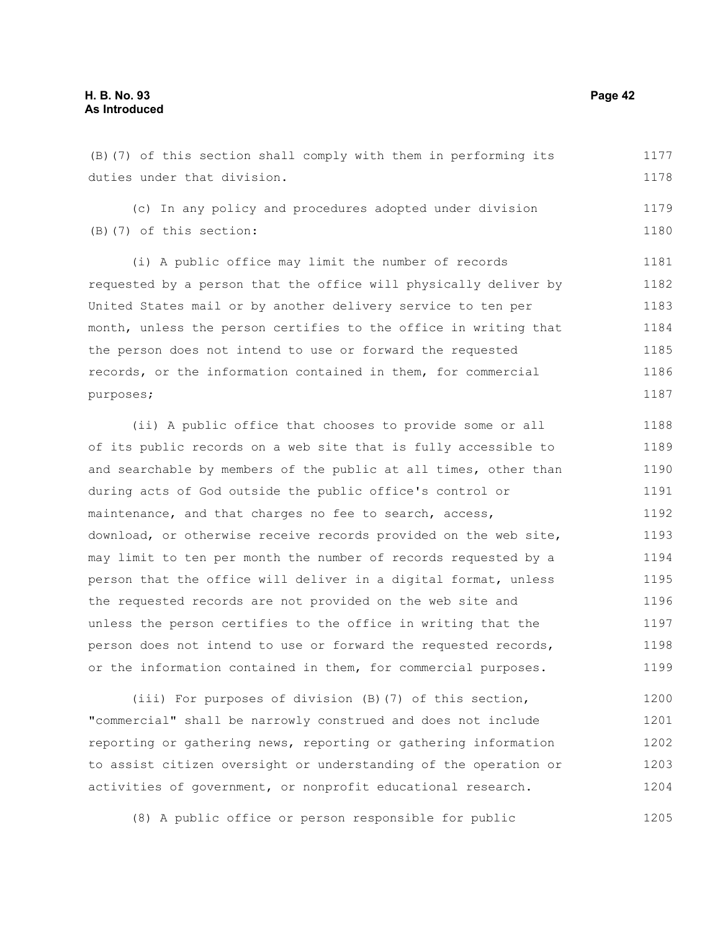(B)(7) of this section shall comply with them in performing its duties under that division. (c) In any policy and procedures adopted under division 1177 1178 1179

(B)(7) of this section:

(i) A public office may limit the number of records requested by a person that the office will physically deliver by United States mail or by another delivery service to ten per month, unless the person certifies to the office in writing that the person does not intend to use or forward the requested records, or the information contained in them, for commercial purposes; 1181 1182 1183 1184 1185 1186 1187

(ii) A public office that chooses to provide some or all of its public records on a web site that is fully accessible to and searchable by members of the public at all times, other than during acts of God outside the public office's control or maintenance, and that charges no fee to search, access, download, or otherwise receive records provided on the web site, may limit to ten per month the number of records requested by a person that the office will deliver in a digital format, unless the requested records are not provided on the web site and unless the person certifies to the office in writing that the person does not intend to use or forward the requested records, or the information contained in them, for commercial purposes. 1188 1189 1190 1191 1192 1193 1194 1195 1196 1197 1198 1199

(iii) For purposes of division (B)(7) of this section, "commercial" shall be narrowly construed and does not include reporting or gathering news, reporting or gathering information to assist citizen oversight or understanding of the operation or activities of government, or nonprofit educational research. 1200 1201 1202 1203 1204

(8) A public office or person responsible for public 1205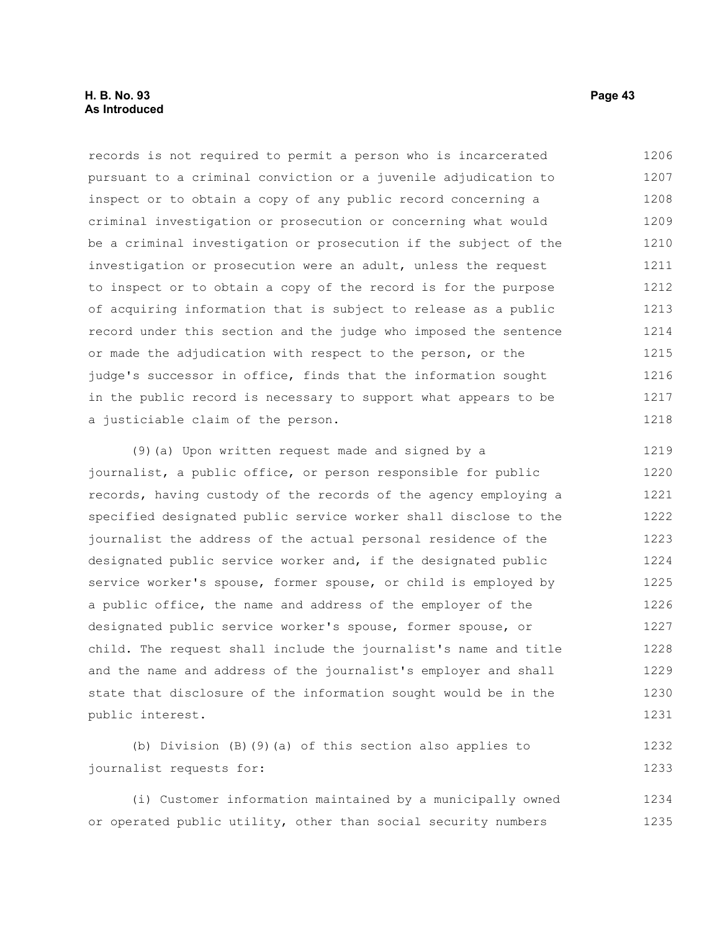#### **H. B. No. 93 Page 43 As Introduced**

records is not required to permit a person who is incarcerated pursuant to a criminal conviction or a juvenile adjudication to inspect or to obtain a copy of any public record concerning a criminal investigation or prosecution or concerning what would be a criminal investigation or prosecution if the subject of the investigation or prosecution were an adult, unless the request to inspect or to obtain a copy of the record is for the purpose of acquiring information that is subject to release as a public record under this section and the judge who imposed the sentence or made the adjudication with respect to the person, or the judge's successor in office, finds that the information sought in the public record is necessary to support what appears to be a justiciable claim of the person. 1206 1207 1208 1209 1210 1211 1212 1213 1214 1215 1216 1217 1218

(9)(a) Upon written request made and signed by a journalist, a public office, or person responsible for public records, having custody of the records of the agency employing a specified designated public service worker shall disclose to the journalist the address of the actual personal residence of the designated public service worker and, if the designated public service worker's spouse, former spouse, or child is employed by a public office, the name and address of the employer of the designated public service worker's spouse, former spouse, or child. The request shall include the journalist's name and title and the name and address of the journalist's employer and shall state that disclosure of the information sought would be in the public interest. 1219 1220 1221 1222 1223 1224 1225 1226 1227 1228 1229 1230 1231

(b) Division (B)(9)(a) of this section also applies to journalist requests for: 1232 1233

(i) Customer information maintained by a municipally owned or operated public utility, other than social security numbers 1234 1235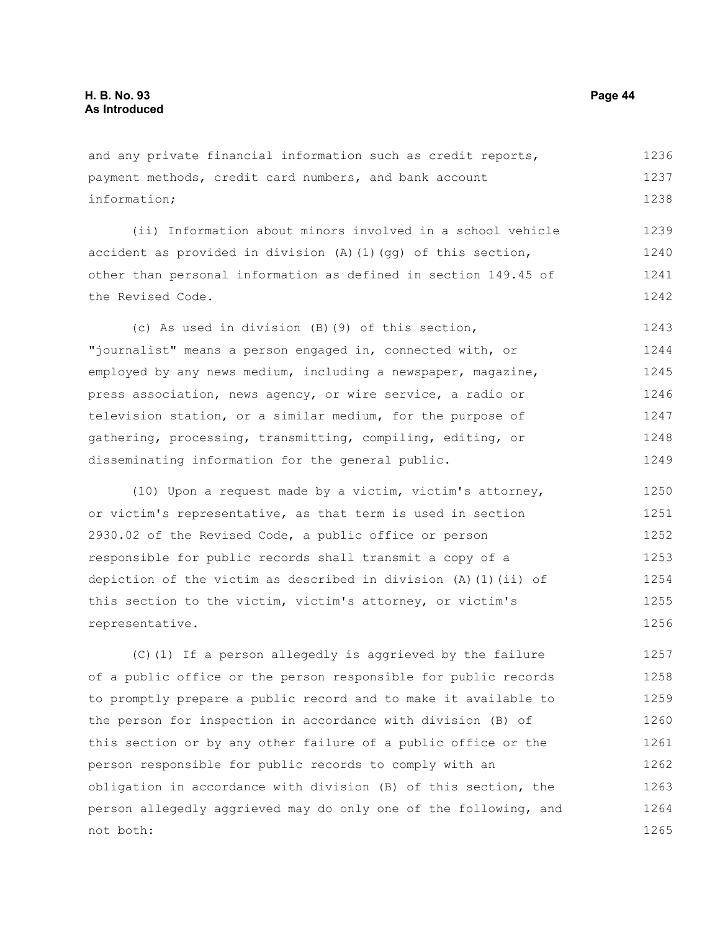not both:

payment methods, credit card numbers, and bank account information; (ii) Information about minors involved in a school vehicle accident as provided in division  $(A)$   $(1)$  (gg) of this section, other than personal information as defined in section 149.45 of the Revised Code. (c) As used in division (B)(9) of this section, "journalist" means a person engaged in, connected with, or employed by any news medium, including a newspaper, magazine, press association, news agency, or wire service, a radio or television station, or a similar medium, for the purpose of gathering, processing, transmitting, compiling, editing, or disseminating information for the general public. (10) Upon a request made by a victim, victim's attorney, or victim's representative, as that term is used in section 2930.02 of the Revised Code, a public office or person responsible for public records shall transmit a copy of a depiction of the victim as described in division (A)(1)(ii) of this section to the victim, victim's attorney, or victim's representative. (C)(1) If a person allegedly is aggrieved by the failure of a public office or the person responsible for public records to promptly prepare a public record and to make it available to the person for inspection in accordance with division (B) of this section or by any other failure of a public office or the person responsible for public records to comply with an obligation in accordance with division (B) of this section, the person allegedly aggrieved may do only one of the following, and 1237 1238 1239 1240 1241 1242 1243 1244 1245 1246 1247 1248 1249 1250 1251 1252 1253 1254 1255 1256 1257 1258 1259 1260 1261 1262 1263 1264

and any private financial information such as credit reports,

1236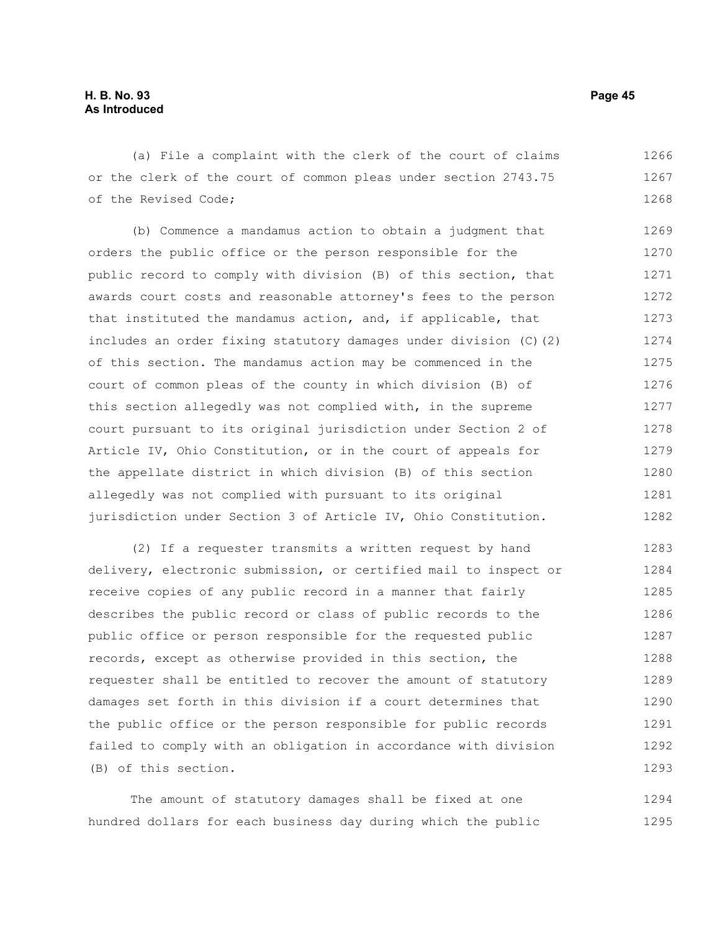(a) File a complaint with the clerk of the court of claims or the clerk of the court of common pleas under section 2743.75 of the Revised Code; 1266 1267 1268

(b) Commence a mandamus action to obtain a judgment that orders the public office or the person responsible for the public record to comply with division (B) of this section, that awards court costs and reasonable attorney's fees to the person that instituted the mandamus action, and, if applicable, that includes an order fixing statutory damages under division (C)(2) of this section. The mandamus action may be commenced in the court of common pleas of the county in which division (B) of this section allegedly was not complied with, in the supreme court pursuant to its original jurisdiction under Section 2 of Article IV, Ohio Constitution, or in the court of appeals for the appellate district in which division (B) of this section allegedly was not complied with pursuant to its original jurisdiction under Section 3 of Article IV, Ohio Constitution. 1269 1270 1271 1272 1273 1274 1275 1276 1277 1278 1279 1280 1281 1282

(2) If a requester transmits a written request by hand delivery, electronic submission, or certified mail to inspect or receive copies of any public record in a manner that fairly describes the public record or class of public records to the public office or person responsible for the requested public records, except as otherwise provided in this section, the requester shall be entitled to recover the amount of statutory damages set forth in this division if a court determines that the public office or the person responsible for public records failed to comply with an obligation in accordance with division (B) of this section. 1283 1284 1285 1286 1287 1288 1289 1290 1291 1292 1293

The amount of statutory damages shall be fixed at one hundred dollars for each business day during which the public 1294 1295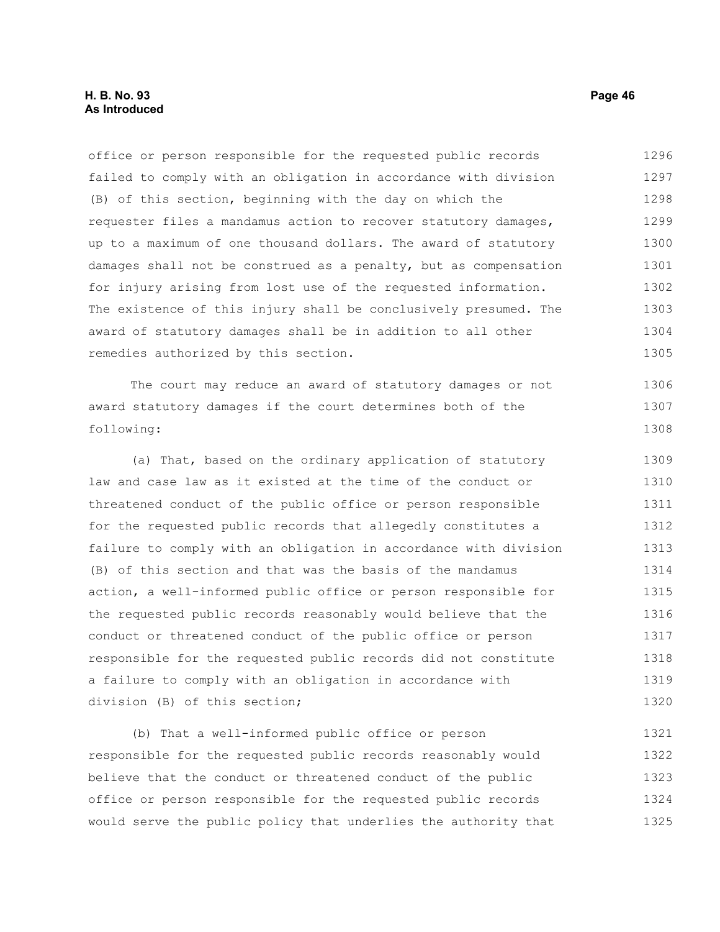office or person responsible for the requested public records failed to comply with an obligation in accordance with division (B) of this section, beginning with the day on which the requester files a mandamus action to recover statutory damages, up to a maximum of one thousand dollars. The award of statutory damages shall not be construed as a penalty, but as compensation for injury arising from lost use of the requested information. The existence of this injury shall be conclusively presumed. The award of statutory damages shall be in addition to all other remedies authorized by this section. 1296 1297 1298 1299 1300 1301 1302 1303 1304 1305

The court may reduce an award of statutory damages or not award statutory damages if the court determines both of the following: 1306 1307 1308

(a) That, based on the ordinary application of statutory law and case law as it existed at the time of the conduct or threatened conduct of the public office or person responsible for the requested public records that allegedly constitutes a failure to comply with an obligation in accordance with division (B) of this section and that was the basis of the mandamus action, a well-informed public office or person responsible for the requested public records reasonably would believe that the conduct or threatened conduct of the public office or person responsible for the requested public records did not constitute a failure to comply with an obligation in accordance with division (B) of this section; 1309 1310 1311 1312 1313 1314 1315 1316 1317 1318 1319 1320

(b) That a well-informed public office or person responsible for the requested public records reasonably would believe that the conduct or threatened conduct of the public office or person responsible for the requested public records would serve the public policy that underlies the authority that 1321 1322 1323 1324 1325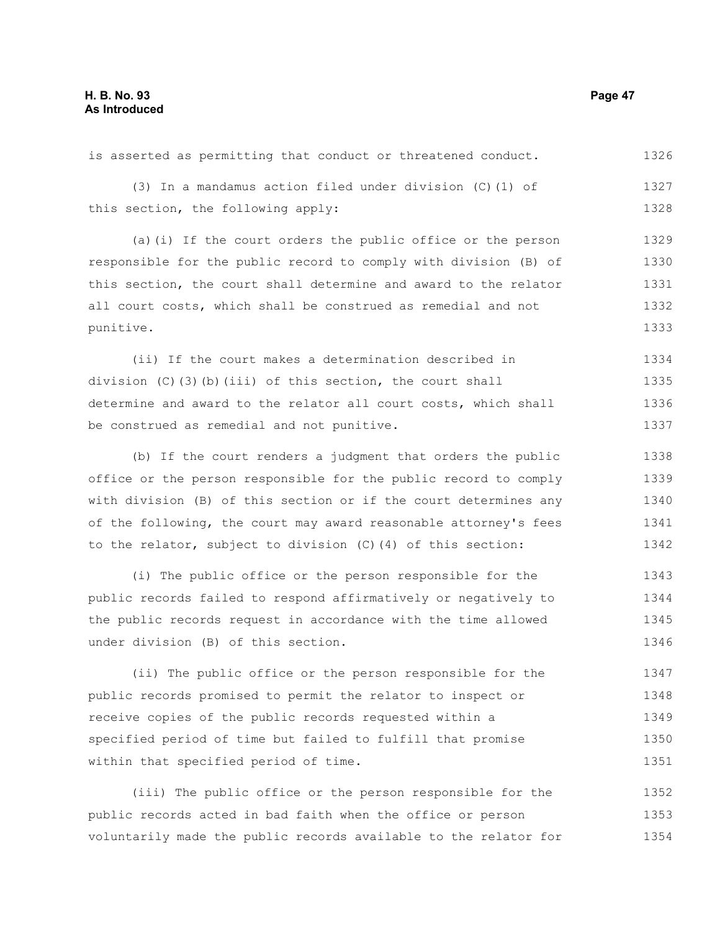is asserted as permitting that conduct or threatened conduct. (3) In a mandamus action filed under division (C)(1) of this section, the following apply: (a)(i) If the court orders the public office or the person responsible for the public record to comply with division (B) of this section, the court shall determine and award to the relator all court costs, which shall be construed as remedial and not punitive. (ii) If the court makes a determination described in division (C)(3)(b)(iii) of this section, the court shall determine and award to the relator all court costs, which shall be construed as remedial and not punitive. (b) If the court renders a judgment that orders the public office or the person responsible for the public record to comply with division (B) of this section or if the court determines any of the following, the court may award reasonable attorney's fees to the relator, subject to division (C)(4) of this section: (i) The public office or the person responsible for the public records failed to respond affirmatively or negatively to the public records request in accordance with the time allowed under division (B) of this section. (ii) The public office or the person responsible for the public records promised to permit the relator to inspect or receive copies of the public records requested within a specified period of time but failed to fulfill that promise 1326 1327 1328 1329 1330 1331 1332 1333 1334 1335 1336 1337 1338 1339 1340 1341 1342 1343 1344 1345 1346 1347 1348 1349

(iii) The public office or the person responsible for the public records acted in bad faith when the office or person voluntarily made the public records available to the relator for 1352 1353 1354

within that specified period of time.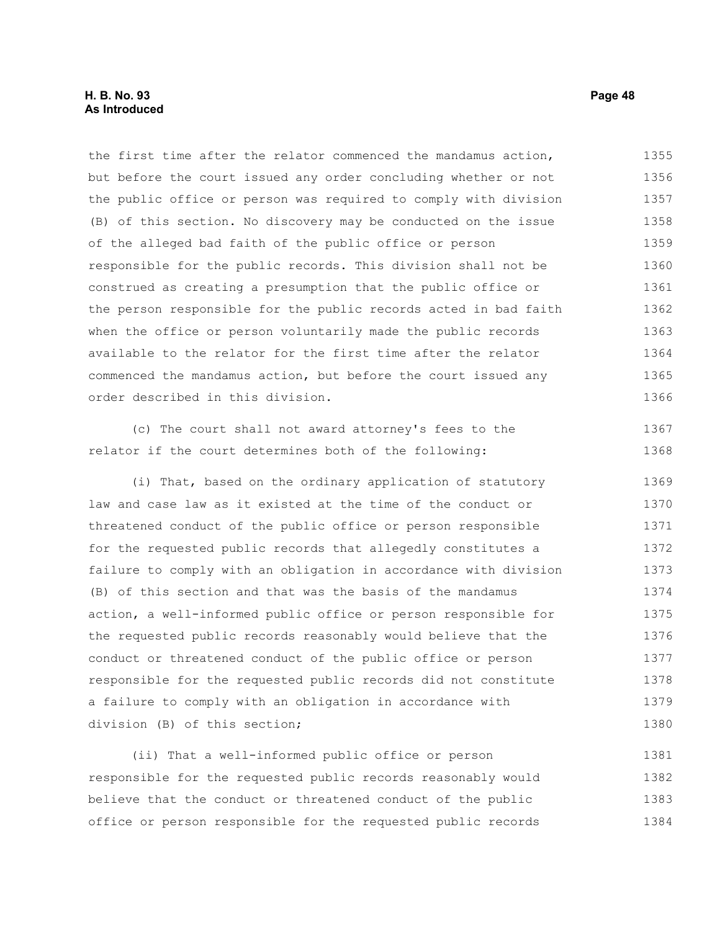the first time after the relator commenced the mandamus action, but before the court issued any order concluding whether or not the public office or person was required to comply with division (B) of this section. No discovery may be conducted on the issue of the alleged bad faith of the public office or person responsible for the public records. This division shall not be construed as creating a presumption that the public office or the person responsible for the public records acted in bad faith when the office or person voluntarily made the public records available to the relator for the first time after the relator commenced the mandamus action, but before the court issued any order described in this division. 1355 1356 1357 1358 1359 1360 1361 1362 1363 1364 1365 1366

(c) The court shall not award attorney's fees to the relator if the court determines both of the following: 1367 1368

(i) That, based on the ordinary application of statutory law and case law as it existed at the time of the conduct or threatened conduct of the public office or person responsible for the requested public records that allegedly constitutes a failure to comply with an obligation in accordance with division (B) of this section and that was the basis of the mandamus action, a well-informed public office or person responsible for the requested public records reasonably would believe that the conduct or threatened conduct of the public office or person responsible for the requested public records did not constitute a failure to comply with an obligation in accordance with division (B) of this section; 1369 1370 1371 1372 1373 1374 1375 1376 1377 1378 1379 1380

(ii) That a well-informed public office or person responsible for the requested public records reasonably would believe that the conduct or threatened conduct of the public office or person responsible for the requested public records 1381 1382 1383 1384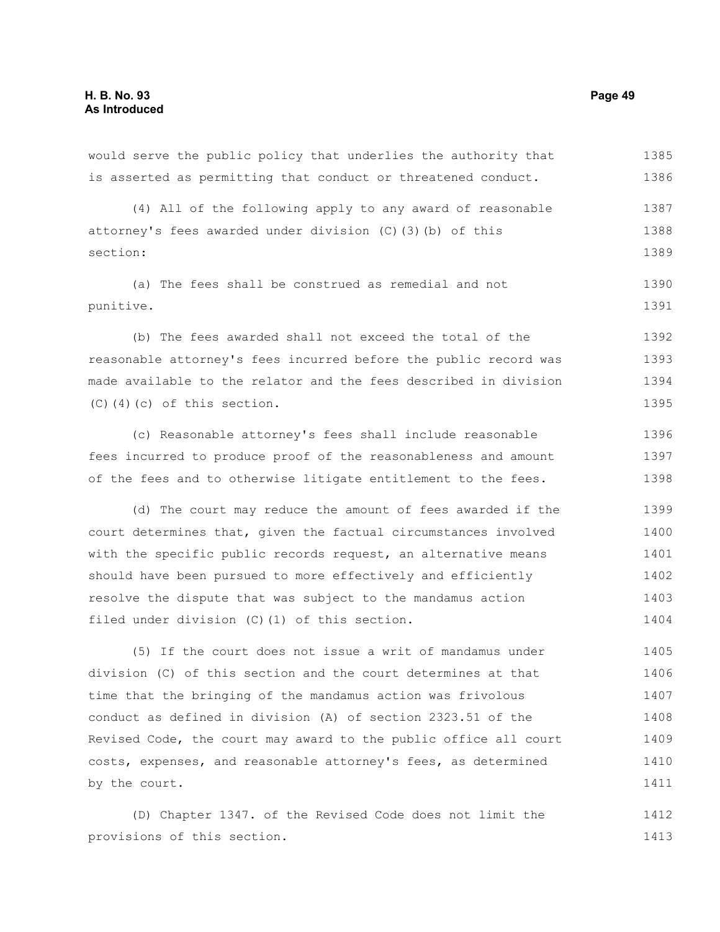would serve the public policy that underlies the authority that is asserted as permitting that conduct or threatened conduct. 1385 1386

(4) All of the following apply to any award of reasonable attorney's fees awarded under division (C)(3)(b) of this section: 1387 1388 1389

(a) The fees shall be construed as remedial and not punitive. 1390 1391

(b) The fees awarded shall not exceed the total of the reasonable attorney's fees incurred before the public record was made available to the relator and the fees described in division (C)(4)(c) of this section. 1392 1393 1394 1395

(c) Reasonable attorney's fees shall include reasonable fees incurred to produce proof of the reasonableness and amount of the fees and to otherwise litigate entitlement to the fees. 1396 1397 1398

(d) The court may reduce the amount of fees awarded if the court determines that, given the factual circumstances involved with the specific public records request, an alternative means should have been pursued to more effectively and efficiently resolve the dispute that was subject to the mandamus action filed under division (C)(1) of this section. 1399 1400 1401 1402 1403 1404

(5) If the court does not issue a writ of mandamus under division (C) of this section and the court determines at that time that the bringing of the mandamus action was frivolous conduct as defined in division (A) of section 2323.51 of the Revised Code, the court may award to the public office all court costs, expenses, and reasonable attorney's fees, as determined by the court. 1405 1406 1407 1408 1409 1410 1411

(D) Chapter 1347. of the Revised Code does not limit the provisions of this section. 1412 1413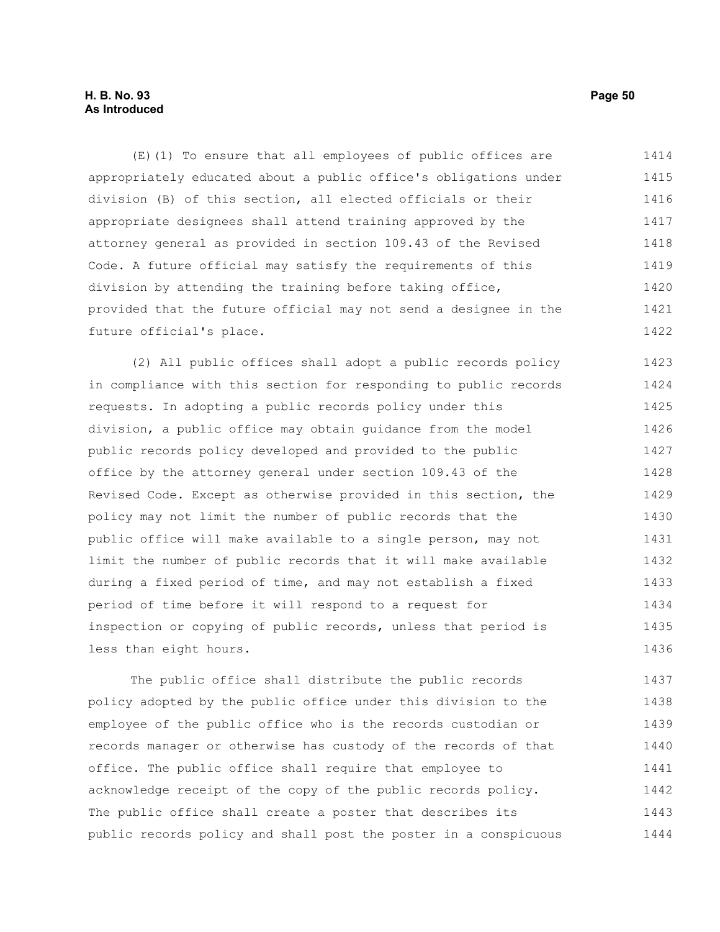#### **H. B. No. 93 Page 50 As Introduced**

(E)(1) To ensure that all employees of public offices are appropriately educated about a public office's obligations under division (B) of this section, all elected officials or their appropriate designees shall attend training approved by the attorney general as provided in section 109.43 of the Revised Code. A future official may satisfy the requirements of this division by attending the training before taking office, provided that the future official may not send a designee in the future official's place. 1414 1415 1416 1417 1418 1419 1420 1421 1422

(2) All public offices shall adopt a public records policy in compliance with this section for responding to public records requests. In adopting a public records policy under this division, a public office may obtain guidance from the model public records policy developed and provided to the public office by the attorney general under section 109.43 of the Revised Code. Except as otherwise provided in this section, the policy may not limit the number of public records that the public office will make available to a single person, may not limit the number of public records that it will make available during a fixed period of time, and may not establish a fixed period of time before it will respond to a request for inspection or copying of public records, unless that period is less than eight hours. 1423 1424 1425 1426 1427 1428 1429 1430 1431 1432 1433 1434 1435 1436

The public office shall distribute the public records policy adopted by the public office under this division to the employee of the public office who is the records custodian or records manager or otherwise has custody of the records of that office. The public office shall require that employee to acknowledge receipt of the copy of the public records policy. The public office shall create a poster that describes its public records policy and shall post the poster in a conspicuous 1437 1438 1439 1440 1441 1442 1443 1444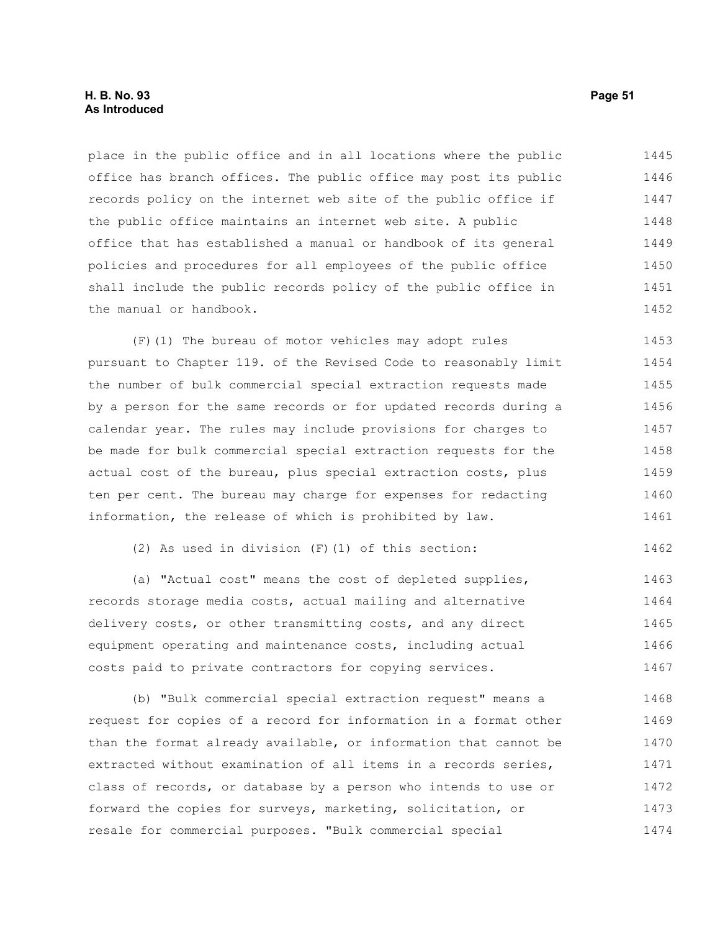#### **H. B. No. 93 Page 51 As Introduced**

place in the public office and in all locations where the public office has branch offices. The public office may post its public records policy on the internet web site of the public office if the public office maintains an internet web site. A public office that has established a manual or handbook of its general policies and procedures for all employees of the public office shall include the public records policy of the public office in the manual or handbook. 1445 1446 1447 1448 1449 1450 1451 1452

(F)(1) The bureau of motor vehicles may adopt rules pursuant to Chapter 119. of the Revised Code to reasonably limit the number of bulk commercial special extraction requests made by a person for the same records or for updated records during a calendar year. The rules may include provisions for charges to be made for bulk commercial special extraction requests for the actual cost of the bureau, plus special extraction costs, plus ten per cent. The bureau may charge for expenses for redacting information, the release of which is prohibited by law. 1453 1454 1455 1456 1457 1458 1459 1460 1461

(2) As used in division (F)(1) of this section:

(a) "Actual cost" means the cost of depleted supplies, records storage media costs, actual mailing and alternative delivery costs, or other transmitting costs, and any direct equipment operating and maintenance costs, including actual costs paid to private contractors for copying services. 1463 1464 1465 1466 1467

(b) "Bulk commercial special extraction request" means a request for copies of a record for information in a format other than the format already available, or information that cannot be extracted without examination of all items in a records series, class of records, or database by a person who intends to use or forward the copies for surveys, marketing, solicitation, or resale for commercial purposes. "Bulk commercial special 1468 1469 1470 1471 1472 1473 1474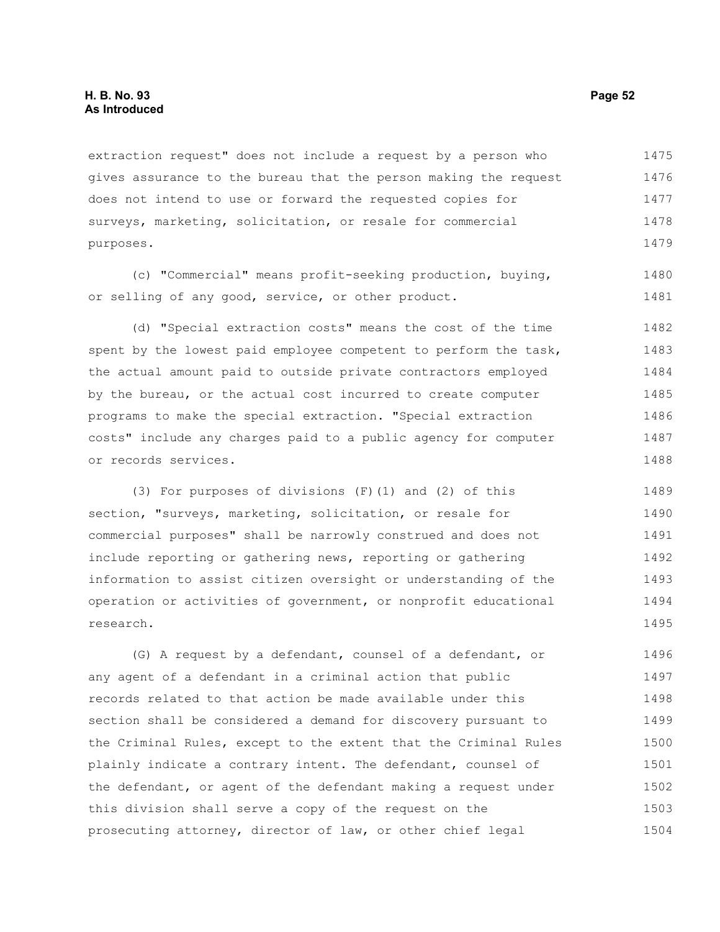#### **H. B. No. 93 Page 52 As Introduced**

extraction request" does not include a request by a person who gives assurance to the bureau that the person making the request does not intend to use or forward the requested copies for surveys, marketing, solicitation, or resale for commercial purposes. 1475 1476 1477 1478 1479

(c) "Commercial" means profit-seeking production, buying, or selling of any good, service, or other product. 1480 1481

(d) "Special extraction costs" means the cost of the time spent by the lowest paid employee competent to perform the task, the actual amount paid to outside private contractors employed by the bureau, or the actual cost incurred to create computer programs to make the special extraction. "Special extraction costs" include any charges paid to a public agency for computer or records services. 1482 1483 1484 1485 1486 1487 1488

(3) For purposes of divisions (F)(1) and (2) of this section, "surveys, marketing, solicitation, or resale for commercial purposes" shall be narrowly construed and does not include reporting or gathering news, reporting or gathering information to assist citizen oversight or understanding of the operation or activities of government, or nonprofit educational research. 1489 1490 1491 1492 1493 1494 1495

(G) A request by a defendant, counsel of a defendant, or any agent of a defendant in a criminal action that public records related to that action be made available under this section shall be considered a demand for discovery pursuant to the Criminal Rules, except to the extent that the Criminal Rules plainly indicate a contrary intent. The defendant, counsel of the defendant, or agent of the defendant making a request under this division shall serve a copy of the request on the prosecuting attorney, director of law, or other chief legal 1496 1497 1498 1499 1500 1501 1502 1503 1504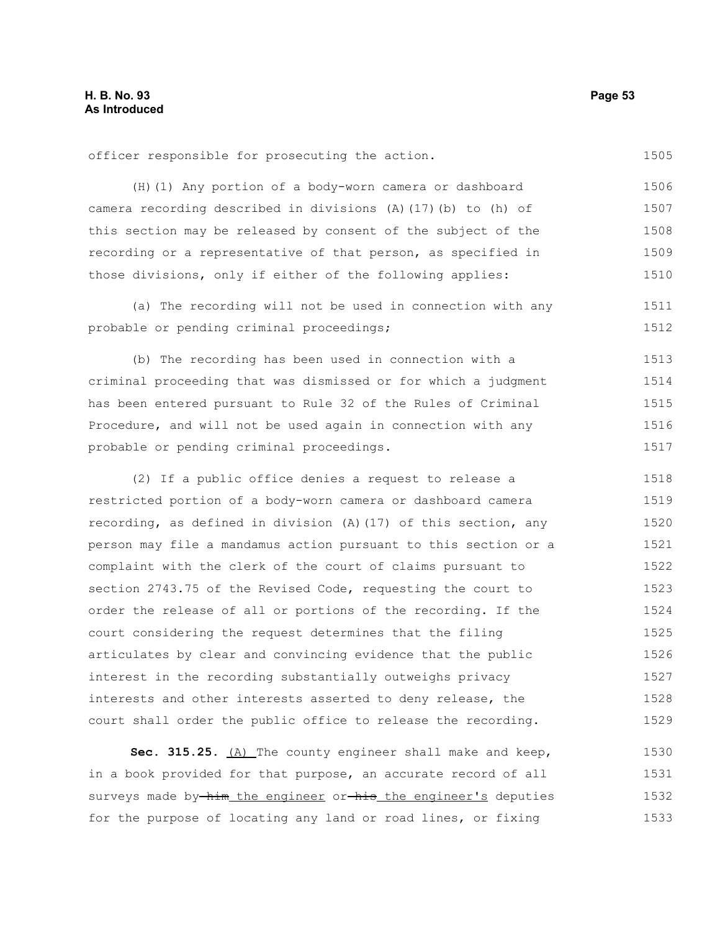(H)(1) Any portion of a body-worn camera or dashboard camera recording described in divisions (A)(17)(b) to (h) of this section may be released by consent of the subject of the recording or a representative of that person, as specified in those divisions, only if either of the following applies: 1506 1507 1508 1509 1510

(a) The recording will not be used in connection with any probable or pending criminal proceedings;

(b) The recording has been used in connection with a criminal proceeding that was dismissed or for which a judgment has been entered pursuant to Rule 32 of the Rules of Criminal Procedure, and will not be used again in connection with any probable or pending criminal proceedings. 1513 1514 1515 1516 1517

(2) If a public office denies a request to release a restricted portion of a body-worn camera or dashboard camera recording, as defined in division  $(A)$  (17) of this section, any person may file a mandamus action pursuant to this section or a complaint with the clerk of the court of claims pursuant to section 2743.75 of the Revised Code, requesting the court to order the release of all or portions of the recording. If the court considering the request determines that the filing articulates by clear and convincing evidence that the public interest in the recording substantially outweighs privacy interests and other interests asserted to deny release, the court shall order the public office to release the recording. 1518 1519 1520 1521 1522 1523 1524 1525 1526 1527 1528 1529

Sec. 315.25. (A) The county engineer shall make and keep, in a book provided for that purpose, an accurate record of all surveys made by-him the engineer or-his the engineer's deputies for the purpose of locating any land or road lines, or fixing 1530 1531 1532 1533

1505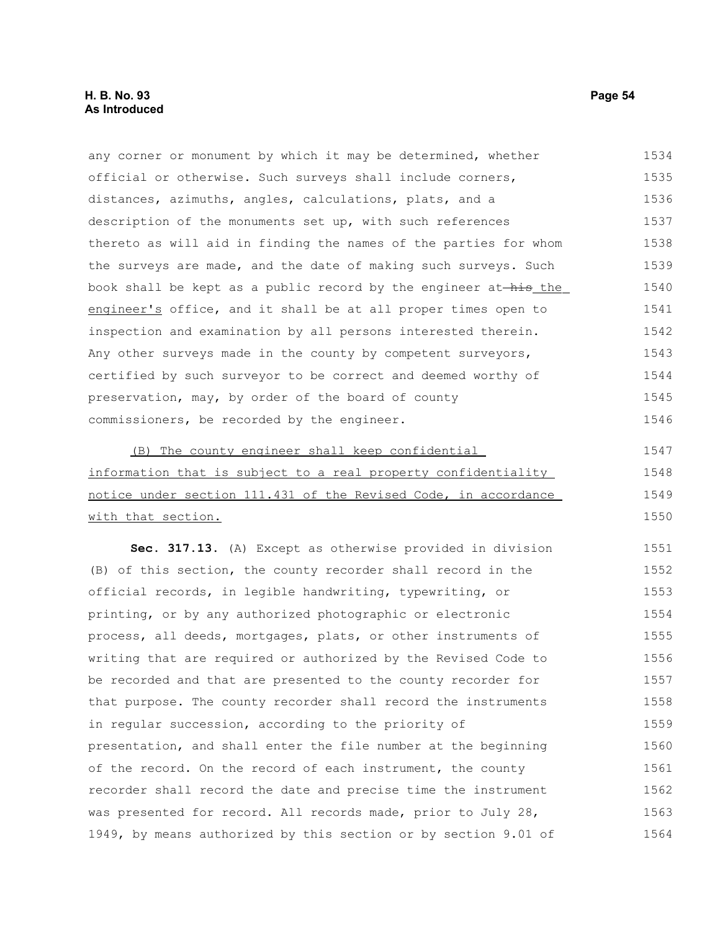### **H. B. No. 93 Page 54 As Introduced**

| any corner or monument by which it may be determined, whether    | 1534 |
|------------------------------------------------------------------|------|
| official or otherwise. Such surveys shall include corners,       | 1535 |
| distances, azimuths, angles, calculations, plats, and a          | 1536 |
| description of the monuments set up, with such references        | 1537 |
| thereto as will aid in finding the names of the parties for whom | 1538 |
| the surveys are made, and the date of making such surveys. Such  | 1539 |
| book shall be kept as a public record by the engineer at-his the | 1540 |
| engineer's office, and it shall be at all proper times open to   | 1541 |
| inspection and examination by all persons interested therein.    | 1542 |
| Any other surveys made in the county by competent surveyors,     | 1543 |
| certified by such surveyor to be correct and deemed worthy of    | 1544 |
| preservation, may, by order of the board of county               | 1545 |
| commissioners, be recorded by the engineer.                      | 1546 |
| (B) The county engineer shall keep confidential                  | 1547 |
| information that is subject to a real property confidentiality   | 1548 |
| notice under section 111.431 of the Revised Code, in accordance  | 1549 |
| <u>with that section.</u>                                        | 1550 |
| Sec. 317.13. (A) Except as otherwise provided in division        | 1551 |
| (B) of this section, the county recorder shall record in the     | 1552 |
| official records, in legible handwriting, typewriting, or        | 1553 |
| printing, or by any authorized photographic or electronic        | 1554 |
| process, all deeds, mortgages, plats, or other instruments of    | 1555 |
| writing that are required or authorized by the Revised Code to   | 1556 |
| be recorded and that are presented to the county recorder for    | 1557 |
| that purpose. The county recorder shall record the instruments   | 1558 |
| in regular succession, according to the priority of              | 1559 |
| presentation, and shall enter the file number at the beginning   | 1560 |
| of the record. On the record of each instrument, the county      | 1561 |
| recorder shall record the date and precise time the instrument   | 1562 |
| was presented for record. All records made, prior to July 28,    | 1563 |
| 1949, by means authorized by this section or by section 9.01 of  | 1564 |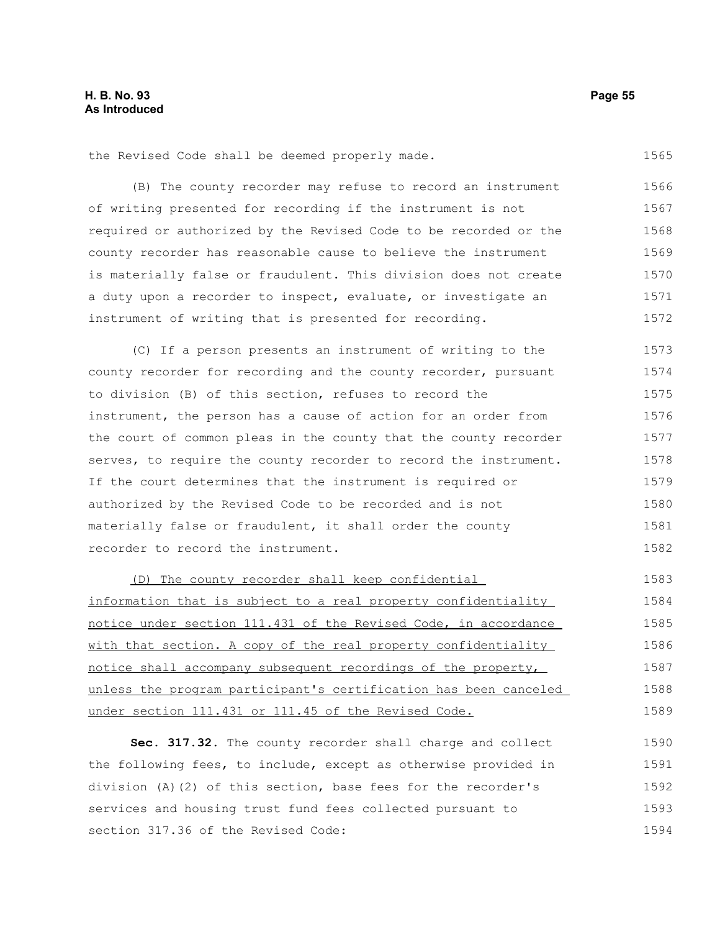the Revised Code shall be deemed properly made.

(B) The county recorder may refuse to record an instrument of writing presented for recording if the instrument is not required or authorized by the Revised Code to be recorded or the county recorder has reasonable cause to believe the instrument is materially false or fraudulent. This division does not create a duty upon a recorder to inspect, evaluate, or investigate an instrument of writing that is presented for recording. 1566 1567 1568 1569 1570 1571 1572

(C) If a person presents an instrument of writing to the county recorder for recording and the county recorder, pursuant to division (B) of this section, refuses to record the instrument, the person has a cause of action for an order from the court of common pleas in the county that the county recorder serves, to require the county recorder to record the instrument. If the court determines that the instrument is required or authorized by the Revised Code to be recorded and is not materially false or fraudulent, it shall order the county recorder to record the instrument. 1573 1574 1575 1576 1577 1578 1579 1580 1581 1582

(D) The county recorder shall keep confidential information that is subject to a real property confidentiality notice under section 111.431 of the Revised Code, in accordance with that section. A copy of the real property confidentiality notice shall accompany subsequent recordings of the property, unless the program participant's certification has been canceled under section 111.431 or 111.45 of the Revised Code. 1583 1584 1585 1586 1587 1588 1589

**Sec. 317.32.** The county recorder shall charge and collect the following fees, to include, except as otherwise provided in division (A)(2) of this section, base fees for the recorder's services and housing trust fund fees collected pursuant to section 317.36 of the Revised Code: 1590 1591 1592 1593 1594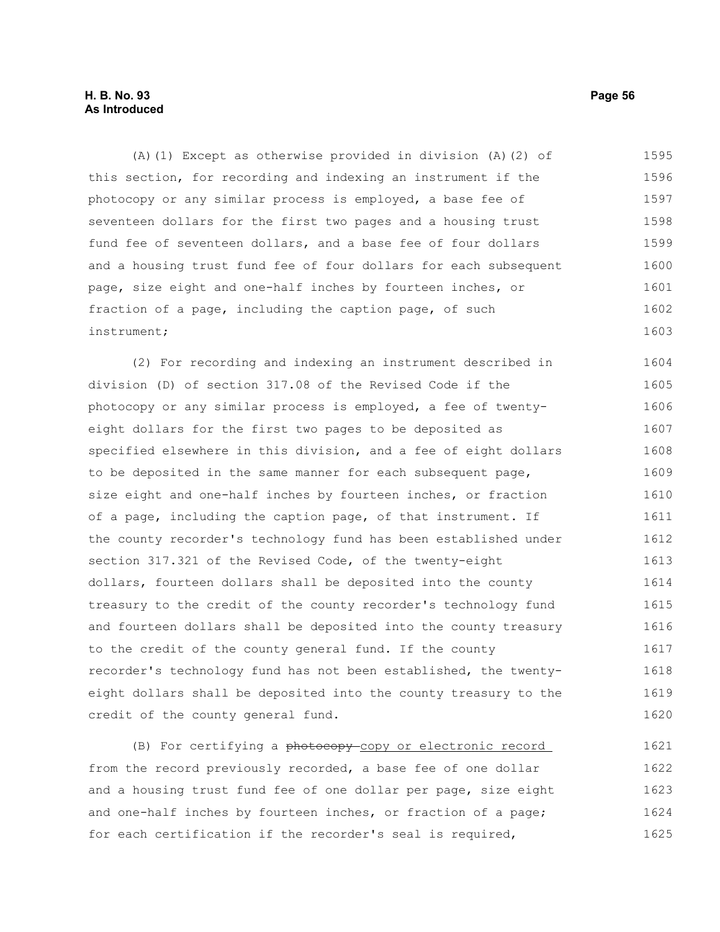#### **H. B. No. 93 Page 56 As Introduced**

(A)(1) Except as otherwise provided in division (A)(2) of this section, for recording and indexing an instrument if the photocopy or any similar process is employed, a base fee of seventeen dollars for the first two pages and a housing trust fund fee of seventeen dollars, and a base fee of four dollars and a housing trust fund fee of four dollars for each subsequent page, size eight and one-half inches by fourteen inches, or fraction of a page, including the caption page, of such instrument; 1595 1596 1597 1598 1599 1600 1601 1602 1603

(2) For recording and indexing an instrument described in division (D) of section 317.08 of the Revised Code if the photocopy or any similar process is employed, a fee of twentyeight dollars for the first two pages to be deposited as specified elsewhere in this division, and a fee of eight dollars to be deposited in the same manner for each subsequent page, size eight and one-half inches by fourteen inches, or fraction of a page, including the caption page, of that instrument. If the county recorder's technology fund has been established under section 317.321 of the Revised Code, of the twenty-eight dollars, fourteen dollars shall be deposited into the county treasury to the credit of the county recorder's technology fund and fourteen dollars shall be deposited into the county treasury to the credit of the county general fund. If the county recorder's technology fund has not been established, the twentyeight dollars shall be deposited into the county treasury to the credit of the county general fund. 1604 1605 1606 1607 1608 1609 1610 1611 1612 1613 1614 1615 1616 1617 1618 1619 1620

(B) For certifying a photocopy-copy or electronic record from the record previously recorded, a base fee of one dollar and a housing trust fund fee of one dollar per page, size eight and one-half inches by fourteen inches, or fraction of a page; for each certification if the recorder's seal is required, 1621 1622 1623 1624 1625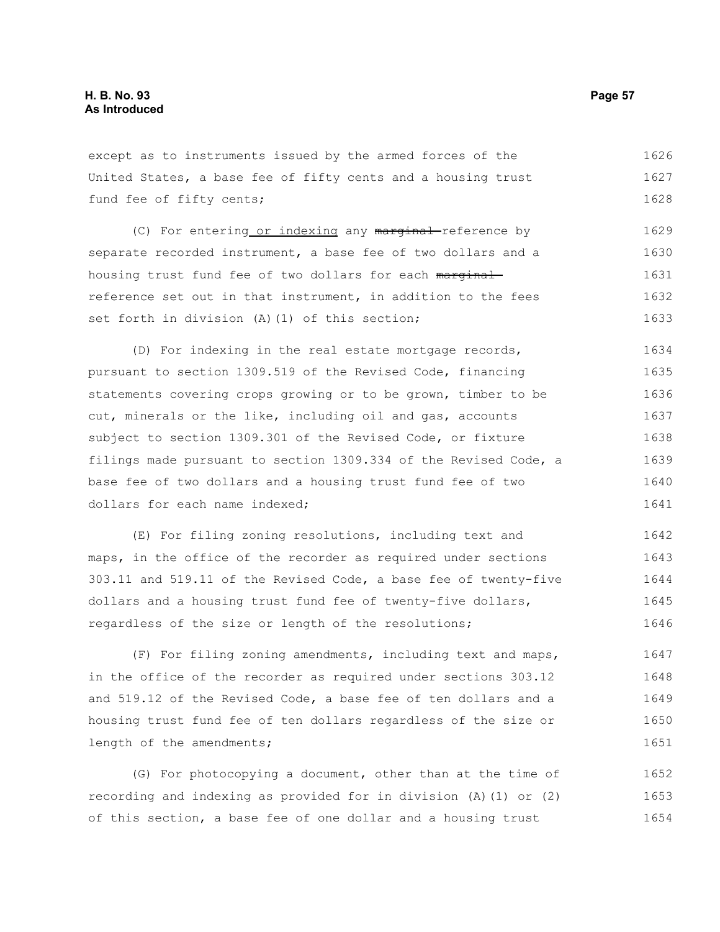except as to instruments issued by the armed forces of the United States, a base fee of fifty cents and a housing trust fund fee of fifty cents; 1626 1627 1628

(C) For entering or indexing any marginal reference by separate recorded instrument, a base fee of two dollars and a housing trust fund fee of two dollars for each marginal reference set out in that instrument, in addition to the fees set forth in division (A)(1) of this section; 1629 1630 1631 1632 1633

(D) For indexing in the real estate mortgage records, pursuant to section 1309.519 of the Revised Code, financing statements covering crops growing or to be grown, timber to be cut, minerals or the like, including oil and gas, accounts subject to section 1309.301 of the Revised Code, or fixture filings made pursuant to section 1309.334 of the Revised Code, a base fee of two dollars and a housing trust fund fee of two dollars for each name indexed: 1634 1635 1636 1637 1638 1639 1640 1641

(E) For filing zoning resolutions, including text and maps, in the office of the recorder as required under sections 303.11 and 519.11 of the Revised Code, a base fee of twenty-five dollars and a housing trust fund fee of twenty-five dollars, regardless of the size or length of the resolutions; 1642 1643 1644 1645 1646

(F) For filing zoning amendments, including text and maps, in the office of the recorder as required under sections 303.12 and 519.12 of the Revised Code, a base fee of ten dollars and a housing trust fund fee of ten dollars regardless of the size or length of the amendments; 1647 1648 1649 1650 1651

(G) For photocopying a document, other than at the time of recording and indexing as provided for in division (A)(1) or (2) of this section, a base fee of one dollar and a housing trust 1652 1653 1654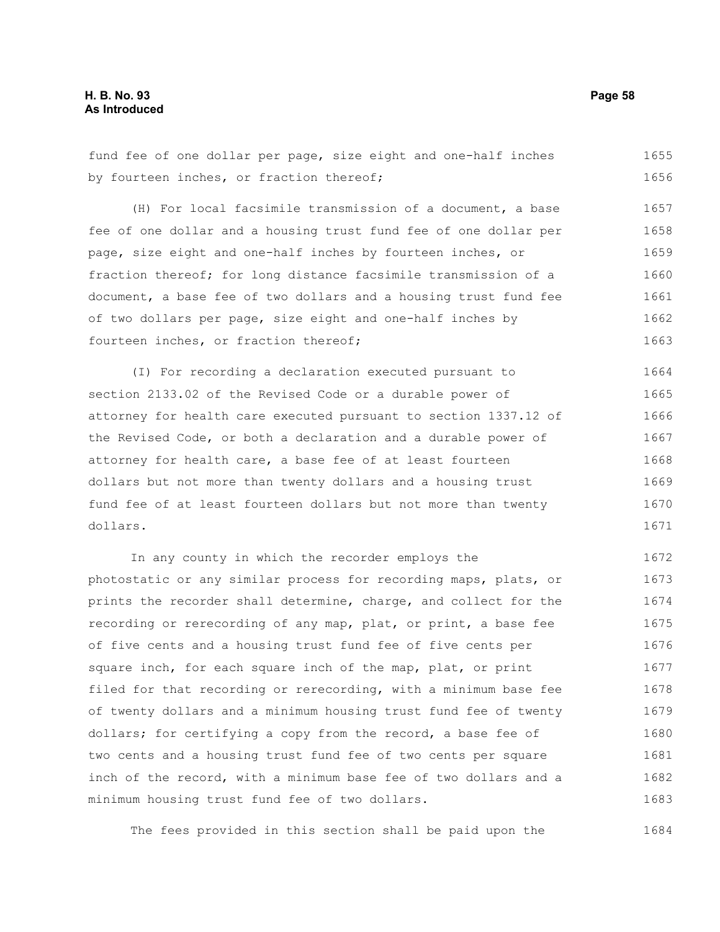fund fee of one dollar per page, size eight and one-half inches by fourteen inches, or fraction thereof; 1655 1656

(H) For local facsimile transmission of a document, a base fee of one dollar and a housing trust fund fee of one dollar per page, size eight and one-half inches by fourteen inches, or fraction thereof; for long distance facsimile transmission of a document, a base fee of two dollars and a housing trust fund fee of two dollars per page, size eight and one-half inches by fourteen inches, or fraction thereof; 1657 1658 1659 1660 1661 1662 1663

(I) For recording a declaration executed pursuant to section 2133.02 of the Revised Code or a durable power of attorney for health care executed pursuant to section 1337.12 of the Revised Code, or both a declaration and a durable power of attorney for health care, a base fee of at least fourteen dollars but not more than twenty dollars and a housing trust fund fee of at least fourteen dollars but not more than twenty dollars. 1664 1665 1666 1667 1668 1669 1670 1671

In any county in which the recorder employs the photostatic or any similar process for recording maps, plats, or prints the recorder shall determine, charge, and collect for the recording or rerecording of any map, plat, or print, a base fee of five cents and a housing trust fund fee of five cents per square inch, for each square inch of the map, plat, or print filed for that recording or rerecording, with a minimum base fee of twenty dollars and a minimum housing trust fund fee of twenty dollars; for certifying a copy from the record, a base fee of two cents and a housing trust fund fee of two cents per square inch of the record, with a minimum base fee of two dollars and a minimum housing trust fund fee of two dollars. 1672 1673 1674 1675 1676 1677 1678 1679 1680 1681 1682 1683

The fees provided in this section shall be paid upon the 1684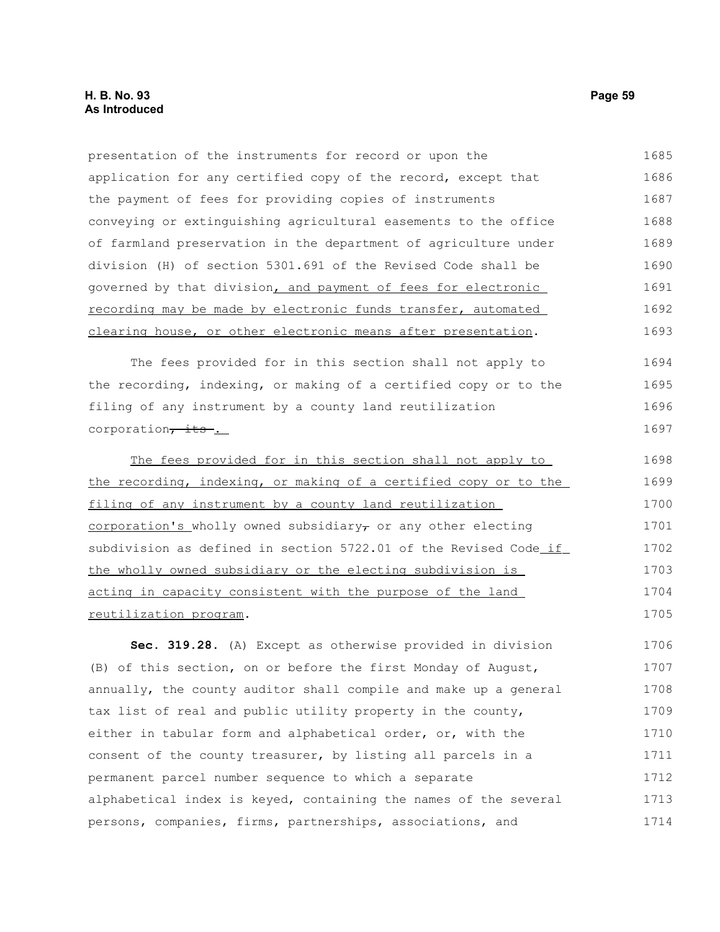| presentation of the instruments for record or upon the                   | 1685 |
|--------------------------------------------------------------------------|------|
| application for any certified copy of the record, except that            | 1686 |
| the payment of fees for providing copies of instruments                  | 1687 |
| conveying or extinguishing agricultural easements to the office          | 1688 |
| of farmland preservation in the department of agriculture under          | 1689 |
| division (H) of section 5301.691 of the Revised Code shall be            | 1690 |
| governed by that division, and payment of fees for electronic            | 1691 |
| recording may be made by electronic funds transfer, automated            | 1692 |
| clearing house, or other electronic means after presentation.            | 1693 |
| The fees provided for in this section shall not apply to                 | 1694 |
| the recording, indexing, or making of a certified copy or to the         | 1695 |
| filing of any instrument by a county land reutilization                  | 1696 |
| corporation, its.                                                        | 1697 |
| The fees provided for in this section shall not apply to                 | 1698 |
| the recording, indexing, or making of a certified copy or to the         | 1699 |
| filing of any instrument by a county land reutilization                  | 1700 |
| corporation's wholly owned subsidiary <sub>7</sub> or any other electing | 1701 |
| subdivision as defined in section 5722.01 of the Revised Code if         | 1702 |
| the wholly owned subsidiary or the electing subdivision is               | 1703 |
| acting in capacity consistent with the purpose of the land               | 1704 |
| reutilization program.                                                   | 1705 |
|                                                                          |      |
| Sec. 319.28. (A) Except as otherwise provided in division                | 1706 |
| (B) of this section, on or before the first Monday of August,            | 1707 |
| annually, the county auditor shall compile and make up a general         | 1708 |

either in tabular form and alphabetical order, or, with the consent of the county treasurer, by listing all parcels in a permanent parcel number sequence to which a separate alphabetical index is keyed, containing the names of the several persons, companies, firms, partnerships, associations, and 1710 1711 1712 1713 1714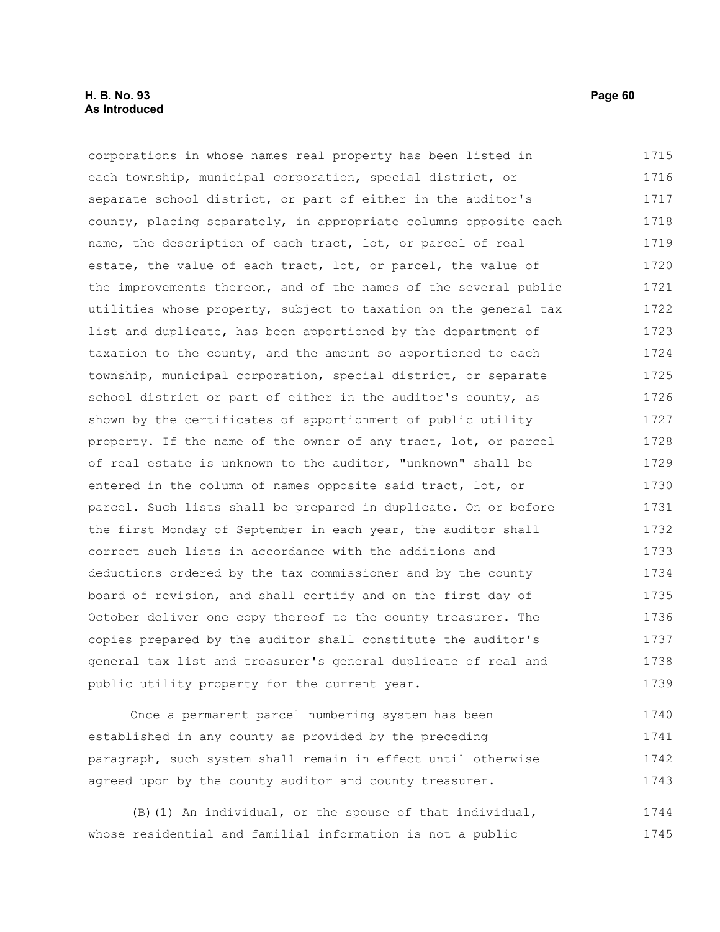#### **H. B. No. 93 Page 60 As Introduced**

corporations in whose names real property has been listed in each township, municipal corporation, special district, or separate school district, or part of either in the auditor's county, placing separately, in appropriate columns opposite each name, the description of each tract, lot, or parcel of real estate, the value of each tract, lot, or parcel, the value of the improvements thereon, and of the names of the several public utilities whose property, subject to taxation on the general tax list and duplicate, has been apportioned by the department of taxation to the county, and the amount so apportioned to each township, municipal corporation, special district, or separate school district or part of either in the auditor's county, as shown by the certificates of apportionment of public utility property. If the name of the owner of any tract, lot, or parcel of real estate is unknown to the auditor, "unknown" shall be entered in the column of names opposite said tract, lot, or parcel. Such lists shall be prepared in duplicate. On or before the first Monday of September in each year, the auditor shall correct such lists in accordance with the additions and deductions ordered by the tax commissioner and by the county board of revision, and shall certify and on the first day of October deliver one copy thereof to the county treasurer. The copies prepared by the auditor shall constitute the auditor's general tax list and treasurer's general duplicate of real and public utility property for the current year. 1715 1716 1717 1718 1719 1720 1721 1722 1723 1724 1725 1726 1727 1728 1729 1730 1731 1732 1733 1734 1735 1736 1737 1738 1739

Once a permanent parcel numbering system has been established in any county as provided by the preceding paragraph, such system shall remain in effect until otherwise agreed upon by the county auditor and county treasurer. 1740 1741 1742 1743

(B)(1) An individual, or the spouse of that individual, whose residential and familial information is not a public 1744 1745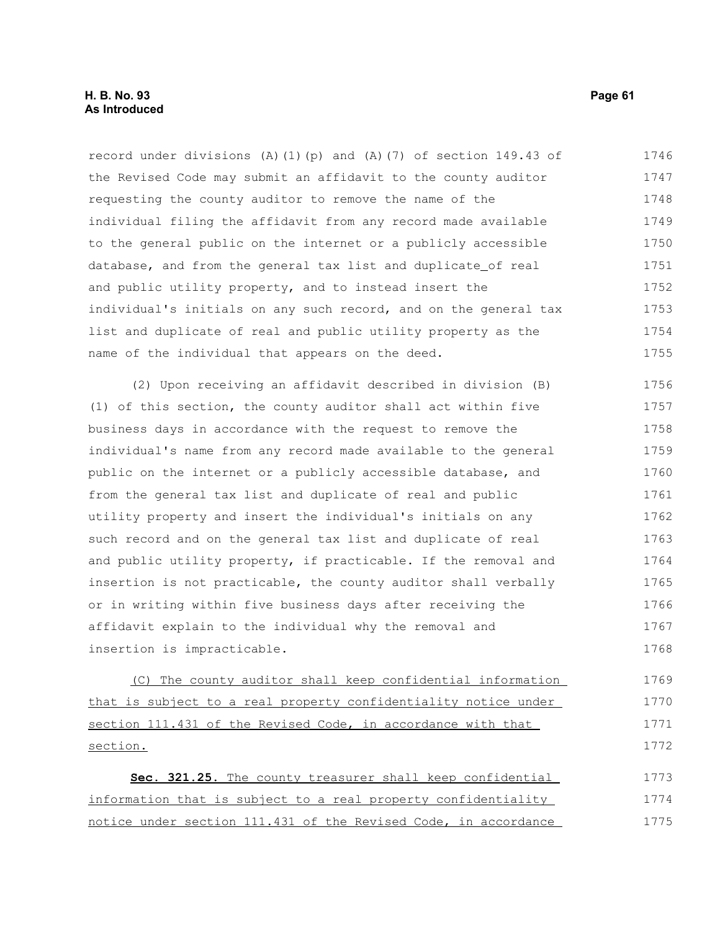record under divisions (A)(1)(p) and (A)(7) of section  $149.43$  of the Revised Code may submit an affidavit to the county auditor requesting the county auditor to remove the name of the individual filing the affidavit from any record made available to the general public on the internet or a publicly accessible database, and from the general tax list and duplicate of real and public utility property, and to instead insert the individual's initials on any such record, and on the general tax list and duplicate of real and public utility property as the name of the individual that appears on the deed. 1746 1747 1748 1749 1750 1751 1752 1753 1754 1755

(2) Upon receiving an affidavit described in division (B) (1) of this section, the county auditor shall act within five business days in accordance with the request to remove the individual's name from any record made available to the general public on the internet or a publicly accessible database, and from the general tax list and duplicate of real and public utility property and insert the individual's initials on any such record and on the general tax list and duplicate of real and public utility property, if practicable. If the removal and insertion is not practicable, the county auditor shall verbally or in writing within five business days after receiving the affidavit explain to the individual why the removal and insertion is impracticable. 1756 1757 1758 1759 1760 1761 1762 1763 1764 1765 1766 1767 1768

(C) The county auditor shall keep confidential information that is subject to a real property confidentiality notice under section 111.431 of the Revised Code, in accordance with that section. 1769 1770 1771 1772

Sec. 321.25. The county treasurer shall keep confidential information that is subject to a real property confidentiality notice under section 111.431 of the Revised Code, in accordance 1773 1774 1775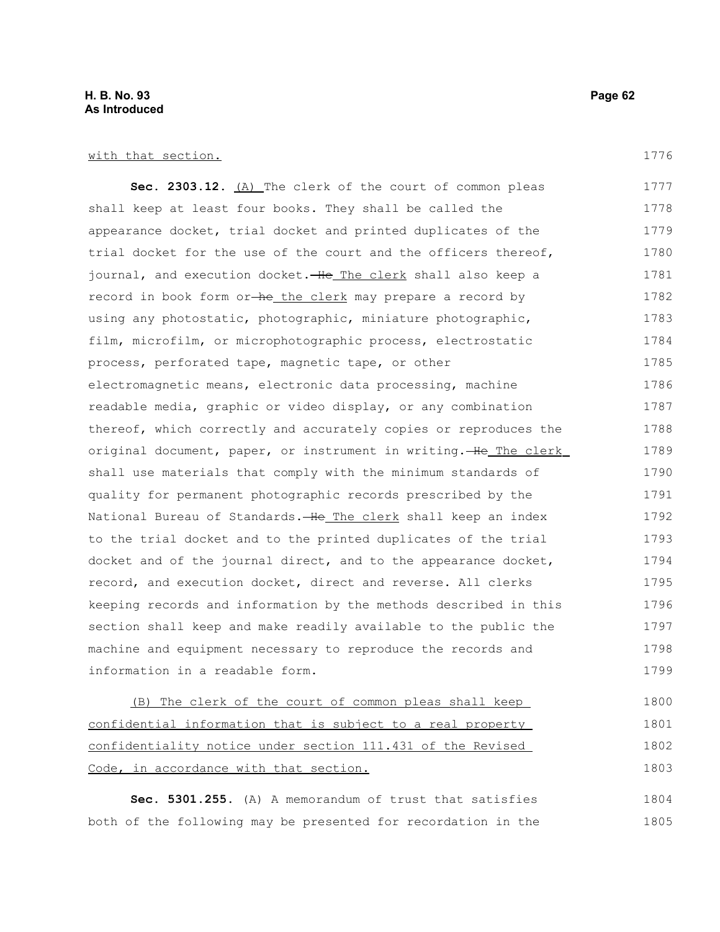#### with that section.

1776

| Sec. 2303.12. (A) The clerk of the court of common pleas                     | 1777 |
|------------------------------------------------------------------------------|------|
| shall keep at least four books. They shall be called the                     | 1778 |
| appearance docket, trial docket and printed duplicates of the                | 1779 |
| trial docket for the use of the court and the officers thereof,              | 1780 |
| journal, and execution docket. <del>-He The clerk</del> shall also keep a    | 1781 |
| record in book form or-he the clerk may prepare a record by                  | 1782 |
| using any photostatic, photographic, miniature photographic,                 | 1783 |
| film, microfilm, or microphotographic process, electrostatic                 | 1784 |
| process, perforated tape, magnetic tape, or other                            | 1785 |
| electromagnetic means, electronic data processing, machine                   | 1786 |
| readable media, graphic or video display, or any combination                 | 1787 |
| thereof, which correctly and accurately copies or reproduces the             | 1788 |
| original document, paper, or instrument in writing. <del>-He The clerk</del> | 1789 |
| shall use materials that comply with the minimum standards of                | 1790 |
| quality for permanent photographic records prescribed by the                 | 1791 |
| National Bureau of Standards. <del>-He</del> The clerk shall keep an index   | 1792 |
| to the trial docket and to the printed duplicates of the trial               | 1793 |
| docket and of the journal direct, and to the appearance docket,              | 1794 |
| record, and execution docket, direct and reverse. All clerks                 | 1795 |
| keeping records and information by the methods described in this             | 1796 |
| section shall keep and make readily available to the public the              | 1797 |
| machine and equipment necessary to reproduce the records and                 | 1798 |
| information in a readable form.                                              | 1799 |
|                                                                              |      |

(B) The clerk of the court of common pleas shall keep confidential information that is subject to a real property confidentiality notice under section 111.431 of the Revised Code, in accordance with that section. 1800 1801 1802 1803

**Sec. 5301.255.** (A) A memorandum of trust that satisfies both of the following may be presented for recordation in the 1804 1805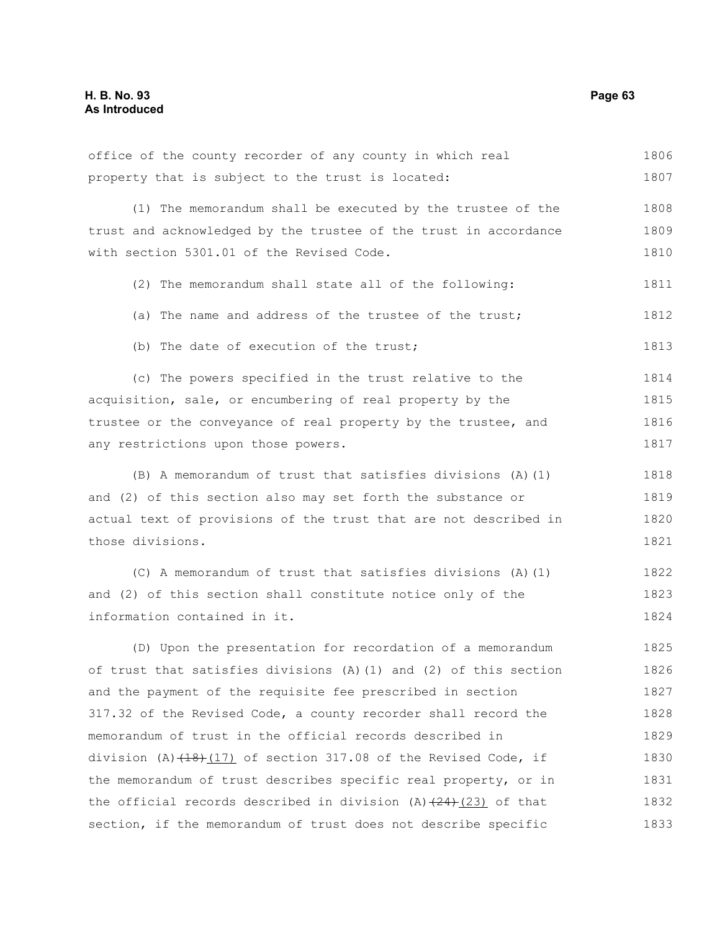| office of the county recorder of any county in which real        | 1806 |
|------------------------------------------------------------------|------|
| property that is subject to the trust is located:                | 1807 |
| (1) The memorandum shall be executed by the trustee of the       | 1808 |
| trust and acknowledged by the trustee of the trust in accordance | 1809 |
| with section 5301.01 of the Revised Code.                        | 1810 |
| (2) The memorandum shall state all of the following:             | 1811 |
| (a) The name and address of the trustee of the trust;            | 1812 |
| (b) The date of execution of the trust;                          | 1813 |
| (c) The powers specified in the trust relative to the            | 1814 |
| acquisition, sale, or encumbering of real property by the        | 1815 |
| trustee or the conveyance of real property by the trustee, and   | 1816 |
| any restrictions upon those powers.                              | 1817 |
| (B) A memorandum of trust that satisfies divisions (A) (1)       | 1818 |
| and (2) of this section also may set forth the substance or      | 1819 |
| actual text of provisions of the trust that are not described in | 1820 |
| those divisions.                                                 | 1821 |
| (C) A memorandum of trust that satisfies divisions (A) (1)       | 1822 |

and (2) of this section shall constitute notice only of the information contained in it. 1823 1824

(D) Upon the presentation for recordation of a memorandum of trust that satisfies divisions (A)(1) and (2) of this section and the payment of the requisite fee prescribed in section 317.32 of the Revised Code, a county recorder shall record the memorandum of trust in the official records described in division (A) $(18)(17)$  of section 317.08 of the Revised Code, if the memorandum of trust describes specific real property, or in the official records described in division (A) $(24)$ (23) of that section, if the memorandum of trust does not describe specific 1825 1826 1827 1828 1829 1830 1831 1832 1833